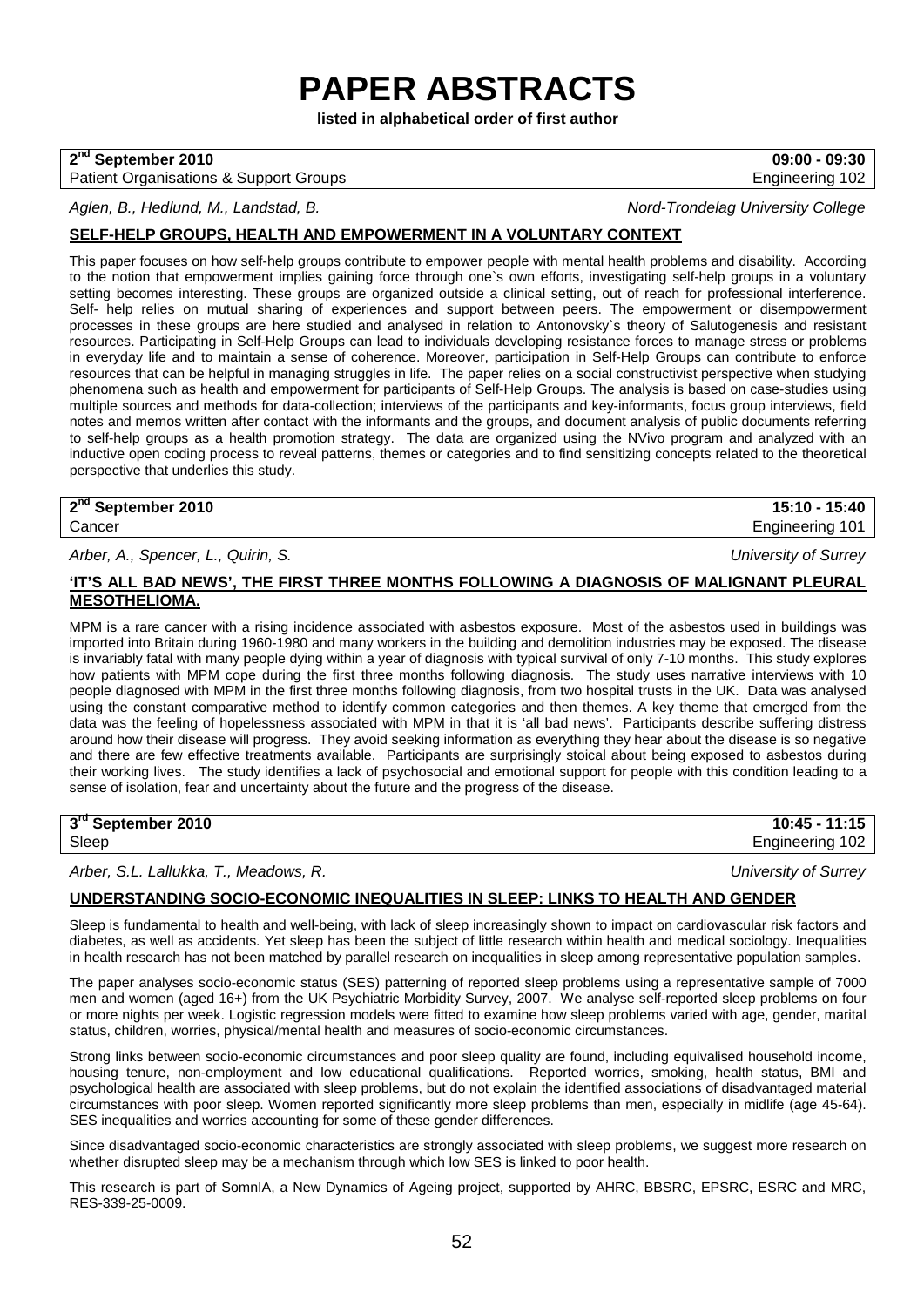# **PAPER ABSTRACTS**

**listed in alphabetical order of first author**

## **2nd September 2010 09:00 - 09:30**

#### Patient Organisations & Support Groups **Engineering 102** and the Engineering 102

*Aglen, B., Hedlund, M., Landstad, B. Nord-Trondelag University College*

## **SELF-HELP GROUPS, HEALTH AND EMPOWERMENT IN A VOLUNTARY CONTEXT**

This paper focuses on how self-help groups contribute to empower people with mental health problems and disability. According to the notion that empowerment implies gaining force through one`s own efforts, investigating self-help groups in a voluntary setting becomes interesting. These groups are organized outside a clinical setting, out of reach for professional interference. Self- help relies on mutual sharing of experiences and support between peers. The empowerment or disempowerment processes in these groups are here studied and analysed in relation to Antonovsky`s theory of Salutogenesis and resistant resources. Participating in Self-Help Groups can lead to individuals developing resistance forces to manage stress or problems in everyday life and to maintain a sense of coherence. Moreover, participation in Self-Help Groups can contribute to enforce resources that can be helpful in managing struggles in life. The paper relies on a social constructivist perspective when studying phenomena such as health and empowerment for participants of Self-Help Groups. The analysis is based on case-studies using multiple sources and methods for data-collection; interviews of the participants and key-informants, focus group interviews, field notes and memos written after contact with the informants and the groups, and document analysis of public documents referring to self-help groups as a health promotion strategy. The data are organized using the NVivo program and analyzed with an inductive open coding process to reveal patterns, themes or categories and to find sensitizing concepts related to the theoretical perspective that underlies this study.

**2nd September 2010 15:10 - 15:40** Cancer Engineering 101

*Arber, A., Spencer, L., Quirin, S. University of Surrey*

## **'IT'S ALL BAD NEWS', THE FIRST THREE MONTHS FOLLOWING A DIAGNOSIS OF MALIGNANT PLEURAL MESOTHELIOMA.**

MPM is a rare cancer with a rising incidence associated with asbestos exposure. Most of the asbestos used in buildings was imported into Britain during 1960-1980 and many workers in the building and demolition industries may be exposed. The disease is invariably fatal with many people dying within a year of diagnosis with typical survival of only 7-10 months. This study explores how patients with MPM cope during the first three months following diagnosis. The study uses narrative interviews with 10 people diagnosed with MPM in the first three months following diagnosis, from two hospital trusts in the UK. Data was analysed using the constant comparative method to identify common categories and then themes. A key theme that emerged from the data was the feeling of hopelessness associated with MPM in that it is 'all bad news'. Participants describe suffering distress around how their disease will progress. They avoid seeking information as everything they hear about the disease is so negative and there are few effective treatments available. Participants are surprisingly stoical about being exposed to asbestos during their working lives. The study identifies a lack of psychosocial and emotional support for people with this condition leading to a sense of isolation, fear and uncertainty about the future and the progress of the disease.

*Arber, S.L. Lallukka, T., Meadows, R. University of Surrey*

### **UNDERSTANDING SOCIO-ECONOMIC INEQUALITIES IN SLEEP: LINKS TO HEALTH AND GENDER**

Sleep is fundamental to health and well-being, with lack of sleep increasingly shown to impact on cardiovascular risk factors and diabetes, as well as accidents. Yet sleep has been the subject of little research within health and medical sociology. Inequalities in health research has not been matched by parallel research on inequalities in sleep among representative population samples.

The paper analyses socio-economic status (SES) patterning of reported sleep problems using a representative sample of 7000 men and women (aged 16+) from the UK Psychiatric Morbidity Survey, 2007. We analyse self-reported sleep problems on four or more nights per week. Logistic regression models were fitted to examine how sleep problems varied with age, gender, marital status, children, worries, physical/mental health and measures of socio-economic circumstances.

Strong links between socio-economic circumstances and poor sleep quality are found, including equivalised household income, housing tenure, non-employment and low educational qualifications. Reported worries, smoking, health status, BMI and psychological health are associated with sleep problems, but do not explain the identified associations of disadvantaged material circumstances with poor sleep. Women reported significantly more sleep problems than men, especially in midlife (age 45-64). SES inequalities and worries accounting for some of these gender differences.

Since disadvantaged socio-economic characteristics are strongly associated with sleep problems, we suggest more research on whether disrupted sleep may be a mechanism through which low SES is linked to poor health.

This research is part of SomnIA, a New Dynamics of Ageing project, supported by AHRC, BBSRC, EPSRC, ESRC and MRC, RES-339-25-0009.

**3rd September 2010 10:45 - 11:15** Engineering 102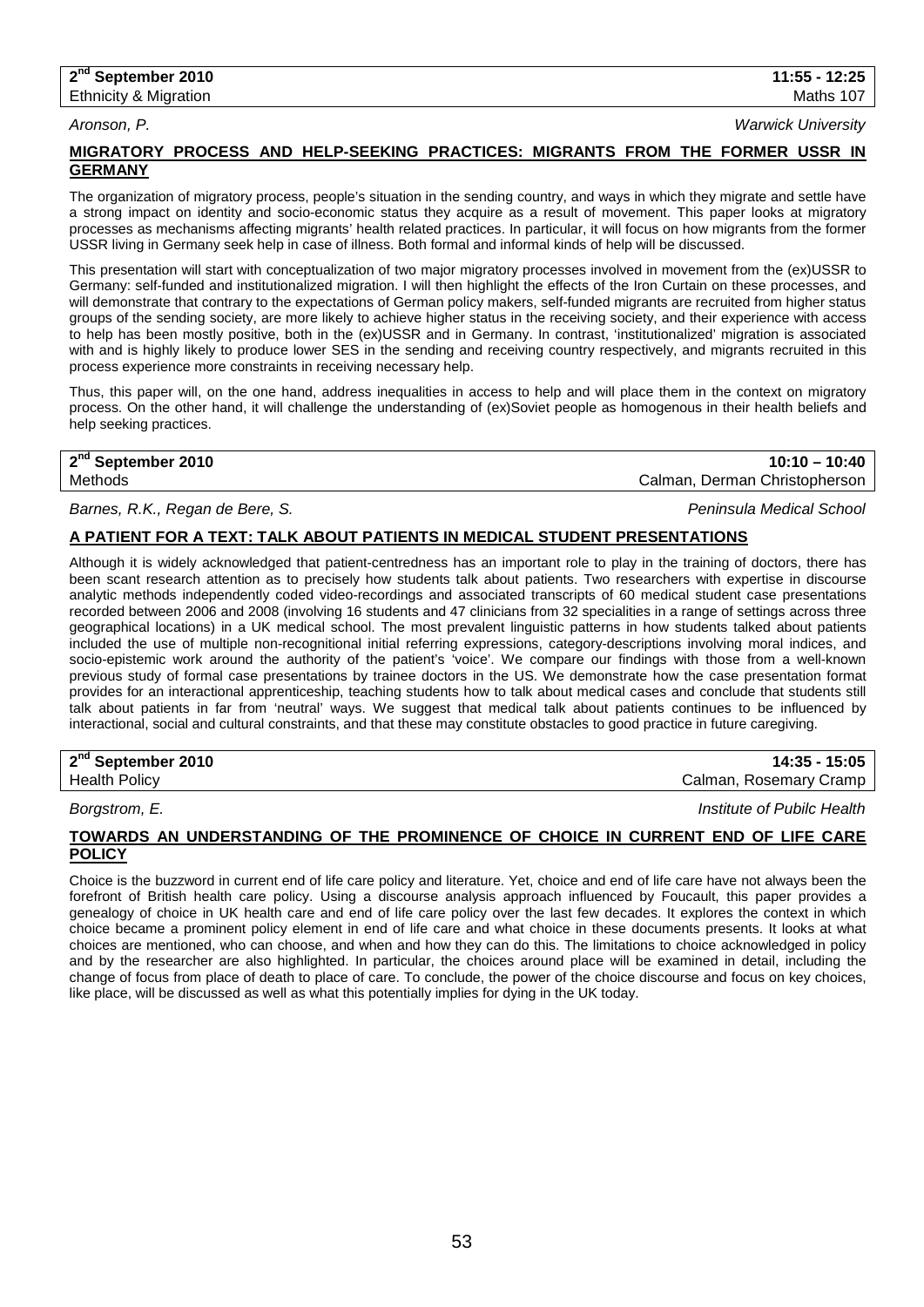#### **2nd September 2010 11:55 - 12:25 Ethnicity & Migration Maths 107** Control of the Maths 107 Control of the Maths 107

*Aronson, P. Warwick University*

## **MIGRATORY PROCESS AND HELP-SEEKING PRACTICES: MIGRANTS FROM THE FORMER USSR IN GERMANY**

The organization of migratory process, people's situation in the sending country, and ways in which they migrate and settle have a strong impact on identity and socio-economic status they acquire as a result of movement. This paper looks at migratory processes as mechanisms affecting migrants' health related practices. In particular, it will focus on how migrants from the former USSR living in Germany seek help in case of illness. Both formal and informal kinds of help will be discussed.

This presentation will start with conceptualization of two major migratory processes involved in movement from the (ex)USSR to Germany: self-funded and institutionalized migration. I will then highlight the effects of the Iron Curtain on these processes, and will demonstrate that contrary to the expectations of German policy makers, self-funded migrants are recruited from higher status groups of the sending society, are more likely to achieve higher status in the receiving society, and their experience with access to help has been mostly positive, both in the (ex)USSR and in Germany. In contrast, 'institutionalized' migration is associated with and is highly likely to produce lower SES in the sending and receiving country respectively, and migrants recruited in this process experience more constraints in receiving necessary help.

Thus, this paper will, on the one hand, address inequalities in access to help and will place them in the context on migratory process. On the other hand, it will challenge the understanding of (ex)Soviet people as homogenous in their health beliefs and help seeking practices.

|  |   |  |  | $2nd$ September 2010 |  |  |
|--|---|--|--|----------------------|--|--|
|  | . |  |  |                      |  |  |

**2nd September 2010 10:10 – 10:40** Methods Calman, Derman Christopherson

*Barnes, R.K., Regan de Bere, S. Peninsula Medical School*

## **A PATIENT FOR A TEXT: TALK ABOUT PATIENTS IN MEDICAL STUDENT PRESENTATIONS**

Although it is widely acknowledged that patient-centredness has an important role to play in the training of doctors, there has been scant research attention as to precisely how students talk about patients. Two researchers with expertise in discourse analytic methods independently coded video-recordings and associated transcripts of 60 medical student case presentations recorded between 2006 and 2008 (involving 16 students and 47 clinicians from 32 specialities in a range of settings across three geographical locations) in a UK medical school. The most prevalent linguistic patterns in how students talked about patients included the use of multiple non-recognitional initial referring expressions, category-descriptions involving moral indices, and socio-epistemic work around the authority of the patient's 'voice'. We compare our findings with those from a well-known previous study of formal case presentations by trainee doctors in the US. We demonstrate how the case presentation format provides for an interactional apprenticeship, teaching students how to talk about medical cases and conclude that students still talk about patients in far from 'neutral' ways. We suggest that medical talk about patients continues to be influenced by interactional, social and cultural constraints, and that these may constitute obstacles to good practice in future caregiving.

| 2 <sup>nd</sup> September 2010 | 15:05<br>14:35            |
|--------------------------------|---------------------------|
| <b>Health Policy</b>           | Rosemary Cramp<br>Calman, |
|                                |                           |

*Borgstrom, E. Institute of Pubilc Health*

#### **TOWARDS AN UNDERSTANDING OF THE PROMINENCE OF CHOICE IN CURRENT END OF LIFE CARE POLICY**

Choice is the buzzword in current end of life care policy and literature. Yet, choice and end of life care have not always been the forefront of British health care policy. Using a discourse analysis approach influenced by Foucault, this paper provides a genealogy of choice in UK health care and end of life care policy over the last few decades. It explores the context in which choice became a prominent policy element in end of life care and what choice in these documents presents. It looks at what choices are mentioned, who can choose, and when and how they can do this. The limitations to choice acknowledged in policy and by the researcher are also highlighted. In particular, the choices around place will be examined in detail, including the change of focus from place of death to place of care. To conclude, the power of the choice discourse and focus on key choices, like place, will be discussed as well as what this potentially implies for dying in the UK today.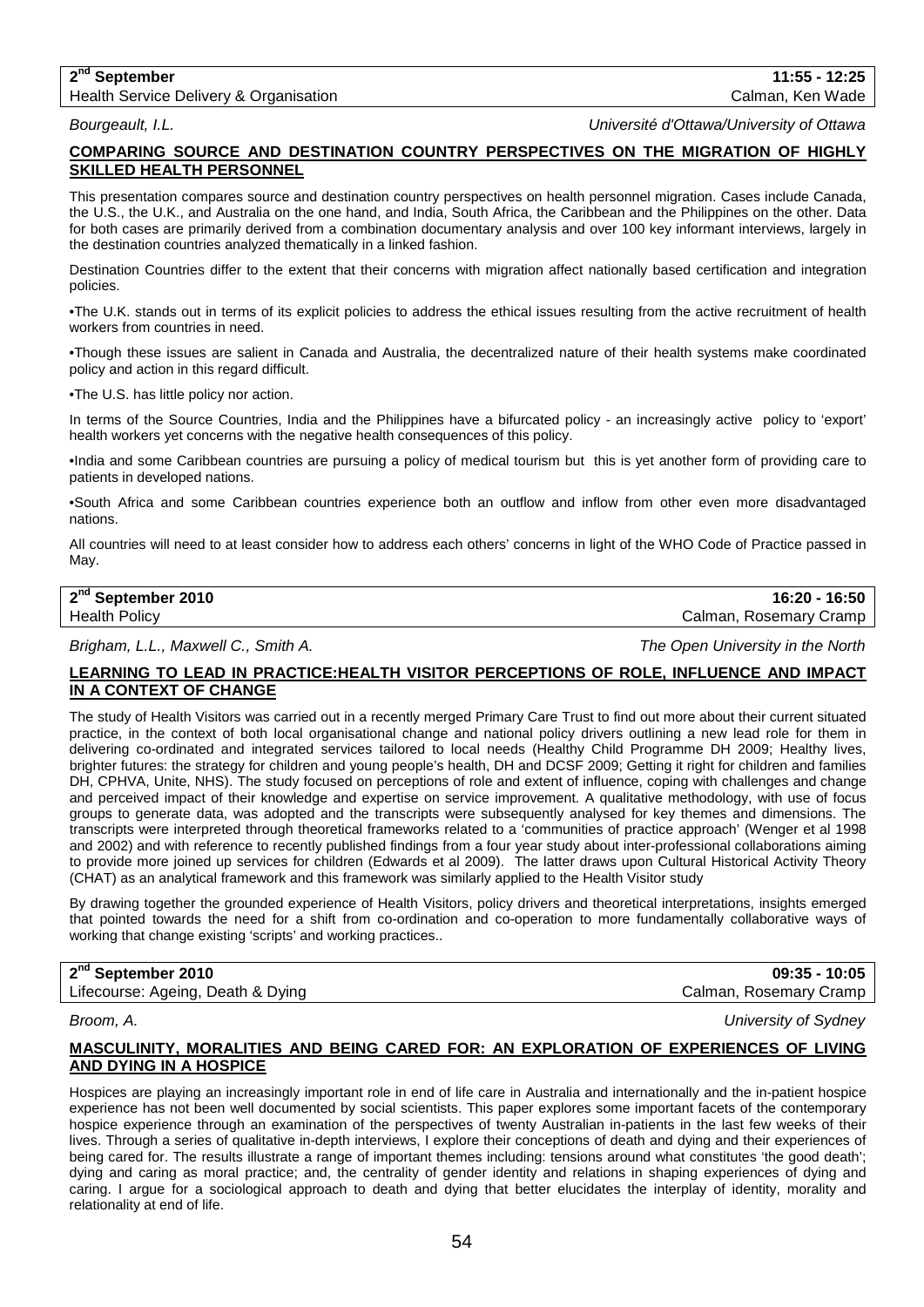## **2nd September 11:55 - 12:25** Health Service Delivery & Organisation **Calman, Calman, Calman, Ken Wade** Calman, Ken Wade

*Bourgeault, I.L. Université d'Ottawa/University of Ottawa* 

## **COMPARING SOURCE AND DESTINATION COUNTRY PERSPECTIVES ON THE MIGRATION OF HIGHLY SKILLED HEALTH PERSONNEL**

This presentation compares source and destination country perspectives on health personnel migration. Cases include Canada, the U.S., the U.K., and Australia on the one hand, and India, South Africa, the Caribbean and the Philippines on the other. Data for both cases are primarily derived from a combination documentary analysis and over 100 key informant interviews, largely in the destination countries analyzed thematically in a linked fashion.

Destination Countries differ to the extent that their concerns with migration affect nationally based certification and integration policies.

•The U.K. stands out in terms of its explicit policies to address the ethical issues resulting from the active recruitment of health workers from countries in need.

•Though these issues are salient in Canada and Australia, the decentralized nature of their health systems make coordinated policy and action in this regard difficult.

•The U.S. has little policy nor action.

In terms of the Source Countries, India and the Philippines have a bifurcated policy - an increasingly active policy to 'export' health workers yet concerns with the negative health consequences of this policy.

•India and some Caribbean countries are pursuing a policy of medical tourism but this is yet another form of providing care to patients in developed nations.

•South Africa and some Caribbean countries experience both an outflow and inflow from other even more disadvantaged nations.

All countries will need to at least consider how to address each others' concerns in light of the WHO Code of Practice passed in May.

## **2nd September 2010 16:20 - 16:50** Health Policy Calman, Rosemary Cramp

*Brigham, L.L., Maxwell C., Smith A. The Open University in the North*

## **LEARNING TO LEAD IN PRACTICE:HEALTH VISITOR PERCEPTIONS OF ROLE, INFLUENCE AND IMPACT IN A CONTEXT OF CHANGE**

The study of Health Visitors was carried out in a recently merged Primary Care Trust to find out more about their current situated practice, in the context of both local organisational change and national policy drivers outlining a new lead role for them in delivering co-ordinated and integrated services tailored to local needs (Healthy Child Programme DH 2009; Healthy lives, brighter futures: the strategy for children and young people's health, DH and DCSF 2009; Getting it right for children and families DH, CPHVA, Unite, NHS). The study focused on perceptions of role and extent of influence, coping with challenges and change and perceived impact of their knowledge and expertise on service improvement. A qualitative methodology, with use of focus groups to generate data, was adopted and the transcripts were subsequently analysed for key themes and dimensions. The transcripts were interpreted through theoretical frameworks related to a 'communities of practice approach' (Wenger et al 1998 and 2002) and with reference to recently published findings from a four year study about inter-professional collaborations aiming to provide more joined up services for children (Edwards et al 2009). The latter draws upon Cultural Historical Activity Theory (CHAT) as an analytical framework and this framework was similarly applied to the Health Visitor study

By drawing together the grounded experience of Health Visitors, policy drivers and theoretical interpretations, insights emerged that pointed towards the need for a shift from co-ordination and co-operation to more fundamentally collaborative ways of working that change existing 'scripts' and working practices..

## **2nd September 2010 09:35 - 10:05**

Lifecourse: Ageing, Death & Dying Calman, Rosemary Cramp Calman, Rosemary Cramp

*Broom, A. University of Sydney*

## **MASCULINITY, MORALITIES AND BEING CARED FOR: AN EXPLORATION OF EXPERIENCES OF LIVING AND DYING IN A HOSPICE**

Hospices are playing an increasingly important role in end of life care in Australia and internationally and the in-patient hospice experience has not been well documented by social scientists. This paper explores some important facets of the contemporary hospice experience through an examination of the perspectives of twenty Australian in-patients in the last few weeks of their lives. Through a series of qualitative in-depth interviews, I explore their conceptions of death and dying and their experiences of being cared for. The results illustrate a range of important themes including: tensions around what constitutes 'the good death'; dying and caring as moral practice; and, the centrality of gender identity and relations in shaping experiences of dying and caring. I argue for a sociological approach to death and dying that better elucidates the interplay of identity, morality and relationality at end of life.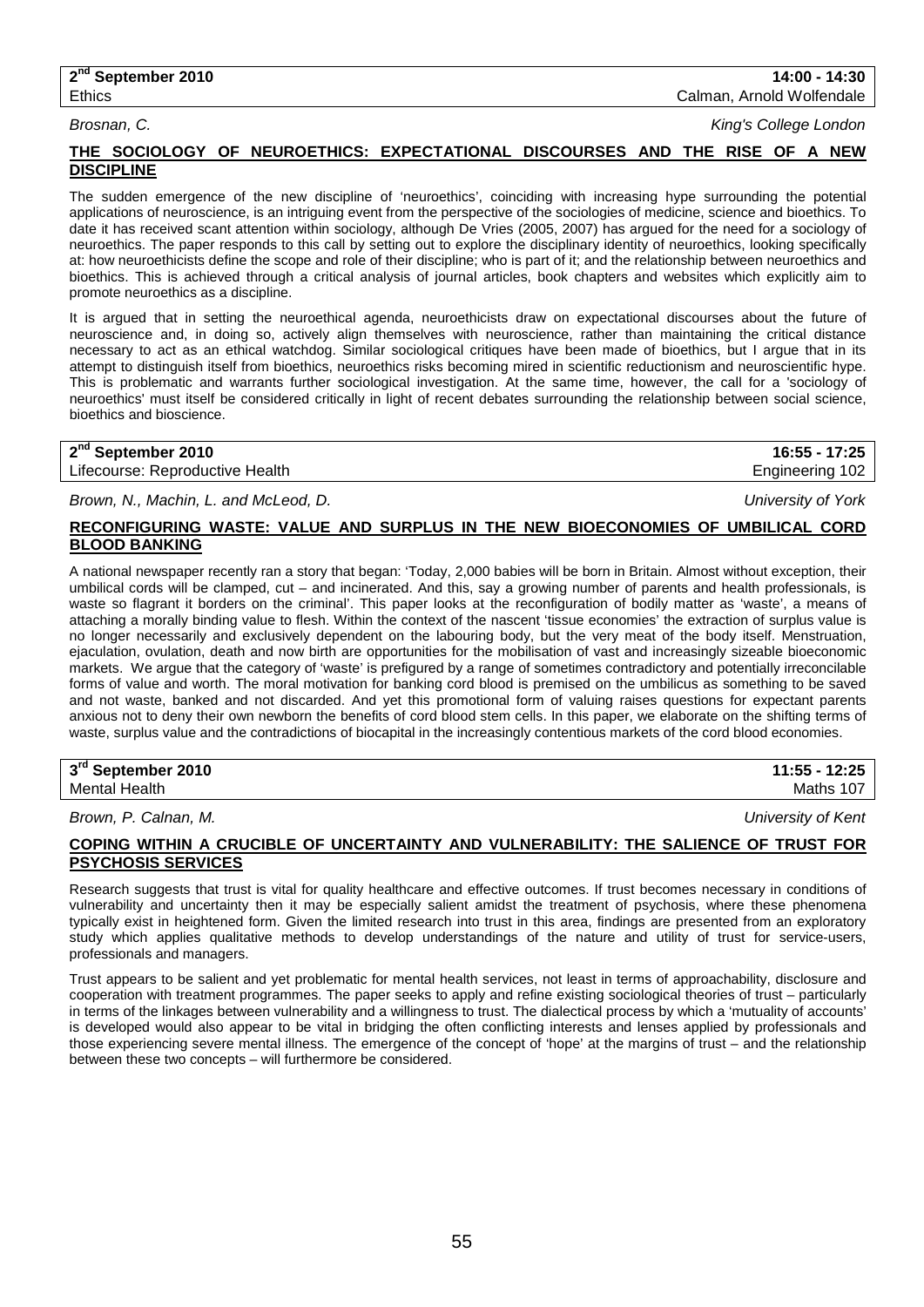### **2nd September 2010 14:00 - 14:30** Ethics Calman, Arnold Wolfendale

*Brosnan, C. King's College London*

## **THE SOCIOLOGY OF NEUROETHICS: EXPECTATIONAL DISCOURSES AND THE RISE OF A NEW DISCIPLINE**

The sudden emergence of the new discipline of 'neuroethics', coinciding with increasing hype surrounding the potential applications of neuroscience, is an intriguing event from the perspective of the sociologies of medicine, science and bioethics. To date it has received scant attention within sociology, although De Vries (2005, 2007) has argued for the need for a sociology of neuroethics. The paper responds to this call by setting out to explore the disciplinary identity of neuroethics, looking specifically at: how neuroethicists define the scope and role of their discipline; who is part of it; and the relationship between neuroethics and bioethics. This is achieved through a critical analysis of journal articles, book chapters and websites which explicitly aim to promote neuroethics as a discipline.

It is argued that in setting the neuroethical agenda, neuroethicists draw on expectational discourses about the future of neuroscience and, in doing so, actively align themselves with neuroscience, rather than maintaining the critical distance necessary to act as an ethical watchdog. Similar sociological critiques have been made of bioethics, but I argue that in its attempt to distinguish itself from bioethics, neuroethics risks becoming mired in scientific reductionism and neuroscientific hype. This is problematic and warrants further sociological investigation. At the same time, however, the call for a 'sociology of neuroethics' must itself be considered critically in light of recent debates surrounding the relationship between social science, bioethics and bioscience.

| 2 <sup>nd</sup> September 2010  | 16:55 - 17:25   |
|---------------------------------|-----------------|
| Lifecourse: Reproductive Health | Engineering 102 |

*Brown, N., Machin, L. and McLeod, D. University of York*

## **RECONFIGURING WASTE: VALUE AND SURPLUS IN THE NEW BIOECONOMIES OF UMBILICAL CORD BLOOD BANKING**

A national newspaper recently ran a story that began: 'Today, 2,000 babies will be born in Britain. Almost without exception, their umbilical cords will be clamped, cut – and incinerated. And this, say a growing number of parents and health professionals, is waste so flagrant it borders on the criminal'. This paper looks at the reconfiguration of bodily matter as 'waste', a means of attaching a morally binding value to flesh. Within the context of the nascent 'tissue economies' the extraction of surplus value is no longer necessarily and exclusively dependent on the labouring body, but the very meat of the body itself. Menstruation, ejaculation, ovulation, death and now birth are opportunities for the mobilisation of vast and increasingly sizeable bioeconomic markets. We argue that the category of 'waste' is prefigured by a range of sometimes contradictory and potentially irreconcilable forms of value and worth. The moral motivation for banking cord blood is premised on the umbilicus as something to be saved and not waste, banked and not discarded. And yet this promotional form of valuing raises questions for expectant parents anxious not to deny their own newborn the benefits of cord blood stem cells. In this paper, we elaborate on the shifting terms of waste, surplus value and the contradictions of biocapital in the increasingly contentious markets of the cord blood economies.

| 3rd September 2010   | 11:55 - 12:25 |
|----------------------|---------------|
| <b>Mental Health</b> | Maths 107     |

*Brown, P. Calnan, M. University of Kent*

## **COPING WITHIN A CRUCIBLE OF UNCERTAINTY AND VULNERABILITY: THE SALIENCE OF TRUST FOR PSYCHOSIS SERVICES**

Research suggests that trust is vital for quality healthcare and effective outcomes. If trust becomes necessary in conditions of vulnerability and uncertainty then it may be especially salient amidst the treatment of psychosis, where these phenomena typically exist in heightened form. Given the limited research into trust in this area, findings are presented from an exploratory study which applies qualitative methods to develop understandings of the nature and utility of trust for service-users, professionals and managers.

Trust appears to be salient and yet problematic for mental health services, not least in terms of approachability, disclosure and cooperation with treatment programmes. The paper seeks to apply and refine existing sociological theories of trust – particularly in terms of the linkages between vulnerability and a willingness to trust. The dialectical process by which a 'mutuality of accounts' is developed would also appear to be vital in bridging the often conflicting interests and lenses applied by professionals and those experiencing severe mental illness. The emergence of the concept of 'hope' at the margins of trust – and the relationship between these two concepts – will furthermore be considered.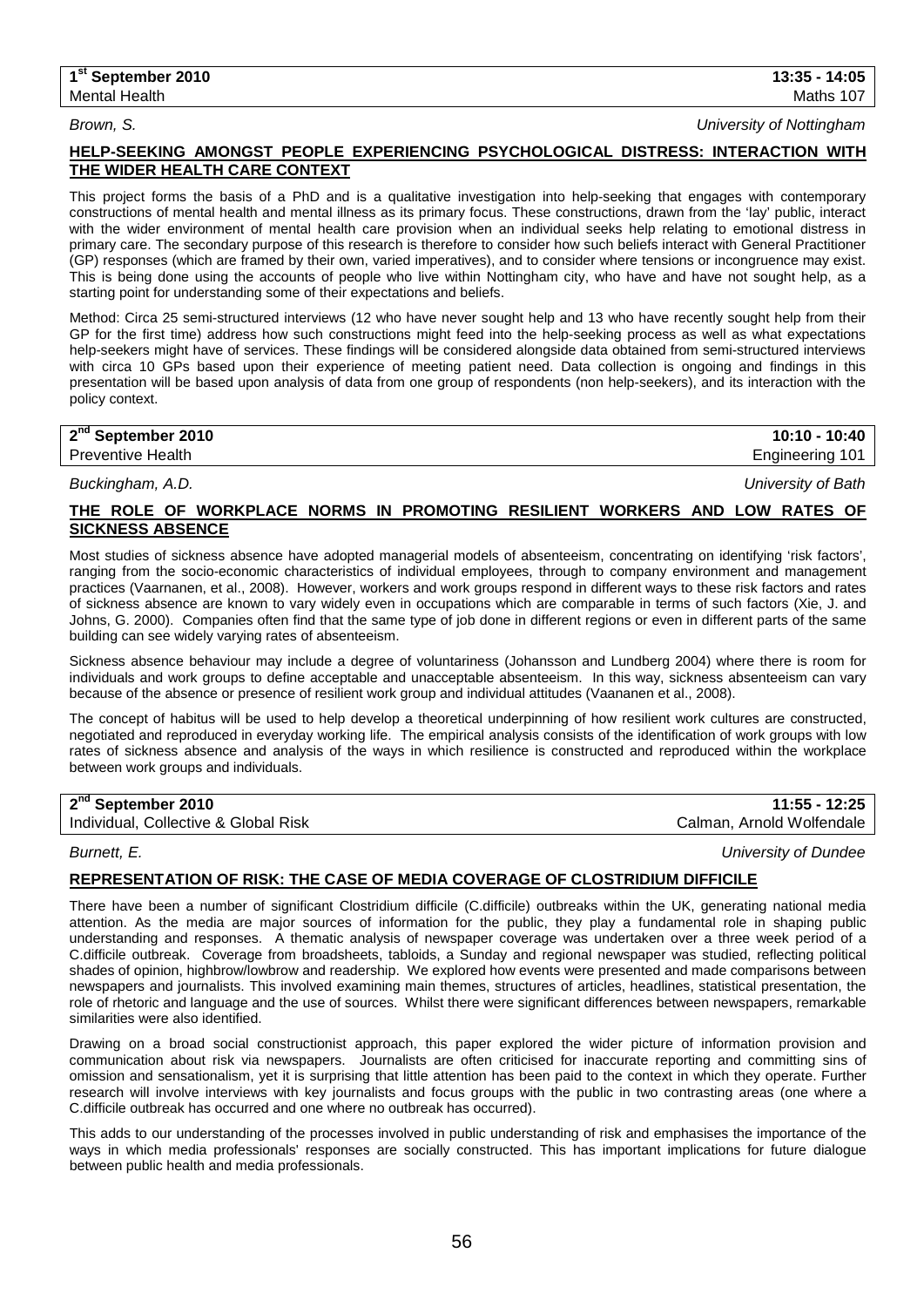*Brown, S. University of Nottingham*

## **HELP-SEEKING AMONGST PEOPLE EXPERIENCING PSYCHOLOGICAL DISTRESS: INTERACTION WITH THE WIDER HEALTH CARE CONTEXT**

This project forms the basis of a PhD and is a qualitative investigation into help-seeking that engages with contemporary constructions of mental health and mental illness as its primary focus. These constructions, drawn from the 'lay' public, interact with the wider environment of mental health care provision when an individual seeks help relating to emotional distress in primary care. The secondary purpose of this research is therefore to consider how such beliefs interact with General Practitioner (GP) responses (which are framed by their own, varied imperatives), and to consider where tensions or incongruence may exist. This is being done using the accounts of people who live within Nottingham city, who have and have not sought help, as a starting point for understanding some of their expectations and beliefs.

Method: Circa 25 semi-structured interviews (12 who have never sought help and 13 who have recently sought help from their GP for the first time) address how such constructions might feed into the help-seeking process as well as what expectations help-seekers might have of services. These findings will be considered alongside data obtained from semi-structured interviews with circa 10 GPs based upon their experience of meeting patient need. Data collection is ongoing and findings in this presentation will be based upon analysis of data from one group of respondents (non help-seekers), and its interaction with the policy context.

| 2 <sup>nd</sup> September 2010 | $10:10 - 10:40$ |
|--------------------------------|-----------------|
| <b>Preventive Health</b>       | Engineering 101 |
|                                |                 |

*Buckingham, A.D. University of Bath*

## **THE ROLE OF WORKPLACE NORMS IN PROMOTING RESILIENT WORKERS AND LOW RATES OF SICKNESS ABSENCE**

Most studies of sickness absence have adopted managerial models of absenteeism, concentrating on identifying 'risk factors', ranging from the socio-economic characteristics of individual employees, through to company environment and management practices (Vaarnanen, et al., 2008). However, workers and work groups respond in different ways to these risk factors and rates of sickness absence are known to vary widely even in occupations which are comparable in terms of such factors (Xie, J. and Johns, G. 2000). Companies often find that the same type of job done in different regions or even in different parts of the same building can see widely varying rates of absenteeism.

Sickness absence behaviour may include a degree of voluntariness (Johansson and Lundberg 2004) where there is room for individuals and work groups to define acceptable and unacceptable absenteeism. In this way, sickness absenteeism can vary because of the absence or presence of resilient work group and individual attitudes (Vaananen et al., 2008).

The concept of habitus will be used to help develop a theoretical underpinning of how resilient work cultures are constructed, negotiated and reproduced in everyday working life. The empirical analysis consists of the identification of work groups with low rates of sickness absence and analysis of the ways in which resilience is constructed and reproduced within the workplace between work groups and individuals.

## **2nd September 2010 11:55 - 12:25**

Individual, Collective & Global Risk Calman, Arnold Wolfendale

*Burnett, E. University of Dundee*

## **REPRESENTATION OF RISK: THE CASE OF MEDIA COVERAGE OF CLOSTRIDIUM DIFFICILE**

There have been a number of significant Clostridium difficile (C.difficile) outbreaks within the UK, generating national media attention. As the media are major sources of information for the public, they play a fundamental role in shaping public understanding and responses. A thematic analysis of newspaper coverage was undertaken over a three week period of a C.difficile outbreak. Coverage from broadsheets, tabloids, a Sunday and regional newspaper was studied, reflecting political shades of opinion, highbrow/lowbrow and readership. We explored how events were presented and made comparisons between newspapers and journalists. This involved examining main themes, structures of articles, headlines, statistical presentation, the role of rhetoric and language and the use of sources. Whilst there were significant differences between newspapers, remarkable similarities were also identified.

Drawing on a broad social constructionist approach, this paper explored the wider picture of information provision and communication about risk via newspapers. Journalists are often criticised for inaccurate reporting and committing sins of omission and sensationalism, yet it is surprising that little attention has been paid to the context in which they operate. Further research will involve interviews with key journalists and focus groups with the public in two contrasting areas (one where a C.difficile outbreak has occurred and one where no outbreak has occurred).

This adds to our understanding of the processes involved in public understanding of risk and emphasises the importance of the ways in which media professionals' responses are socially constructed. This has important implications for future dialogue between public health and media professionals.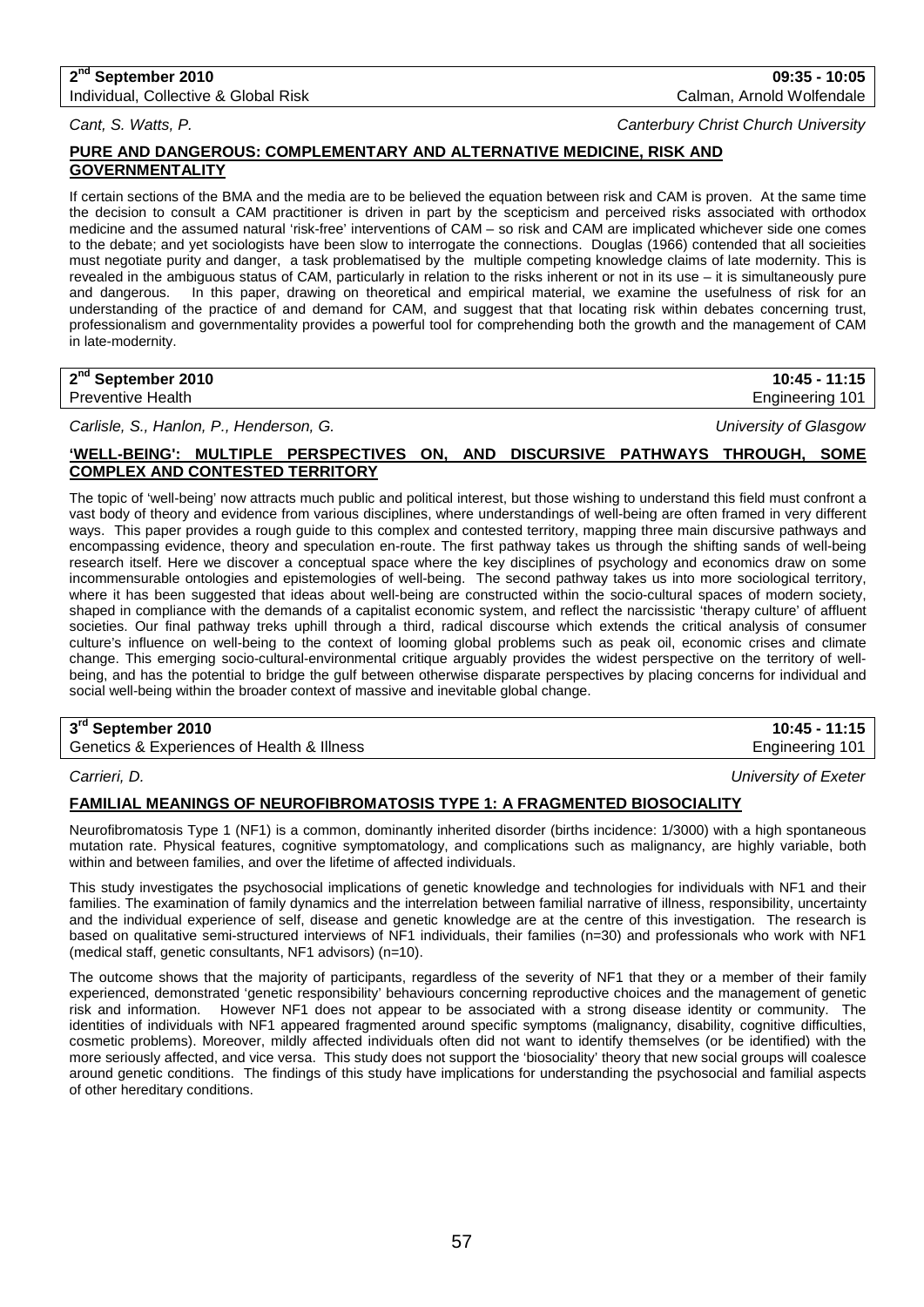## **2nd September 2010 09:35 - 10:05**

Individual, Collective & Global Risk Calman, Arnold Wolfendale Calman, Arnold Wolfendale

## *Cant, S. Watts, P. Canterbury Christ Church University*

## **PURE AND DANGEROUS: COMPLEMENTARY AND ALTERNATIVE MEDICINE, RISK AND GOVERNMENTALITY**

If certain sections of the BMA and the media are to be believed the equation between risk and CAM is proven. At the same time the decision to consult a CAM practitioner is driven in part by the scepticism and perceived risks associated with orthodox medicine and the assumed natural 'risk-free' interventions of CAM – so risk and CAM are implicated whichever side one comes to the debate; and yet sociologists have been slow to interrogate the connections. Douglas (1966) contended that all socieities must negotiate purity and danger, a task problematised by the multiple competing knowledge claims of late modernity. This is revealed in the ambiguous status of CAM, particularly in relation to the risks inherent or not in its use – it is simultaneously pure and dangerous. In this paper, drawing on theoretical and empirical material, we examine the usefulness of risk for an understanding of the practice of and demand for CAM, and suggest that that locating risk within debates concerning trust, professionalism and governmentality provides a powerful tool for comprehending both the growth and the management of CAM in late-modernity.

| 2 <sup>nd</sup> September 2010 | 10:45 -<br>11:15 |
|--------------------------------|------------------|
| <b>Preventive Health</b>       | Engineering 101  |

*Carlisle, S., Hanlon, P., Henderson, G. University of Glasgow*

## **'WELL-BEING': MULTIPLE PERSPECTIVES ON, AND DISCURSIVE PATHWAYS THROUGH, SOME COMPLEX AND CONTESTED TERRITORY**

The topic of 'well-being' now attracts much public and political interest, but those wishing to understand this field must confront a vast body of theory and evidence from various disciplines, where understandings of well-being are often framed in very different ways. This paper provides a rough guide to this complex and contested territory, mapping three main discursive pathways and encompassing evidence, theory and speculation en-route. The first pathway takes us through the shifting sands of well-being research itself. Here we discover a conceptual space where the key disciplines of psychology and economics draw on some incommensurable ontologies and epistemologies of well-being. The second pathway takes us into more sociological territory, where it has been suggested that ideas about well-being are constructed within the socio-cultural spaces of modern society, shaped in compliance with the demands of a capitalist economic system, and reflect the narcissistic 'therapy culture' of affluent societies. Our final pathway treks uphill through a third, radical discourse which extends the critical analysis of consumer culture's influence on well-being to the context of looming global problems such as peak oil, economic crises and climate change. This emerging socio-cultural-environmental critique arguably provides the widest perspective on the territory of wellbeing, and has the potential to bridge the gulf between otherwise disparate perspectives by placing concerns for individual and social well-being within the broader context of massive and inevitable global change.

## **3rd September 2010 10:45 - 11:15**

Genetics & Experiences of Health & Illness Engineering 101

*Carrieri, D. University of Exeter*

## **FAMILIAL MEANINGS OF NEUROFIBROMATOSIS TYPE 1: A FRAGMENTED BIOSOCIALITY**

Neurofibromatosis Type 1 (NF1) is a common, dominantly inherited disorder (births incidence: 1/3000) with a high spontaneous mutation rate. Physical features, cognitive symptomatology, and complications such as malignancy, are highly variable, both within and between families, and over the lifetime of affected individuals.

This study investigates the psychosocial implications of genetic knowledge and technologies for individuals with NF1 and their families. The examination of family dynamics and the interrelation between familial narrative of illness, responsibility, uncertainty and the individual experience of self, disease and genetic knowledge are at the centre of this investigation. The research is based on qualitative semi-structured interviews of NF1 individuals, their families (n=30) and professionals who work with NF1 (medical staff, genetic consultants, NF1 advisors) (n=10).

The outcome shows that the majority of participants, regardless of the severity of NF1 that they or a member of their family experienced, demonstrated 'genetic responsibility' behaviours concerning reproductive choices and the management of genetic risk and information. However NF1 does not appear to be associated with a strong disease identity or community. The identities of individuals with NF1 appeared fragmented around specific symptoms (malignancy, disability, cognitive difficulties, cosmetic problems). Moreover, mildly affected individuals often did not want to identify themselves (or be identified) with the more seriously affected, and vice versa. This study does not support the 'biosociality' theory that new social groups will coalesce around genetic conditions. The findings of this study have implications for understanding the psychosocial and familial aspects of other hereditary conditions.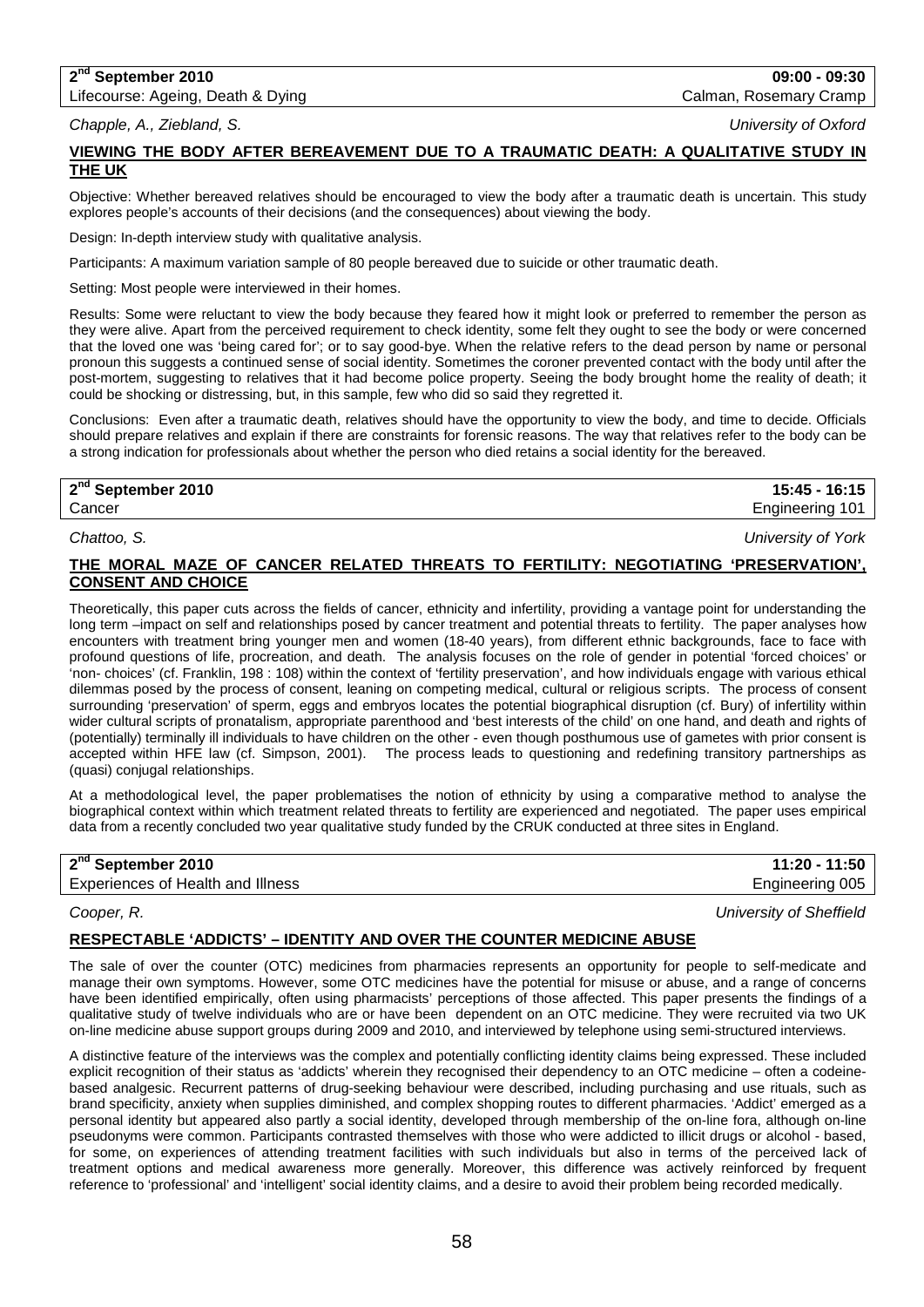# **2nd September 2010 09:00 - 09:30**

Lifecourse: Ageing, Death & Dying Calman, Rosemary Cramp Calman, Rosemary Cramp

*Chapple, A., Ziebland, S. University of Oxford*

## **VIEWING THE BODY AFTER BEREAVEMENT DUE TO A TRAUMATIC DEATH: A QUALITATIVE STUDY IN THE UK**

Objective: Whether bereaved relatives should be encouraged to view the body after a traumatic death is uncertain. This study explores people's accounts of their decisions (and the consequences) about viewing the body.

Design: In-depth interview study with qualitative analysis.

Participants: A maximum variation sample of 80 people bereaved due to suicide or other traumatic death.

Setting: Most people were interviewed in their homes.

Results: Some were reluctant to view the body because they feared how it might look or preferred to remember the person as they were alive. Apart from the perceived requirement to check identity, some felt they ought to see the body or were concerned that the loved one was 'being cared for'; or to say good-bye. When the relative refers to the dead person by name or personal pronoun this suggests a continued sense of social identity. Sometimes the coroner prevented contact with the body until after the post-mortem, suggesting to relatives that it had become police property. Seeing the body brought home the reality of death; it could be shocking or distressing, but, in this sample, few who did so said they regretted it.

Conclusions: Even after a traumatic death, relatives should have the opportunity to view the body, and time to decide. Officials should prepare relatives and explain if there are constraints for forensic reasons. The way that relatives refer to the body can be a strong indication for professionals about whether the person who died retains a social identity for the bereaved.

**2nd September 2010 15:45 - 16:15**

Cancer Engineering 101

*Chattoo, S. University of York*

## **THE MORAL MAZE OF CANCER RELATED THREATS TO FERTILITY: NEGOTIATING 'PRESERVATION', CONSENT AND CHOICE**

Theoretically, this paper cuts across the fields of cancer, ethnicity and infertility, providing a vantage point for understanding the long term –impact on self and relationships posed by cancer treatment and potential threats to fertility. The paper analyses how encounters with treatment bring younger men and women (18-40 years), from different ethnic backgrounds, face to face with profound questions of life, procreation, and death. The analysis focuses on the role of gender in potential 'forced choices' or 'non- choices' (cf. Franklin, 198 : 108) within the context of 'fertility preservation', and how individuals engage with various ethical dilemmas posed by the process of consent, leaning on competing medical, cultural or religious scripts. The process of consent surrounding 'preservation' of sperm, eggs and embryos locates the potential biographical disruption (cf. Bury) of infertility within wider cultural scripts of pronatalism, appropriate parenthood and 'best interests of the child' on one hand, and death and rights of (potentially) terminally ill individuals to have children on the other - even though posthumous use of gametes with prior consent is accepted within HFE law (cf. Simpson, 2001). The process leads to questioning and redefining transitory partnerships as (quasi) conjugal relationships.

At a methodological level, the paper problematises the notion of ethnicity by using a comparative method to analyse the biographical context within which treatment related threats to fertility are experienced and negotiated. The paper uses empirical data from a recently concluded two year qualitative study funded by the CRUK conducted at three sites in England.

| 2 <sup>nd</sup> September 2010           | 11:20 - 11:50   |
|------------------------------------------|-----------------|
| <b>Experiences of Health and Illness</b> | Engineering 005 |
|                                          |                 |

*Cooper, R. University of Sheffield*

### **RESPECTABLE 'ADDICTS' – IDENTITY AND OVER THE COUNTER MEDICINE ABUSE**

The sale of over the counter (OTC) medicines from pharmacies represents an opportunity for people to self-medicate and manage their own symptoms. However, some OTC medicines have the potential for misuse or abuse, and a range of concerns have been identified empirically, often using pharmacists' perceptions of those affected. This paper presents the findings of a qualitative study of twelve individuals who are or have been dependent on an OTC medicine. They were recruited via two UK on-line medicine abuse support groups during 2009 and 2010, and interviewed by telephone using semi-structured interviews.

A distinctive feature of the interviews was the complex and potentially conflicting identity claims being expressed. These included explicit recognition of their status as 'addicts' wherein they recognised their dependency to an OTC medicine – often a codeinebased analgesic. Recurrent patterns of drug-seeking behaviour were described, including purchasing and use rituals, such as brand specificity, anxiety when supplies diminished, and complex shopping routes to different pharmacies. 'Addict' emerged as a personal identity but appeared also partly a social identity, developed through membership of the on-line fora, although on-line pseudonyms were common. Participants contrasted themselves with those who were addicted to illicit drugs or alcohol - based, for some, on experiences of attending treatment facilities with such individuals but also in terms of the perceived lack of treatment options and medical awareness more generally. Moreover, this difference was actively reinforced by frequent reference to 'professional' and 'intelligent' social identity claims, and a desire to avoid their problem being recorded medically.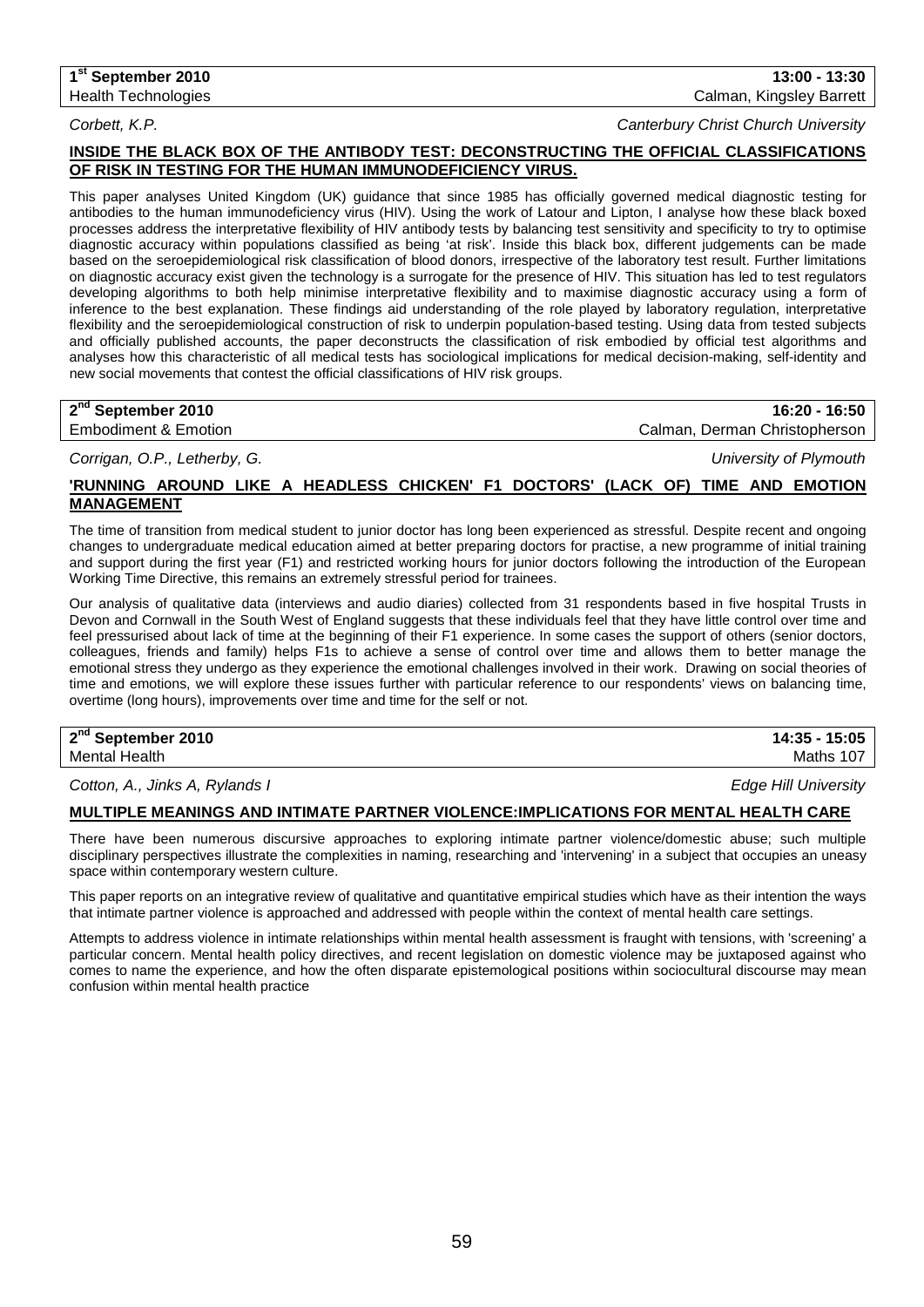*Corbett, K.P. Canterbury Christ Church University*

## **INSIDE THE BLACK BOX OF THE ANTIBODY TEST: DECONSTRUCTING THE OFFICIAL CLASSIFICATIONS OF RISK IN TESTING FOR THE HUMAN IMMUNODEFICIENCY VIRUS.**

This paper analyses United Kingdom (UK) guidance that since 1985 has officially governed medical diagnostic testing for antibodies to the human immunodeficiency virus (HIV). Using the work of Latour and Lipton, I analyse how these black boxed processes address the interpretative flexibility of HIV antibody tests by balancing test sensitivity and specificity to try to optimise diagnostic accuracy within populations classified as being 'at risk'. Inside this black box, different judgements can be made based on the seroepidemiological risk classification of blood donors, irrespective of the laboratory test result. Further limitations on diagnostic accuracy exist given the technology is a surrogate for the presence of HIV. This situation has led to test regulators developing algorithms to both help minimise interpretative flexibility and to maximise diagnostic accuracy using a form of inference to the best explanation. These findings aid understanding of the role played by laboratory regulation, interpretative flexibility and the seroepidemiological construction of risk to underpin population-based testing. Using data from tested subjects and officially published accounts, the paper deconstructs the classification of risk embodied by official test algorithms and analyses how this characteristic of all medical tests has sociological implications for medical decision-making, self-identity and new social movements that contest the official classifications of HIV risk groups.

## **2nd September 2010 16:20 - 16:50**

Embodiment & Emotion Calman, Derman Christopherson

*Corrigan, O.P., Letherby, G. University of Plymouth*

## **'RUNNING AROUND LIKE A HEADLESS CHICKEN' F1 DOCTORS' (LACK OF) TIME AND EMOTION MANAGEMENT**

The time of transition from medical student to junior doctor has long been experienced as stressful. Despite recent and ongoing changes to undergraduate medical education aimed at better preparing doctors for practise, a new programme of initial training and support during the first year (F1) and restricted working hours for junior doctors following the introduction of the European Working Time Directive, this remains an extremely stressful period for trainees.

Our analysis of qualitative data (interviews and audio diaries) collected from 31 respondents based in five hospital Trusts in Devon and Cornwall in the South West of England suggests that these individuals feel that they have little control over time and feel pressurised about lack of time at the beginning of their F1 experience. In some cases the support of others (senior doctors, colleagues, friends and family) helps F1s to achieve a sense of control over time and allows them to better manage the emotional stress they undergo as they experience the emotional challenges involved in their work. Drawing on social theories of time and emotions, we will explore these issues further with particular reference to our respondents' views on balancing time, overtime (long hours), improvements over time and time for the self or not.

## **2nd September 2010 14:35 - 15:05** Mental Health Maths 107

*Cotton, A., Jinks A, Rylands I Edge Hill University*

## **MULTIPLE MEANINGS AND INTIMATE PARTNER VIOLENCE:IMPLICATIONS FOR MENTAL HEALTH CARE**

There have been numerous discursive approaches to exploring intimate partner violence/domestic abuse; such multiple disciplinary perspectives illustrate the complexities in naming, researching and 'intervening' in a subject that occupies an uneasy space within contemporary western culture.

This paper reports on an integrative review of qualitative and quantitative empirical studies which have as their intention the ways that intimate partner violence is approached and addressed with people within the context of mental health care settings.

Attempts to address violence in intimate relationships within mental health assessment is fraught with tensions, with 'screening' a particular concern. Mental health policy directives, and recent legislation on domestic violence may be juxtaposed against who comes to name the experience, and how the often disparate epistemological positions within sociocultural discourse may mean confusion within mental health practice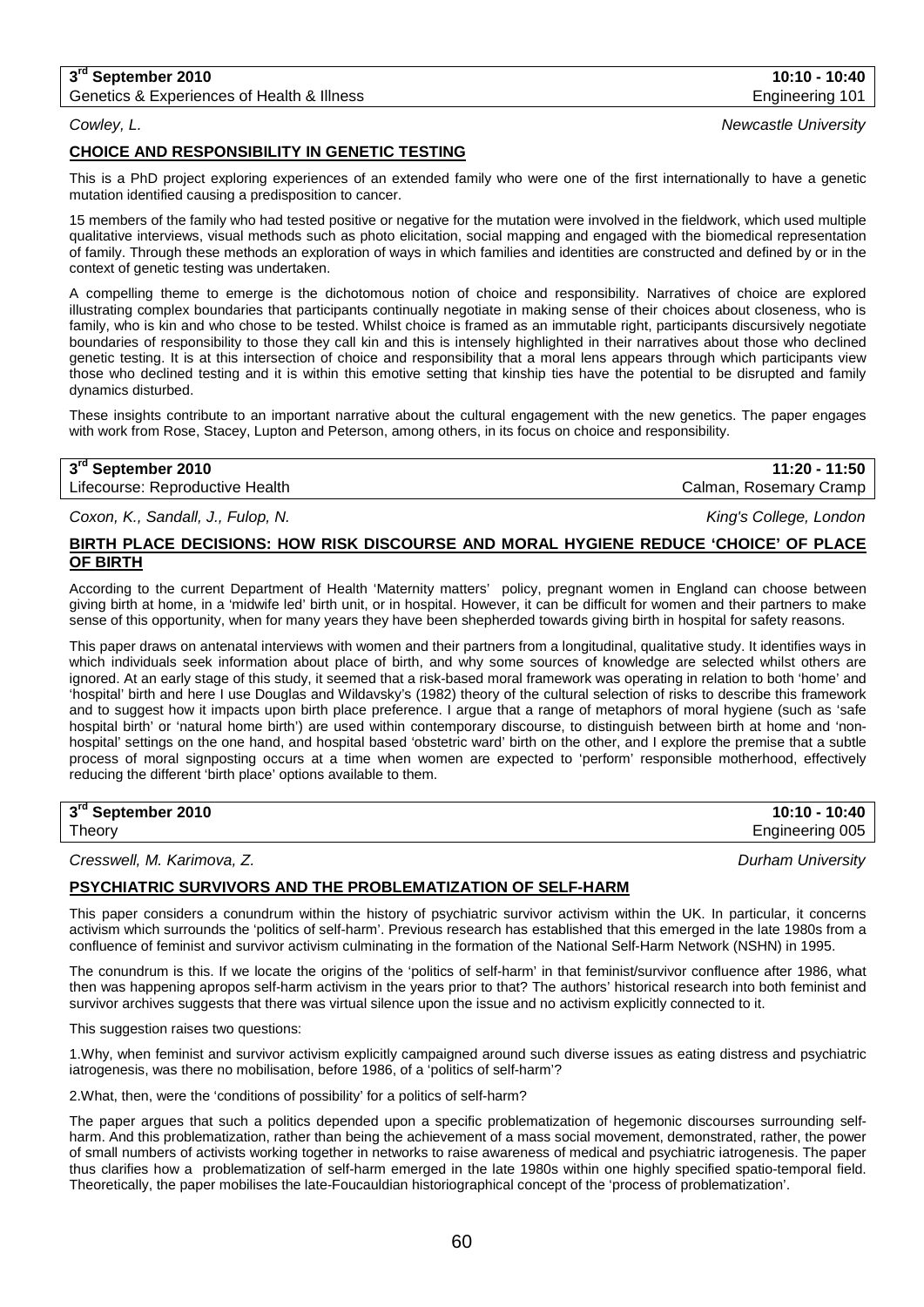## **3rd September 2010 10:10 - 10:40**

Genetics & Experiences of Health & Illness Engineering 101

## **CHOICE AND RESPONSIBILITY IN GENETIC TESTING**

This is a PhD project exploring experiences of an extended family who were one of the first internationally to have a genetic mutation identified causing a predisposition to cancer.

15 members of the family who had tested positive or negative for the mutation were involved in the fieldwork, which used multiple qualitative interviews, visual methods such as photo elicitation, social mapping and engaged with the biomedical representation of family. Through these methods an exploration of ways in which families and identities are constructed and defined by or in the context of genetic testing was undertaken.

A compelling theme to emerge is the dichotomous notion of choice and responsibility. Narratives of choice are explored illustrating complex boundaries that participants continually negotiate in making sense of their choices about closeness, who is family, who is kin and who chose to be tested. Whilst choice is framed as an immutable right, participants discursively negotiate boundaries of responsibility to those they call kin and this is intensely highlighted in their narratives about those who declined genetic testing. It is at this intersection of choice and responsibility that a moral lens appears through which participants view those who declined testing and it is within this emotive setting that kinship ties have the potential to be disrupted and family dynamics disturbed.

These insights contribute to an important narrative about the cultural engagement with the new genetics. The paper engages with work from Rose, Stacey, Lupton and Peterson, among others, in its focus on choice and responsibility.

## **3rd September 2010 11:20 - 11:50** Lifecourse: Reproductive Health Calman, Rosemary Cramp

*Coxon, K., Sandall, J., Fulop, N. King's College, London*

## **BIRTH PLACE DECISIONS: HOW RISK DISCOURSE AND MORAL HYGIENE REDUCE 'CHOICE' OF PLACE OF BIRTH**

According to the current Department of Health 'Maternity matters' policy, pregnant women in England can choose between giving birth at home, in a 'midwife led' birth unit, or in hospital. However, it can be difficult for women and their partners to make sense of this opportunity, when for many years they have been shepherded towards giving birth in hospital for safety reasons.

This paper draws on antenatal interviews with women and their partners from a longitudinal, qualitative study. It identifies ways in which individuals seek information about place of birth, and why some sources of knowledge are selected whilst others are ignored. At an early stage of this study, it seemed that a risk-based moral framework was operating in relation to both 'home' and 'hospital' birth and here I use Douglas and Wildavsky's (1982) theory of the cultural selection of risks to describe this framework and to suggest how it impacts upon birth place preference. I argue that a range of metaphors of moral hygiene (such as 'safe hospital birth' or 'natural home birth') are used within contemporary discourse, to distinguish between birth at home and 'nonhospital' settings on the one hand, and hospital based 'obstetric ward' birth on the other, and I explore the premise that a subtle process of moral signposting occurs at a time when women are expected to 'perform' responsible motherhood, effectively reducing the different 'birth place' options available to them.

**3rd September 2010 10:10 - 10:40** Theory Engineering 005

## *Cresswell, M. Karimova, Z. Durham University*

### **PSYCHIATRIC SURVIVORS AND THE PROBLEMATIZATION OF SELF-HARM**

This paper considers a conundrum within the history of psychiatric survivor activism within the UK. In particular, it concerns activism which surrounds the 'politics of self-harm'. Previous research has established that this emerged in the late 1980s from a confluence of feminist and survivor activism culminating in the formation of the National Self-Harm Network (NSHN) in 1995.

The conundrum is this. If we locate the origins of the 'politics of self-harm' in that feminist/survivor confluence after 1986, what then was happening apropos self-harm activism in the years prior to that? The authors' historical research into both feminist and survivor archives suggests that there was virtual silence upon the issue and no activism explicitly connected to it.

This suggestion raises two questions:

1.Why, when feminist and survivor activism explicitly campaigned around such diverse issues as eating distress and psychiatric iatrogenesis, was there no mobilisation, before 1986, of a 'politics of self-harm'?

2.What, then, were the 'conditions of possibility' for a politics of self-harm?

The paper argues that such a politics depended upon a specific problematization of hegemonic discourses surrounding selfharm. And this problematization, rather than being the achievement of a mass social movement, demonstrated, rather, the power of small numbers of activists working together in networks to raise awareness of medical and psychiatric iatrogenesis. The paper thus clarifies how a problematization of self-harm emerged in the late 1980s within one highly specified spatio-temporal field. Theoretically, the paper mobilises the late-Foucauldian historiographical concept of the 'process of problematization'.

*Cowley, L. Newcastle University*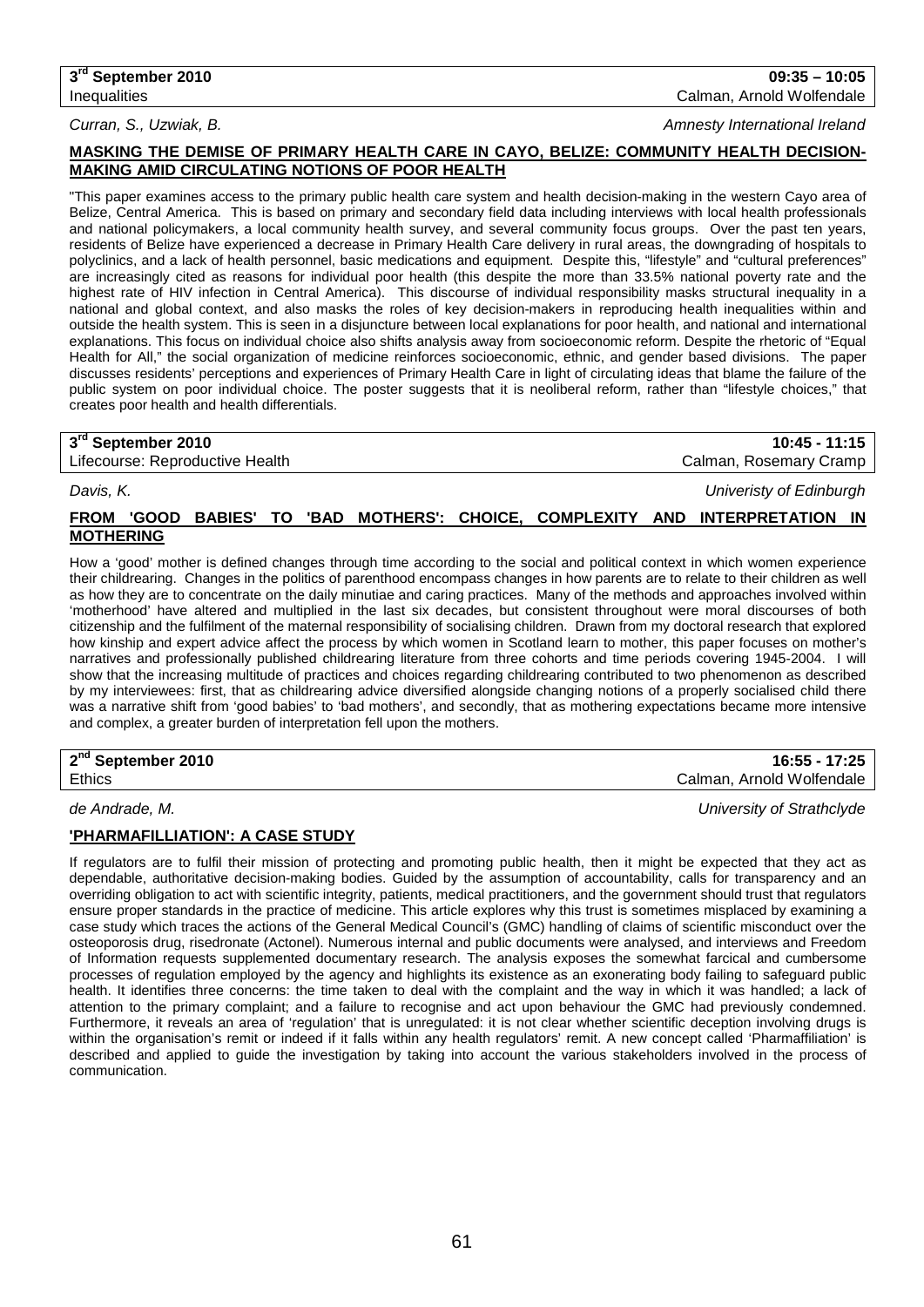#### *Curran, S., Uzwiak, B. Amnesty International Ireland*

## **MASKING THE DEMISE OF PRIMARY HEALTH CARE IN CAYO, BELIZE: COMMUNITY HEALTH DECISION-MAKING AMID CIRCULATING NOTIONS OF POOR HEALTH**

"This paper examines access to the primary public health care system and health decision-making in the western Cayo area of Belize, Central America. This is based on primary and secondary field data including interviews with local health professionals and national policymakers, a local community health survey, and several community focus groups. Over the past ten years, residents of Belize have experienced a decrease in Primary Health Care delivery in rural areas, the downgrading of hospitals to polyclinics, and a lack of health personnel, basic medications and equipment. Despite this, "lifestyle" and "cultural preferences" are increasingly cited as reasons for individual poor health (this despite the more than 33.5% national poverty rate and the highest rate of HIV infection in Central America). This discourse of individual responsibility masks structural inequality in a national and global context, and also masks the roles of key decision-makers in reproducing health inequalities within and outside the health system. This is seen in a disjuncture between local explanations for poor health, and national and international explanations. This focus on individual choice also shifts analysis away from socioeconomic reform. Despite the rhetoric of "Equal Health for All," the social organization of medicine reinforces socioeconomic, ethnic, and gender based divisions. The paper discusses residents' perceptions and experiences of Primary Health Care in light of circulating ideas that blame the failure of the public system on poor individual choice. The poster suggests that it is neoliberal reform, rather than "lifestyle choices," that creates poor health and health differentials.

| 3rd September 2010              | $10:45 - 11:15$        |
|---------------------------------|------------------------|
| Lifecourse: Reproductive Health | Calman, Rosemary Cramp |

*Davis, K. Univeristy of Edinburgh*

## **FROM 'GOOD BABIES' TO 'BAD MOTHERS': CHOICE, COMPLEXITY AND INTERPRETATION IN MOTHERING**

How a 'good' mother is defined changes through time according to the social and political context in which women experience their childrearing. Changes in the politics of parenthood encompass changes in how parents are to relate to their children as well as how they are to concentrate on the daily minutiae and caring practices. Many of the methods and approaches involved within 'motherhood' have altered and multiplied in the last six decades, but consistent throughout were moral discourses of both citizenship and the fulfilment of the maternal responsibility of socialising children. Drawn from my doctoral research that explored how kinship and expert advice affect the process by which women in Scotland learn to mother, this paper focuses on mother's narratives and professionally published childrearing literature from three cohorts and time periods covering 1945-2004. I will show that the increasing multitude of practices and choices regarding childrearing contributed to two phenomenon as described by my interviewees: first, that as childrearing advice diversified alongside changing notions of a properly socialised child there was a narrative shift from 'good babies' to 'bad mothers', and secondly, that as mothering expectations became more intensive and complex, a greater burden of interpretation fell upon the mothers.

| 2 <sup>nd</sup> September 2010 | 16:55 - 17:25                |
|--------------------------------|------------------------------|
| Ethics                         | Arnold Wolfendale<br>Calman. |
|                                |                              |

*de Andrade, M. University of Strathclyde*

## **'PHARMAFILLIATION': A CASE STUDY**

If regulators are to fulfil their mission of protecting and promoting public health, then it might be expected that they act as dependable, authoritative decision-making bodies. Guided by the assumption of accountability, calls for transparency and an overriding obligation to act with scientific integrity, patients, medical practitioners, and the government should trust that regulators ensure proper standards in the practice of medicine. This article explores why this trust is sometimes misplaced by examining a case study which traces the actions of the General Medical Council's (GMC) handling of claims of scientific misconduct over the osteoporosis drug, risedronate (Actonel). Numerous internal and public documents were analysed, and interviews and Freedom of Information requests supplemented documentary research. The analysis exposes the somewhat farcical and cumbersome processes of regulation employed by the agency and highlights its existence as an exonerating body failing to safeguard public health. It identifies three concerns: the time taken to deal with the complaint and the way in which it was handled; a lack of attention to the primary complaint; and a failure to recognise and act upon behaviour the GMC had previously condemned. Furthermore, it reveals an area of 'regulation' that is unregulated: it is not clear whether scientific deception involving drugs is within the organisation's remit or indeed if it falls within any health regulators' remit. A new concept called 'Pharmaffiliation' is described and applied to guide the investigation by taking into account the various stakeholders involved in the process of communication.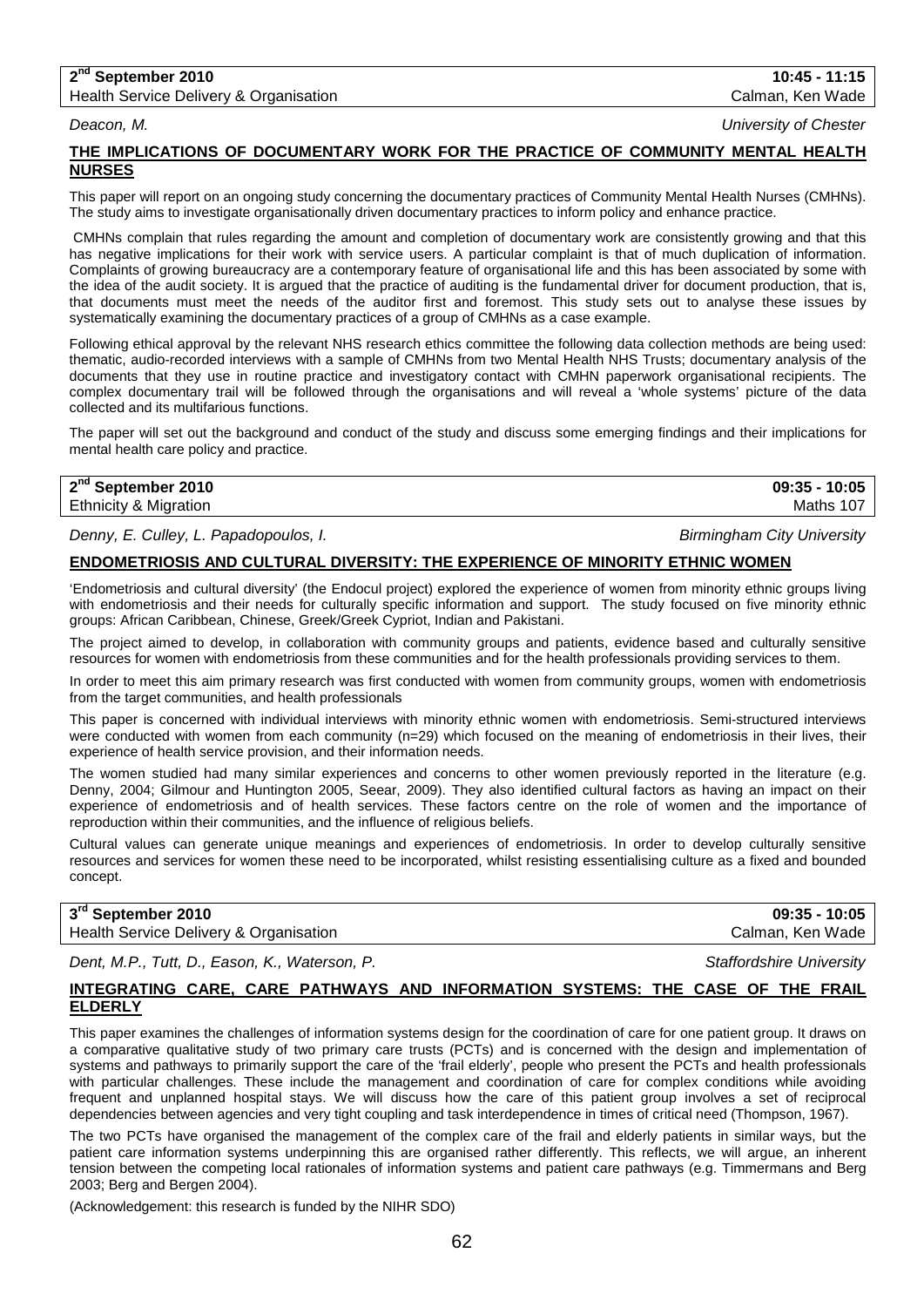#### **2nd September 2010 10:45 - 11:15** Health Service Delivery & Organisation Calman, Calman, Calman, Ken Wade

*Deacon, M. University of Chester*

## **THE IMPLICATIONS OF DOCUMENTARY WORK FOR THE PRACTICE OF COMMUNITY MENTAL HEALTH NURSES**

This paper will report on an ongoing study concerning the documentary practices of Community Mental Health Nurses (CMHNs). The study aims to investigate organisationally driven documentary practices to inform policy and enhance practice.

CMHNs complain that rules regarding the amount and completion of documentary work are consistently growing and that this has negative implications for their work with service users. A particular complaint is that of much duplication of information. Complaints of growing bureaucracy are a contemporary feature of organisational life and this has been associated by some with the idea of the audit society. It is argued that the practice of auditing is the fundamental driver for document production, that is, that documents must meet the needs of the auditor first and foremost. This study sets out to analyse these issues by systematically examining the documentary practices of a group of CMHNs as a case example.

Following ethical approval by the relevant NHS research ethics committee the following data collection methods are being used: thematic, audio-recorded interviews with a sample of CMHNs from two Mental Health NHS Trusts; documentary analysis of the documents that they use in routine practice and investigatory contact with CMHN paperwork organisational recipients. The complex documentary trail will be followed through the organisations and will reveal a 'whole systems' picture of the data collected and its multifarious functions.

The paper will set out the background and conduct of the study and discuss some emerging findings and their implications for mental health care policy and practice.

## **2nd September 2010 09:35 - 10:05 Ethnicity & Migration Maths 107** Control of the Maths 107 Control of the Maths 107

*Denny, E. Culley, L. Papadopoulos, I. Birmingham City University*

### **ENDOMETRIOSIS AND CULTURAL DIVERSITY: THE EXPERIENCE OF MINORITY ETHNIC WOMEN**

'Endometriosis and cultural diversity' (the Endocul project) explored the experience of women from minority ethnic groups living with endometriosis and their needs for culturally specific information and support. The study focused on five minority ethnic groups: African Caribbean, Chinese, Greek/Greek Cypriot, Indian and Pakistani.

The project aimed to develop, in collaboration with community groups and patients, evidence based and culturally sensitive resources for women with endometriosis from these communities and for the health professionals providing services to them.

In order to meet this aim primary research was first conducted with women from community groups, women with endometriosis from the target communities, and health professionals

This paper is concerned with individual interviews with minority ethnic women with endometriosis. Semi-structured interviews were conducted with women from each community (n=29) which focused on the meaning of endometriosis in their lives, their experience of health service provision, and their information needs.

The women studied had many similar experiences and concerns to other women previously reported in the literature (e.g. Denny, 2004; Gilmour and Huntington 2005, Seear, 2009). They also identified cultural factors as having an impact on their experience of endometriosis and of health services. These factors centre on the role of women and the importance of reproduction within their communities, and the influence of religious beliefs.

Cultural values can generate unique meanings and experiences of endometriosis. In order to develop culturally sensitive resources and services for women these need to be incorporated, whilst resisting essentialising culture as a fixed and bounded concept.

## **3rd September 2010 09:35 - 10:05**

Health Service Delivery & Organisation Calman, Ken Wade Calman, Ken Wade

*Dent, M.P., Tutt, D., Eason, K., Waterson, P. Staffordshire University*

## **INTEGRATING CARE, CARE PATHWAYS AND INFORMATION SYSTEMS: THE CASE OF THE FRAIL ELDERLY**

This paper examines the challenges of information systems design for the coordination of care for one patient group. It draws on a comparative qualitative study of two primary care trusts (PCTs) and is concerned with the design and implementation of systems and pathways to primarily support the care of the 'frail elderly', people who present the PCTs and health professionals with particular challenges. These include the management and coordination of care for complex conditions while avoiding frequent and unplanned hospital stays. We will discuss how the care of this patient group involves a set of reciprocal dependencies between agencies and very tight coupling and task interdependence in times of critical need (Thompson, 1967).

The two PCTs have organised the management of the complex care of the frail and elderly patients in similar ways, but the patient care information systems underpinning this are organised rather differently. This reflects, we will argue, an inherent tension between the competing local rationales of information systems and patient care pathways (e.g. Timmermans and Berg 2003; Berg and Bergen 2004).

(Acknowledgement: this research is funded by the NIHR SDO)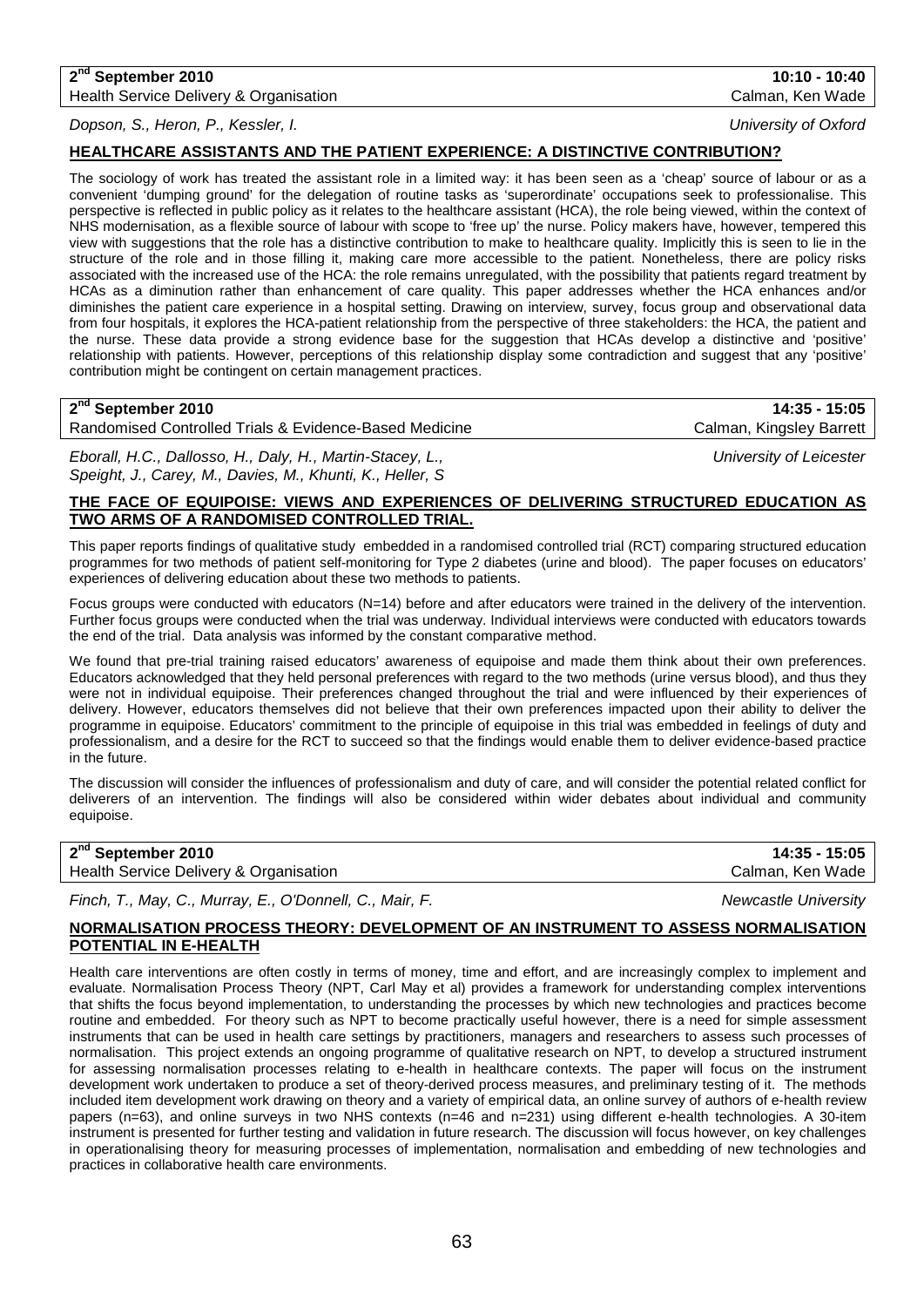## **2nd September 2010 10:10 - 10:40** Health Service Delivery & Organisation Calman, Ken Wade

## *Dopson, S., Heron, P., Kessler, I. University of Oxford*

## **HEALTHCARE ASSISTANTS AND THE PATIENT EXPERIENCE: A DISTINCTIVE CONTRIBUTION?**

The sociology of work has treated the assistant role in a limited way: it has been seen as a 'cheap' source of labour or as a convenient 'dumping ground' for the delegation of routine tasks as 'superordinate' occupations seek to professionalise. This perspective is reflected in public policy as it relates to the healthcare assistant (HCA), the role being viewed, within the context of NHS modernisation, as a flexible source of labour with scope to 'free up' the nurse. Policy makers have, however, tempered this view with suggestions that the role has a distinctive contribution to make to healthcare quality. Implicitly this is seen to lie in the structure of the role and in those filling it, making care more accessible to the patient. Nonetheless, there are policy risks associated with the increased use of the HCA: the role remains unregulated, with the possibility that patients regard treatment by HCAs as a diminution rather than enhancement of care quality. This paper addresses whether the HCA enhances and/or diminishes the patient care experience in a hospital setting. Drawing on interview, survey, focus group and observational data from four hospitals, it explores the HCA-patient relationship from the perspective of three stakeholders: the HCA, the patient and the nurse. These data provide a strong evidence base for the suggestion that HCAs develop a distinctive and 'positive' relationship with patients. However, perceptions of this relationship display some contradiction and suggest that any 'positive' contribution might be contingent on certain management practices.

## **2nd September 2010 14:35 - 15:05**

Randomised Controlled Trials & Evidence-Based Medicine Calman, Kingsley Barrett

*Eborall, H.C., Dallosso, H., Daly, H., Martin-Stacey, L., University of Leicester Speight, J., Carey, M., Davies, M., Khunti, K., Heller, S*

## **THE FACE OF EQUIPOISE: VIEWS AND EXPERIENCES OF DELIVERING STRUCTURED EDUCATION AS TWO ARMS OF A RANDOMISED CONTROLLED TRIAL.**

This paper reports findings of qualitative study embedded in a randomised controlled trial (RCT) comparing structured education programmes for two methods of patient self-monitoring for Type 2 diabetes (urine and blood). The paper focuses on educators' experiences of delivering education about these two methods to patients.

Focus groups were conducted with educators (N=14) before and after educators were trained in the delivery of the intervention. Further focus groups were conducted when the trial was underway. Individual interviews were conducted with educators towards the end of the trial. Data analysis was informed by the constant comparative method.

We found that pre-trial training raised educators' awareness of equipoise and made them think about their own preferences. Educators acknowledged that they held personal preferences with regard to the two methods (urine versus blood), and thus they were not in individual equipoise. Their preferences changed throughout the trial and were influenced by their experiences of delivery. However, educators themselves did not believe that their own preferences impacted upon their ability to deliver the programme in equipoise. Educators' commitment to the principle of equipoise in this trial was embedded in feelings of duty and professionalism, and a desire for the RCT to succeed so that the findings would enable them to deliver evidence-based practice in the future.

The discussion will consider the influences of professionalism and duty of care, and will consider the potential related conflict for deliverers of an intervention. The findings will also be considered within wider debates about individual and community equipoise.

| 2 <sup>nd</sup> September 2010         | 14:35 - 15:05    |
|----------------------------------------|------------------|
| Health Service Delivery & Organisation | Calman, Ken Wade |

*Finch, T., May, C., Murray, E., O'Donnell, C., Mair, F. Newcastle University*

## **NORMALISATION PROCESS THEORY: DEVELOPMENT OF AN INSTRUMENT TO ASSESS NORMALISATION POTENTIAL IN E-HEALTH**

Health care interventions are often costly in terms of money, time and effort, and are increasingly complex to implement and evaluate. Normalisation Process Theory (NPT, Carl May et al) provides a framework for understanding complex interventions that shifts the focus beyond implementation, to understanding the processes by which new technologies and practices become routine and embedded. For theory such as NPT to become practically useful however, there is a need for simple assessment instruments that can be used in health care settings by practitioners, managers and researchers to assess such processes of normalisation. This project extends an ongoing programme of qualitative research on NPT, to develop a structured instrument for assessing normalisation processes relating to e-health in healthcare contexts. The paper will focus on the instrument development work undertaken to produce a set of theory-derived process measures, and preliminary testing of it. The methods included item development work drawing on theory and a variety of empirical data, an online survey of authors of e-health review papers (n=63), and online surveys in two NHS contexts (n=46 and n=231) using different e-health technologies. A 30-item instrument is presented for further testing and validation in future research. The discussion will focus however, on key challenges in operationalising theory for measuring processes of implementation, normalisation and embedding of new technologies and practices in collaborative health care environments.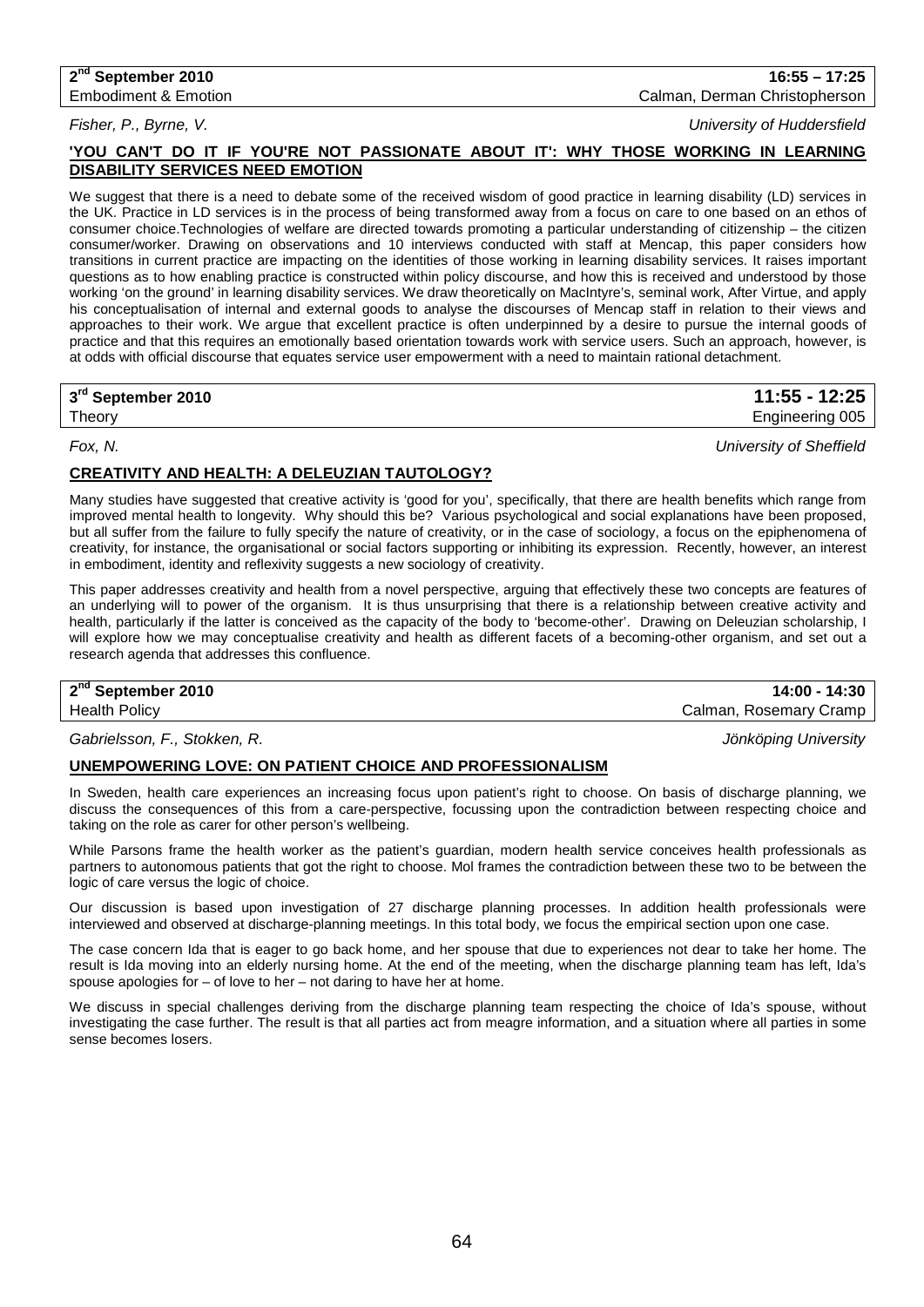**2nd September 2010 16:55 – 17:25** Embodiment & Emotion Calman, Derman Christopherson

*Fisher, P., Byrne, V. University of Huddersfield*

## **'YOU CAN'T DO IT IF YOU'RE NOT PASSIONATE ABOUT IT': WHY THOSE WORKING IN LEARNING DISABILITY SERVICES NEED EMOTION**

We suggest that there is a need to debate some of the received wisdom of good practice in learning disability (LD) services in the UK. Practice in LD services is in the process of being transformed away from a focus on care to one based on an ethos of consumer choice.Technologies of welfare are directed towards promoting a particular understanding of citizenship – the citizen consumer/worker. Drawing on observations and 10 interviews conducted with staff at Mencap, this paper considers how transitions in current practice are impacting on the identities of those working in learning disability services. It raises important questions as to how enabling practice is constructed within policy discourse, and how this is received and understood by those working 'on the ground' in learning disability services. We draw theoretically on MacIntyre's, seminal work, After Virtue, and apply his conceptualisation of internal and external goods to analyse the discourses of Mencap staff in relation to their views and approaches to their work. We argue that excellent practice is often underpinned by a desire to pursue the internal goods of practice and that this requires an emotionally based orientation towards work with service users. Such an approach, however, is at odds with official discourse that equates service user empowerment with a need to maintain rational detachment.

| 3rd September 2010 | 11:55 - 12:25   |
|--------------------|-----------------|
| Theory             | Engineering 005 |

*Fox, N. University of Sheffield*

## **CREATIVITY AND HEALTH: A DELEUZIAN TAUTOLOGY?**

Many studies have suggested that creative activity is 'good for you', specifically, that there are health benefits which range from improved mental health to longevity. Why should this be? Various psychological and social explanations have been proposed, but all suffer from the failure to fully specify the nature of creativity, or in the case of sociology, a focus on the epiphenomena of creativity, for instance, the organisational or social factors supporting or inhibiting its expression. Recently, however, an interest in embodiment, identity and reflexivity suggests a new sociology of creativity.

This paper addresses creativity and health from a novel perspective, arguing that effectively these two concepts are features of an underlying will to power of the organism. It is thus unsurprising that there is a relationship between creative activity and health, particularly if the latter is conceived as the capacity of the body to 'become-other'. Drawing on Deleuzian scholarship, I will explore how we may conceptualise creativity and health as different facets of a becoming-other organism, and set out a research agenda that addresses this confluence.

# **2nd September 2010 14:00 - 14:30**

Calman, Rosemary Cramp

### *Gabrielsson, F., Stokken, R. Jönköping University*

### **UNEMPOWERING LOVE: ON PATIENT CHOICE AND PROFESSIONALISM**

In Sweden, health care experiences an increasing focus upon patient's right to choose. On basis of discharge planning, we discuss the consequences of this from a care-perspective, focussing upon the contradiction between respecting choice and taking on the role as carer for other person's wellbeing.

While Parsons frame the health worker as the patient's guardian, modern health service conceives health professionals as partners to autonomous patients that got the right to choose. Mol frames the contradiction between these two to be between the logic of care versus the logic of choice.

Our discussion is based upon investigation of 27 discharge planning processes. In addition health professionals were interviewed and observed at discharge-planning meetings. In this total body, we focus the empirical section upon one case.

The case concern Ida that is eager to go back home, and her spouse that due to experiences not dear to take her home. The result is Ida moving into an elderly nursing home. At the end of the meeting, when the discharge planning team has left, Ida's spouse apologies for – of love to her – not daring to have her at home.

We discuss in special challenges deriving from the discharge planning team respecting the choice of Ida's spouse, without investigating the case further. The result is that all parties act from meagre information, and a situation where all parties in some sense becomes losers.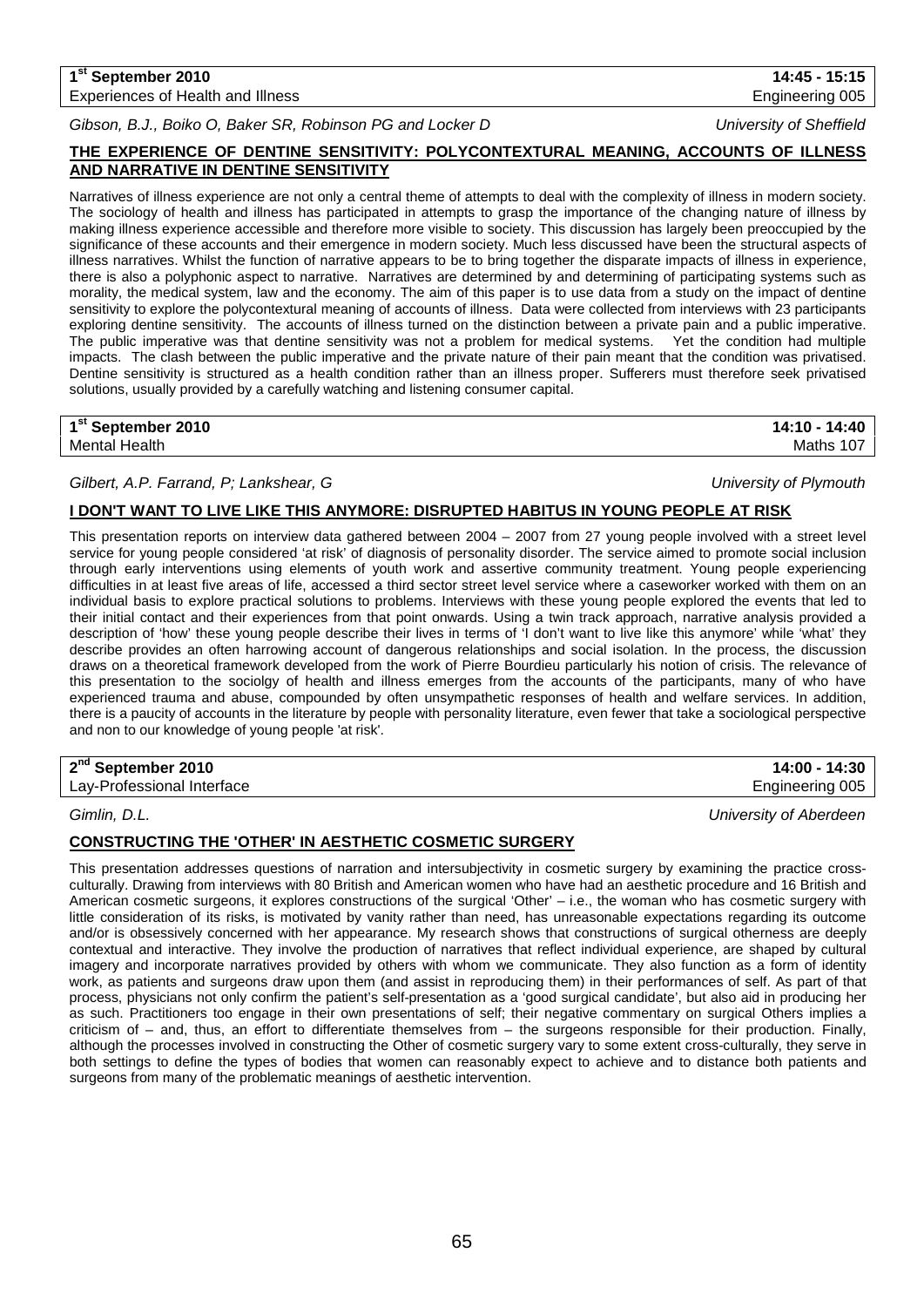## **1st September 2010 14:45 - 15:15** Experiences of Health and Illness **Engineering 005** Engineering 005

*Gibson, B.J., Boiko O, Baker SR, Robinson PG and Locker D University of Sheffield*

## **THE EXPERIENCE OF DENTINE SENSITIVITY: POLYCONTEXTURAL MEANING, ACCOUNTS OF ILLNESS AND NARRATIVE IN DENTINE SENSITIVITY**

Narratives of illness experience are not only a central theme of attempts to deal with the complexity of illness in modern society. The sociology of health and illness has participated in attempts to grasp the importance of the changing nature of illness by making illness experience accessible and therefore more visible to society. This discussion has largely been preoccupied by the significance of these accounts and their emergence in modern society. Much less discussed have been the structural aspects of illness narratives. Whilst the function of narrative appears to be to bring together the disparate impacts of illness in experience, there is also a polyphonic aspect to narrative. Narratives are determined by and determining of participating systems such as morality, the medical system, law and the economy. The aim of this paper is to use data from a study on the impact of dentine sensitivity to explore the polycontextural meaning of accounts of illness. Data were collected from interviews with 23 participants exploring dentine sensitivity. The accounts of illness turned on the distinction between a private pain and a public imperative. The public imperative was that dentine sensitivity was not a problem for medical systems. Yet the condition had multiple impacts. The clash between the public imperative and the private nature of their pain meant that the condition was privatised. Dentine sensitivity is structured as a health condition rather than an illness proper. Sufferers must therefore seek privatised solutions, usually provided by a carefully watching and listening consumer capital.

| 1 <sup>st</sup> September 2010 | 14:10 - 14:40 |
|--------------------------------|---------------|
| Mental Health                  | Maths 107     |

## *Gilbert, A.P. Farrand, P; Lankshear, G University of Plymouth*

## **I DON'T WANT TO LIVE LIKE THIS ANYMORE: DISRUPTED HABITUS IN YOUNG PEOPLE AT RISK**

This presentation reports on interview data gathered between 2004 – 2007 from 27 young people involved with a street level service for young people considered 'at risk' of diagnosis of personality disorder. The service aimed to promote social inclusion through early interventions using elements of youth work and assertive community treatment. Young people experiencing difficulties in at least five areas of life, accessed a third sector street level service where a caseworker worked with them on an individual basis to explore practical solutions to problems. Interviews with these young people explored the events that led to their initial contact and their experiences from that point onwards. Using a twin track approach, narrative analysis provided a description of 'how' these young people describe their lives in terms of 'I don't want to live like this anymore' while 'what' they describe provides an often harrowing account of dangerous relationships and social isolation. In the process, the discussion draws on a theoretical framework developed from the work of Pierre Bourdieu particularly his notion of crisis. The relevance of this presentation to the sociolgy of health and illness emerges from the accounts of the participants, many of who have experienced trauma and abuse, compounded by often unsympathetic responses of health and welfare services. In addition, there is a paucity of accounts in the literature by people with personality literature, even fewer that take a sociological perspective and non to our knowledge of young people 'at risk'.

**2nd September 2010 14:00 - 14:30**

Lay-Professional Interface **Engineering 005** Lay-Professional Interface

*Gimlin, D.L. University of Aberdeen*

## **CONSTRUCTING THE 'OTHER' IN AESTHETIC COSMETIC SURGERY**

This presentation addresses questions of narration and intersubjectivity in cosmetic surgery by examining the practice crossculturally. Drawing from interviews with 80 British and American women who have had an aesthetic procedure and 16 British and American cosmetic surgeons, it explores constructions of the surgical 'Other' – i.e., the woman who has cosmetic surgery with little consideration of its risks, is motivated by vanity rather than need, has unreasonable expectations regarding its outcome and/or is obsessively concerned with her appearance. My research shows that constructions of surgical otherness are deeply contextual and interactive. They involve the production of narratives that reflect individual experience, are shaped by cultural imagery and incorporate narratives provided by others with whom we communicate. They also function as a form of identity work, as patients and surgeons draw upon them (and assist in reproducing them) in their performances of self. As part of that process, physicians not only confirm the patient's self-presentation as a 'good surgical candidate', but also aid in producing her as such. Practitioners too engage in their own presentations of self; their negative commentary on surgical Others implies a criticism of – and, thus, an effort to differentiate themselves from – the surgeons responsible for their production. Finally, although the processes involved in constructing the Other of cosmetic surgery vary to some extent cross-culturally, they serve in both settings to define the types of bodies that women can reasonably expect to achieve and to distance both patients and surgeons from many of the problematic meanings of aesthetic intervention.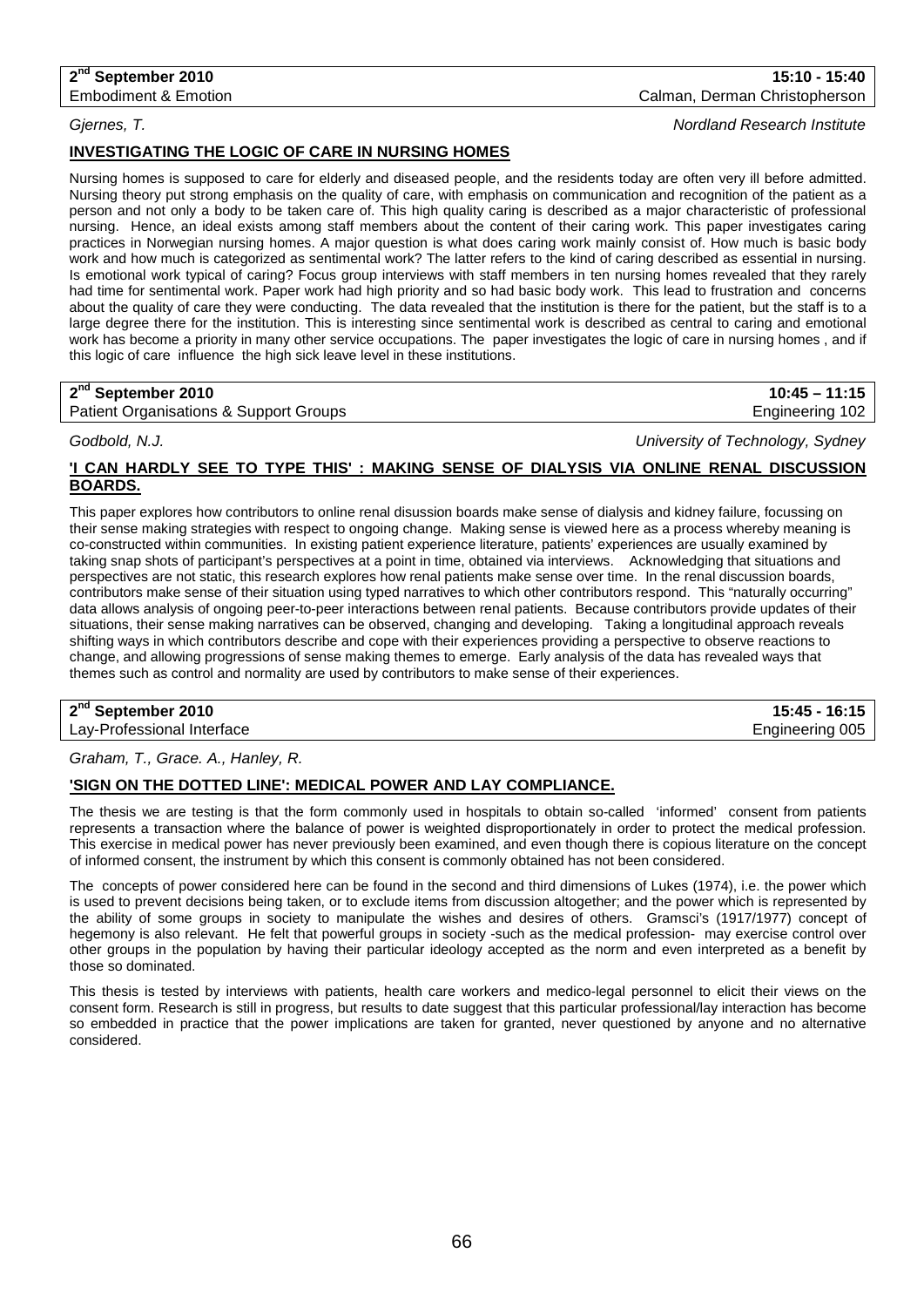### **2nd September 2010 15:10 - 15:40** Embodiment & Emotion Calman, Derman Christopherson

*Gjernes, T. Nordland Research Institute*

## **INVESTIGATING THE LOGIC OF CARE IN NURSING HOMES**

Nursing homes is supposed to care for elderly and diseased people, and the residents today are often very ill before admitted. Nursing theory put strong emphasis on the quality of care, with emphasis on communication and recognition of the patient as a person and not only a body to be taken care of. This high quality caring is described as a major characteristic of professional nursing. Hence, an ideal exists among staff members about the content of their caring work. This paper investigates caring practices in Norwegian nursing homes. A major question is what does caring work mainly consist of. How much is basic body work and how much is categorized as sentimental work? The latter refers to the kind of caring described as essential in nursing. Is emotional work typical of caring? Focus group interviews with staff members in ten nursing homes revealed that they rarely had time for sentimental work. Paper work had high priority and so had basic body work. This lead to frustration and concerns about the quality of care they were conducting. The data revealed that the institution is there for the patient, but the staff is to a large degree there for the institution. This is interesting since sentimental work is described as central to caring and emotional work has become a priority in many other service occupations. The paper investigates the logic of care in nursing homes , and if this logic of care influence the high sick leave level in these institutions.

## **2nd September 2010 10:45 – 11:15**

Patient Organisations & Support Groups **Engineering 102** and Engineering 102

*Godbold, N.J. University of Technology, Sydney*

## **'I CAN HARDLY SEE TO TYPE THIS' : MAKING SENSE OF DIALYSIS VIA ONLINE RENAL DISCUSSION BOARDS.**

This paper explores how contributors to online renal disussion boards make sense of dialysis and kidney failure, focussing on their sense making strategies with respect to ongoing change. Making sense is viewed here as a process whereby meaning is co-constructed within communities. In existing patient experience literature, patients' experiences are usually examined by taking snap shots of participant's perspectives at a point in time, obtained via interviews. Acknowledging that situations and perspectives are not static, this research explores how renal patients make sense over time. In the renal discussion boards, contributors make sense of their situation using typed narratives to which other contributors respond. This "naturally occurring" data allows analysis of ongoing peer-to-peer interactions between renal patients. Because contributors provide updates of their situations, their sense making narratives can be observed, changing and developing. Taking a longitudinal approach reveals shifting ways in which contributors describe and cope with their experiences providing a perspective to observe reactions to change, and allowing progressions of sense making themes to emerge. Early analysis of the data has revealed ways that themes such as control and normality are used by contributors to make sense of their experiences.

### **2nd September 2010 15:45 - 16:15** Lay-Professional Interface

*Graham, T., Grace. A., Hanley, R.*

## **'SIGN ON THE DOTTED LINE': MEDICAL POWER AND LAY COMPLIANCE.**

The thesis we are testing is that the form commonly used in hospitals to obtain so-called 'informed' consent from patients represents a transaction where the balance of power is weighted disproportionately in order to protect the medical profession. This exercise in medical power has never previously been examined, and even though there is copious literature on the concept of informed consent, the instrument by which this consent is commonly obtained has not been considered.

The concepts of power considered here can be found in the second and third dimensions of Lukes (1974), i.e. the power which is used to prevent decisions being taken, or to exclude items from discussion altogether; and the power which is represented by the ability of some groups in society to manipulate the wishes and desires of others. Gramsci's (1917/1977) concept of hegemony is also relevant. He felt that powerful groups in society -such as the medical profession- may exercise control over other groups in the population by having their particular ideology accepted as the norm and even interpreted as a benefit by those so dominated.

This thesis is tested by interviews with patients, health care workers and medico-legal personnel to elicit their views on the consent form. Research is still in progress, but results to date suggest that this particular professional/lay interaction has become so embedded in practice that the power implications are taken for granted, never questioned by anyone and no alternative considered.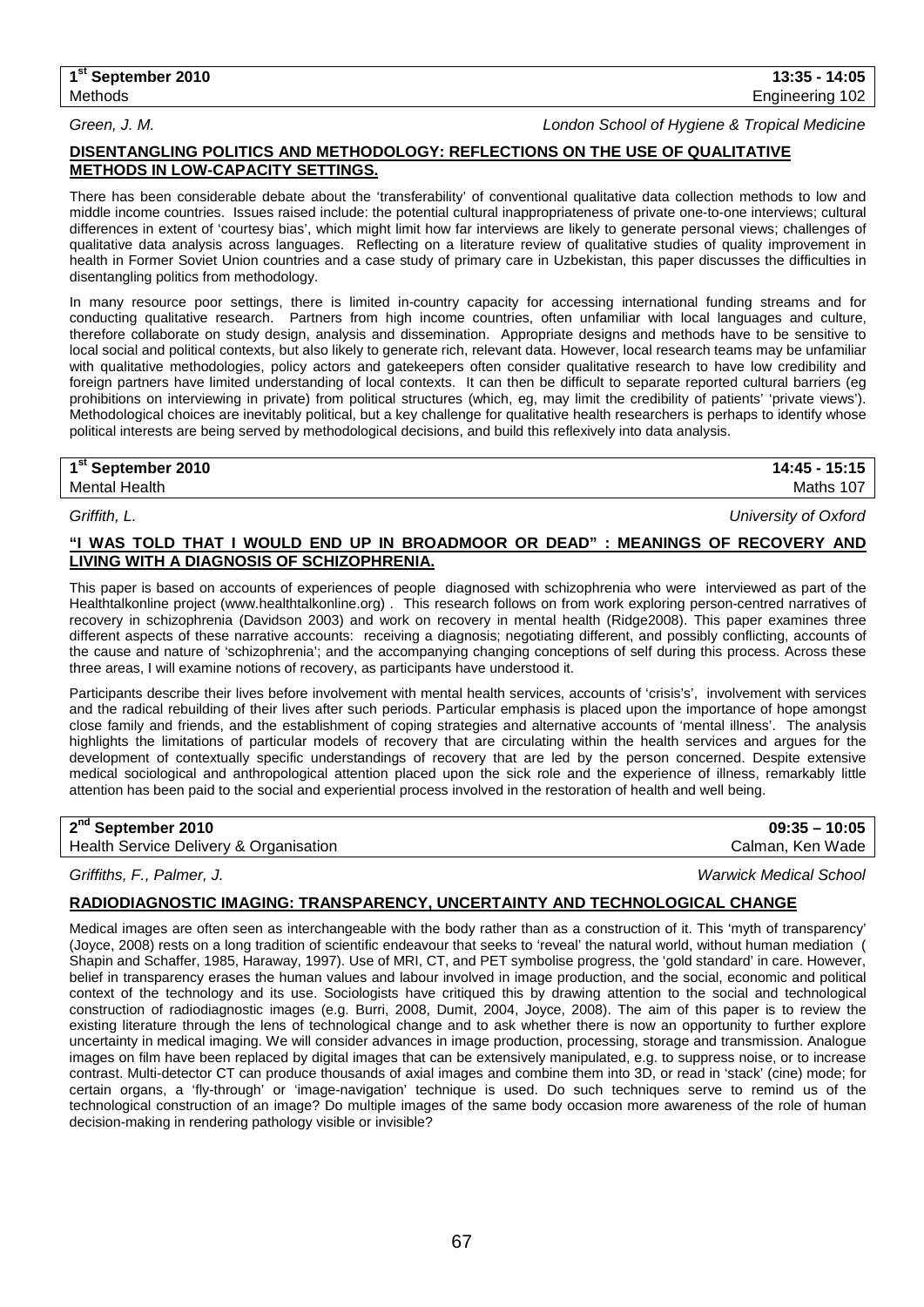*Green, J. M. London School of Hygiene & Tropical Medicine*

## **DISENTANGLING POLITICS AND METHODOLOGY: REFLECTIONS ON THE USE OF QUALITATIVE METHODS IN LOW-CAPACITY SETTINGS.**

There has been considerable debate about the 'transferability' of conventional qualitative data collection methods to low and middle income countries. Issues raised include: the potential cultural inappropriateness of private one-to-one interviews; cultural differences in extent of 'courtesy bias', which might limit how far interviews are likely to generate personal views; challenges of qualitative data analysis across languages. Reflecting on a literature review of qualitative studies of quality improvement in health in Former Soviet Union countries and a case study of primary care in Uzbekistan, this paper discusses the difficulties in disentangling politics from methodology.

In many resource poor settings, there is limited in-country capacity for accessing international funding streams and for conducting qualitative research. Partners from high income countries, often unfamiliar with local languages and culture, therefore collaborate on study design, analysis and dissemination. Appropriate designs and methods have to be sensitive to local social and political contexts, but also likely to generate rich, relevant data. However, local research teams may be unfamiliar with qualitative methodologies, policy actors and gatekeepers often consider qualitative research to have low credibility and foreign partners have limited understanding of local contexts. It can then be difficult to separate reported cultural barriers (eg prohibitions on interviewing in private) from political structures (which, eg, may limit the credibility of patients' 'private views'). Methodological choices are inevitably political, but a key challenge for qualitative health researchers is perhaps to identify whose political interests are being served by methodological decisions, and build this reflexively into data analysis.

## **1st September 2010 14:45 - 15:15** Mental Health Maths 107

*Griffith, L. University of Oxford*

## **"I WAS TOLD THAT I WOULD END UP IN BROADMOOR OR DEAD" : MEANINGS OF RECOVERY AND LIVING WITH A DIAGNOSIS OF SCHIZOPHRENIA.**

This paper is based on accounts of experiences of people diagnosed with schizophrenia who were interviewed as part of the Healthtalkonline project (www.healthtalkonline.org) . This research follows on from work exploring person-centred narratives of recovery in schizophrenia (Davidson 2003) and work on recovery in mental health (Ridge2008). This paper examines three different aspects of these narrative accounts: receiving a diagnosis; negotiating different, and possibly conflicting, accounts of the cause and nature of 'schizophrenia'; and the accompanying changing conceptions of self during this process. Across these three areas, I will examine notions of recovery, as participants have understood it.

Participants describe their lives before involvement with mental health services, accounts of 'crisis's', involvement with services and the radical rebuilding of their lives after such periods. Particular emphasis is placed upon the importance of hope amongst close family and friends, and the establishment of coping strategies and alternative accounts of 'mental illness'. The analysis highlights the limitations of particular models of recovery that are circulating within the health services and argues for the development of contextually specific understandings of recovery that are led by the person concerned. Despite extensive medical sociological and anthropological attention placed upon the sick role and the experience of illness, remarkably little attention has been paid to the social and experiential process involved in the restoration of health and well being.

**2nd September 2010 09:35 – 10:05**

Health Service Delivery & Organisation Calman, Ken Wade Calman, Ken Wade

*Griffiths, F., Palmer, J. Warwick Medical School*

## **RADIODIAGNOSTIC IMAGING: TRANSPARENCY, UNCERTAINTY AND TECHNOLOGICAL CHANGE**

Medical images are often seen as interchangeable with the body rather than as a construction of it. This 'myth of transparency' (Joyce, 2008) rests on a long tradition of scientific endeavour that seeks to 'reveal' the natural world, without human mediation ( Shapin and Schaffer, 1985, Haraway, 1997). Use of MRI, CT, and PET symbolise progress, the 'gold standard' in care. However, belief in transparency erases the human values and labour involved in image production, and the social, economic and political context of the technology and its use. Sociologists have critiqued this by drawing attention to the social and technological construction of radiodiagnostic images (e.g. Burri, 2008, Dumit, 2004, Joyce, 2008). The aim of this paper is to review the existing literature through the lens of technological change and to ask whether there is now an opportunity to further explore uncertainty in medical imaging. We will consider advances in image production, processing, storage and transmission. Analogue images on film have been replaced by digital images that can be extensively manipulated, e.g. to suppress noise, or to increase contrast. Multi-detector CT can produce thousands of axial images and combine them into 3D, or read in 'stack' (cine) mode; for certain organs, a 'fly-through' or 'image-navigation' technique is used. Do such techniques serve to remind us of the technological construction of an image? Do multiple images of the same body occasion more awareness of the role of human decision-making in rendering pathology visible or invisible?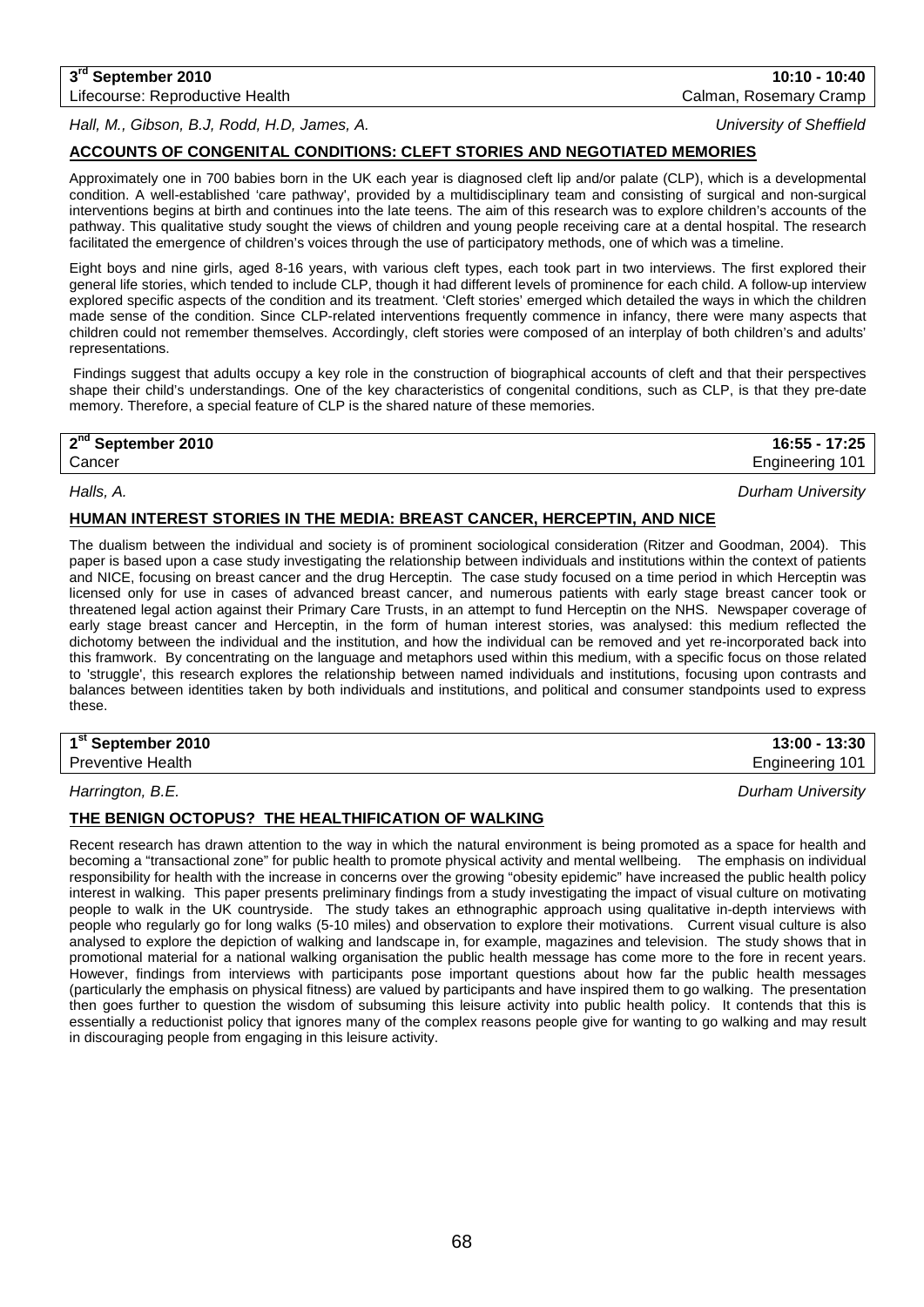**3rd September 2010 10:10 - 10:40**

*Hall, M., Gibson, B.J, Rodd, H.D, James, A. University of Sheffield*

## **ACCOUNTS OF CONGENITAL CONDITIONS: CLEFT STORIES AND NEGOTIATED MEMORIES**

Approximately one in 700 babies born in the UK each year is diagnosed cleft lip and/or palate (CLP), which is a developmental condition. A well-established 'care pathway', provided by a multidisciplinary team and consisting of surgical and non-surgical interventions begins at birth and continues into the late teens. The aim of this research was to explore children's accounts of the pathway. This qualitative study sought the views of children and young people receiving care at a dental hospital. The research facilitated the emergence of children's voices through the use of participatory methods, one of which was a timeline.

Eight boys and nine girls, aged 8-16 years, with various cleft types, each took part in two interviews. The first explored their general life stories, which tended to include CLP, though it had different levels of prominence for each child. A follow-up interview explored specific aspects of the condition and its treatment. 'Cleft stories' emerged which detailed the ways in which the children made sense of the condition. Since CLP-related interventions frequently commence in infancy, there were many aspects that children could not remember themselves. Accordingly, cleft stories were composed of an interplay of both children's and adults' representations.

Findings suggest that adults occupy a key role in the construction of biographical accounts of cleft and that their perspectives shape their child's understandings. One of the key characteristics of congenital conditions, such as CLP, is that they pre-date memory. Therefore, a special feature of CLP is the shared nature of these memories.

## **2nd September 2010 16:55 - 17:25**

## **HUMAN INTEREST STORIES IN THE MEDIA: BREAST CANCER, HERCEPTIN, AND NICE**

The dualism between the individual and society is of prominent sociological consideration (Ritzer and Goodman, 2004). This paper is based upon a case study investigating the relationship between individuals and institutions within the context of patients and NICE, focusing on breast cancer and the drug Herceptin. The case study focused on a time period in which Herceptin was licensed only for use in cases of advanced breast cancer, and numerous patients with early stage breast cancer took or threatened legal action against their Primary Care Trusts, in an attempt to fund Herceptin on the NHS. Newspaper coverage of early stage breast cancer and Herceptin, in the form of human interest stories, was analysed: this medium reflected the dichotomy between the individual and the institution, and how the individual can be removed and yet re-incorporated back into this framwork. By concentrating on the language and metaphors used within this medium, with a specific focus on those related to 'struggle', this research explores the relationship between named individuals and institutions, focusing upon contrasts and balances between identities taken by both individuals and institutions, and political and consumer standpoints used to express these.

**1st September 2010 13:00 - 13:30**

Preventive Health **Engineering 101 Engineering 101** 

*Harrington, B.E. Durham University*

## **THE BENIGN OCTOPUS? THE HEALTHIFICATION OF WALKING**

Recent research has drawn attention to the way in which the natural environment is being promoted as a space for health and becoming a "transactional zone" for public health to promote physical activity and mental wellbeing. The emphasis on individual responsibility for health with the increase in concerns over the growing "obesity epidemic" have increased the public health policy interest in walking. This paper presents preliminary findings from a study investigating the impact of visual culture on motivating people to walk in the UK countryside. The study takes an ethnographic approach using qualitative in-depth interviews with people who regularly go for long walks (5-10 miles) and observation to explore their motivations. Current visual culture is also analysed to explore the depiction of walking and landscape in, for example, magazines and television. The study shows that in promotional material for a national walking organisation the public health message has come more to the fore in recent years. However, findings from interviews with participants pose important questions about how far the public health messages (particularly the emphasis on physical fitness) are valued by participants and have inspired them to go walking. The presentation then goes further to question the wisdom of subsuming this leisure activity into public health policy. It contends that this is essentially a reductionist policy that ignores many of the complex reasons people give for wanting to go walking and may result in discouraging people from engaging in this leisure activity.

Lifecourse: Reproductive Health Calman, Rosemary Cramp

Cancer Engineering 101 *Halls, A. Durham University*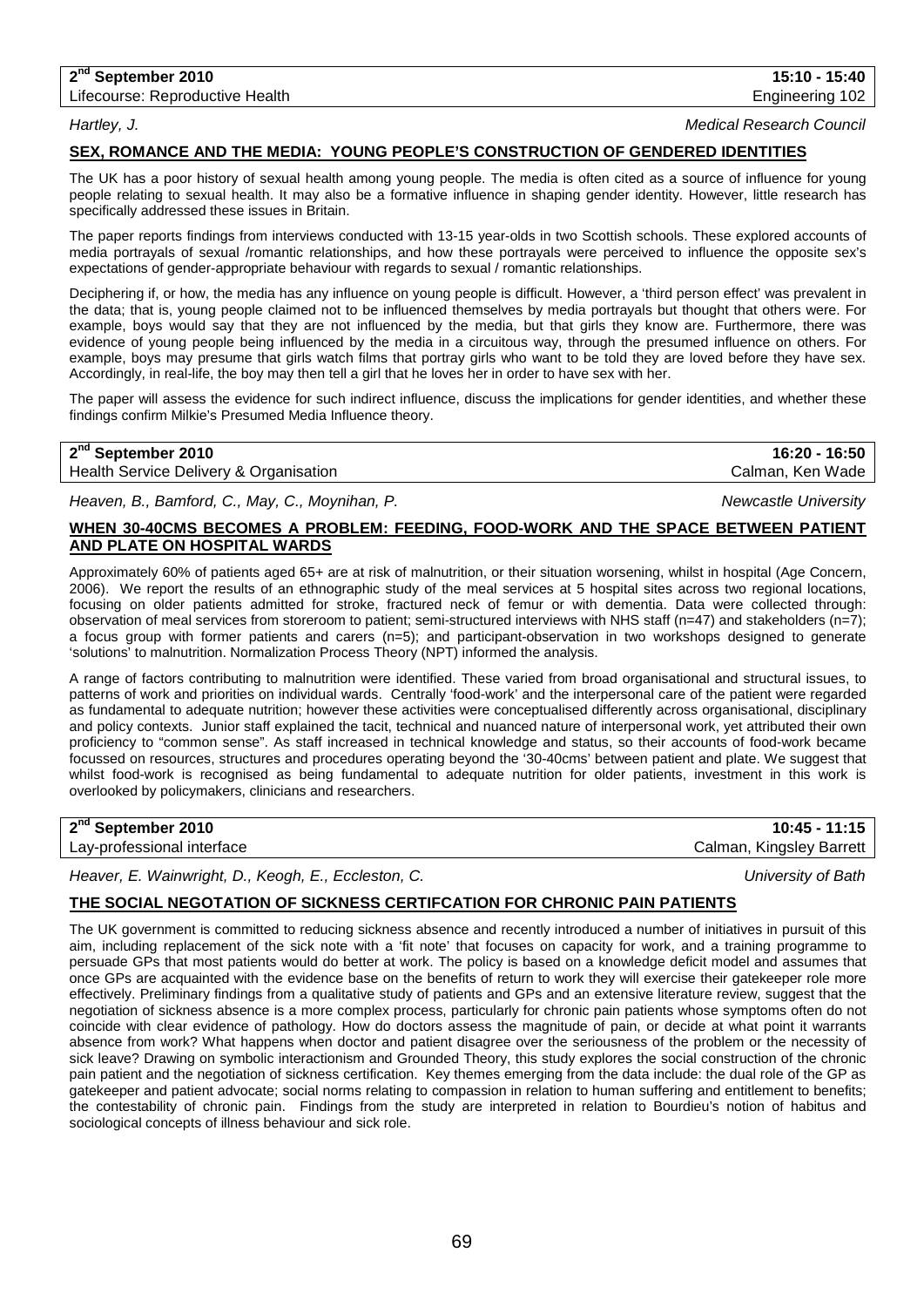## **2nd September 2010 15:10 - 15:40**

Lifecourse: Reproductive Health **Engineering 102** and the Engineering 102

*Hartley, J. Medical Research Council*

## **SEX, ROMANCE AND THE MEDIA: YOUNG PEOPLE'S CONSTRUCTION OF GENDERED IDENTITIES**

The UK has a poor history of sexual health among young people. The media is often cited as a source of influence for young people relating to sexual health. It may also be a formative influence in shaping gender identity. However, little research has specifically addressed these issues in Britain.

The paper reports findings from interviews conducted with 13-15 year-olds in two Scottish schools. These explored accounts of media portrayals of sexual /romantic relationships, and how these portrayals were perceived to influence the opposite sex's expectations of gender-appropriate behaviour with regards to sexual / romantic relationships.

Deciphering if, or how, the media has any influence on young people is difficult. However, a 'third person effect' was prevalent in the data; that is, young people claimed not to be influenced themselves by media portrayals but thought that others were. For example, boys would say that they are not influenced by the media, but that girls they know are. Furthermore, there was evidence of young people being influenced by the media in a circuitous way, through the presumed influence on others. For example, boys may presume that girls watch films that portray girls who want to be told they are loved before they have sex. Accordingly, in real-life, the boy may then tell a girl that he loves her in order to have sex with her.

The paper will assess the evidence for such indirect influence, discuss the implications for gender identities, and whether these findings confirm Milkie's Presumed Media Influence theory.

| 2 <sup>nd</sup> September 2010         | 16:20 - 16:50    |
|----------------------------------------|------------------|
| Health Service Delivery & Organisation | Calman, Ken Wade |

*Heaven, B., Bamford, C., May, C., Moynihan, P. Newcastle University*

## **WHEN 30-40CMS BECOMES A PROBLEM: FEEDING, FOOD-WORK AND THE SPACE BETWEEN PATIENT AND PLATE ON HOSPITAL WARDS**

Approximately 60% of patients aged 65+ are at risk of malnutrition, or their situation worsening, whilst in hospital (Age Concern, 2006). We report the results of an ethnographic study of the meal services at 5 hospital sites across two regional locations, focusing on older patients admitted for stroke, fractured neck of femur or with dementia. Data were collected through: observation of meal services from storeroom to patient; semi-structured interviews with NHS staff (n=47) and stakeholders (n=7); a focus group with former patients and carers (n=5); and participant-observation in two workshops designed to generate 'solutions' to malnutrition. Normalization Process Theory (NPT) informed the analysis.

A range of factors contributing to malnutrition were identified. These varied from broad organisational and structural issues, to patterns of work and priorities on individual wards. Centrally 'food-work' and the interpersonal care of the patient were regarded as fundamental to adequate nutrition; however these activities were conceptualised differently across organisational, disciplinary and policy contexts. Junior staff explained the tacit, technical and nuanced nature of interpersonal work, yet attributed their own proficiency to "common sense". As staff increased in technical knowledge and status, so their accounts of food-work became focussed on resources, structures and procedures operating beyond the '30-40cms' between patient and plate. We suggest that whilst food-work is recognised as being fundamental to adequate nutrition for older patients, investment in this work is overlooked by policymakers, clinicians and researchers.

Lay-professional interface

**2nd September 2010 10:45 - 11:15**

*Heaver, E. Wainwright, D., Keogh, E., Eccleston, C. University of Bath*

## **THE SOCIAL NEGOTATION OF SICKNESS CERTIFCATION FOR CHRONIC PAIN PATIENTS**

The UK government is committed to reducing sickness absence and recently introduced a number of initiatives in pursuit of this aim. including replacement of the sick note with a 'fit note' that focuses on capacity for work, and a training programme to persuade GPs that most patients would do better at work. The policy is based on a knowledge deficit model and assumes that once GPs are acquainted with the evidence base on the benefits of return to work they will exercise their gatekeeper role more effectively. Preliminary findings from a qualitative study of patients and GPs and an extensive literature review, suggest that the negotiation of sickness absence is a more complex process, particularly for chronic pain patients whose symptoms often do not coincide with clear evidence of pathology. How do doctors assess the magnitude of pain, or decide at what point it warrants absence from work? What happens when doctor and patient disagree over the seriousness of the problem or the necessity of sick leave? Drawing on symbolic interactionism and Grounded Theory, this study explores the social construction of the chronic pain patient and the negotiation of sickness certification. Key themes emerging from the data include: the dual role of the GP as gatekeeper and patient advocate; social norms relating to compassion in relation to human suffering and entitlement to benefits; the contestability of chronic pain. Findings from the study are interpreted in relation to Bourdieu's notion of habitus and sociological concepts of illness behaviour and sick role.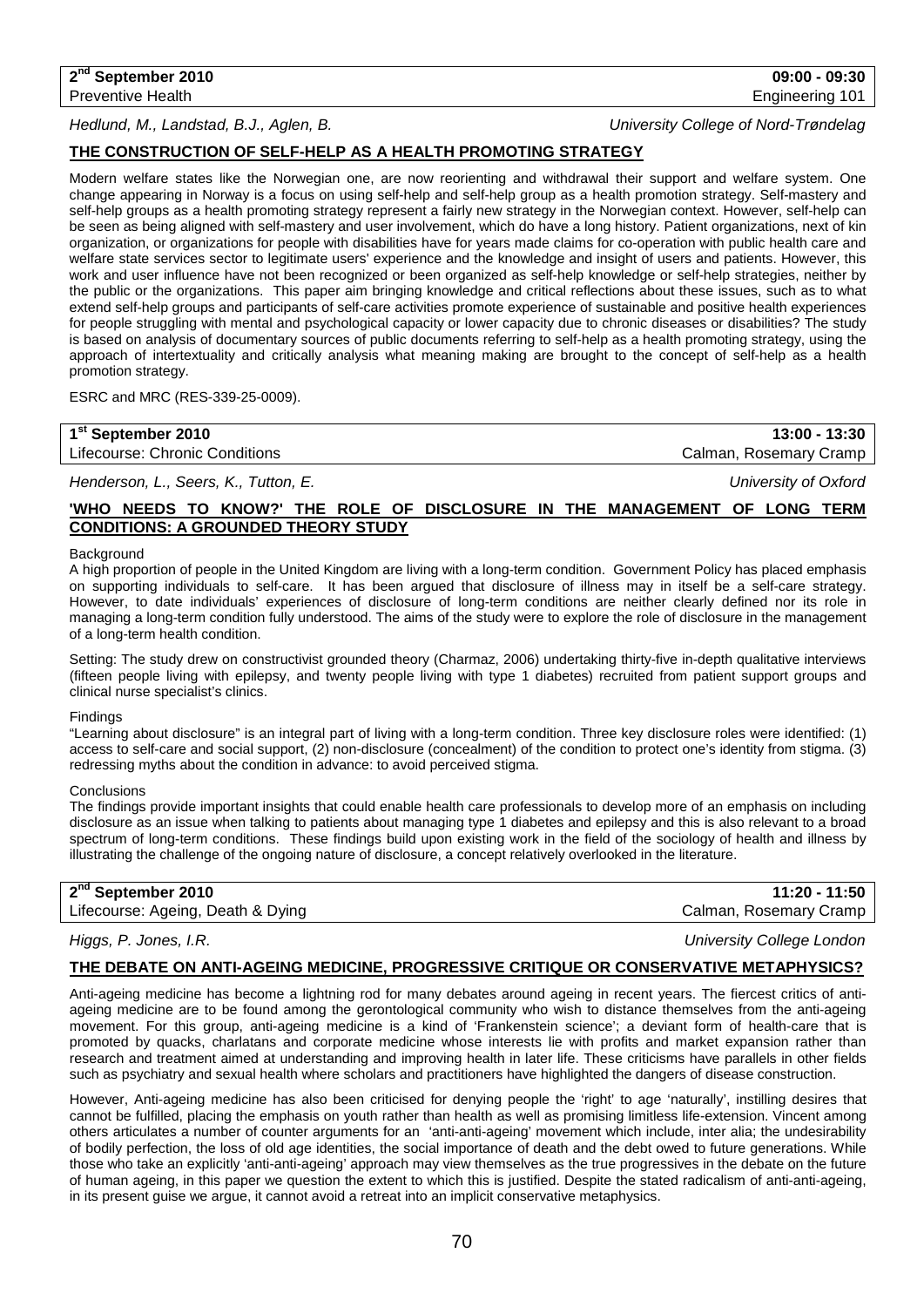#### *Hedlund, M., Landstad, B.J., Aglen, B. University College of Nord-Trøndelag*

## **THE CONSTRUCTION OF SELF-HELP AS A HEALTH PROMOTING STRATEGY**

Modern welfare states like the Norwegian one, are now reorienting and withdrawal their support and welfare system. One change appearing in Norway is a focus on using self-help and self-help group as a health promotion strategy. Self-mastery and self-help groups as a health promoting strategy represent a fairly new strategy in the Norwegian context. However, self-help can be seen as being aligned with self-mastery and user involvement, which do have a long history. Patient organizations, next of kin organization, or organizations for people with disabilities have for years made claims for co-operation with public health care and welfare state services sector to legitimate users' experience and the knowledge and insight of users and patients. However, this work and user influence have not been recognized or been organized as self-help knowledge or self-help strategies, neither by the public or the organizations. This paper aim bringing knowledge and critical reflections about these issues, such as to what extend self-help groups and participants of self-care activities promote experience of sustainable and positive health experiences for people struggling with mental and psychological capacity or lower capacity due to chronic diseases or disabilities? The study is based on analysis of documentary sources of public documents referring to self-help as a health promoting strategy, using the approach of intertextuality and critically analysis what meaning making are brought to the concept of self-help as a health promotion strategy.

ESRC and MRC (RES-339-25-0009).

| 1 <sup>st</sup> September 2010 | $13:00 - 13:30$        |
|--------------------------------|------------------------|
| Lifecourse: Chronic Conditions | Calman, Rosemary Cramp |

*Henderson, L., Seers, K., Tutton, E. University of Oxford*

## **'WHO NEEDS TO KNOW?' THE ROLE OF DISCLOSURE IN THE MANAGEMENT OF LONG TERM CONDITIONS: A GROUNDED THEORY STUDY**

#### **Background**

A high proportion of people in the United Kingdom are living with a long-term condition. Government Policy has placed emphasis on supporting individuals to self-care. It has been argued that disclosure of illness may in itself be a self-care strategy. However, to date individuals' experiences of disclosure of long-term conditions are neither clearly defined nor its role in managing a long-term condition fully understood. The aims of the study were to explore the role of disclosure in the management of a long-term health condition.

Setting: The study drew on constructivist grounded theory (Charmaz, 2006) undertaking thirty-five in-depth qualitative interviews (fifteen people living with epilepsy, and twenty people living with type 1 diabetes) recruited from patient support groups and clinical nurse specialist's clinics.

#### **Findings**

"Learning about disclosure" is an integral part of living with a long-term condition. Three key disclosure roles were identified: (1) access to self-care and social support, (2) non-disclosure (concealment) of the condition to protect one's identity from stigma. (3) redressing myths about the condition in advance: to avoid perceived stigma.

#### **Conclusions**

The findings provide important insights that could enable health care professionals to develop more of an emphasis on including disclosure as an issue when talking to patients about managing type 1 diabetes and epilepsy and this is also relevant to a broad spectrum of long-term conditions. These findings build upon existing work in the field of the sociology of health and illness by illustrating the challenge of the ongoing nature of disclosure, a concept relatively overlooked in the literature.

| 2 <sup>nd</sup> September 2010    | 11:20 - 11:50          |
|-----------------------------------|------------------------|
| Lifecourse: Ageing, Death & Dying | Calman, Rosemary Cramp |

## **THE DEBATE ON ANTI-AGEING MEDICINE, PROGRESSIVE CRITIQUE OR CONSERVATIVE METAPHYSICS?**

Anti-ageing medicine has become a lightning rod for many debates around ageing in recent years. The fiercest critics of antiageing medicine are to be found among the gerontological community who wish to distance themselves from the anti-ageing movement. For this group, anti-ageing medicine is a kind of 'Frankenstein science'; a deviant form of health-care that is promoted by quacks, charlatans and corporate medicine whose interests lie with profits and market expansion rather than research and treatment aimed at understanding and improving health in later life. These criticisms have parallels in other fields such as psychiatry and sexual health where scholars and practitioners have highlighted the dangers of disease construction.

However, Anti-ageing medicine has also been criticised for denying people the 'right' to age 'naturally', instilling desires that cannot be fulfilled, placing the emphasis on youth rather than health as well as promising limitless life-extension. Vincent among others articulates a number of counter arguments for an 'anti-anti-ageing' movement which include, inter alia; the undesirability of bodily perfection, the loss of old age identities, the social importance of death and the debt owed to future generations. While those who take an explicitly 'anti-anti-ageing' approach may view themselves as the true progressives in the debate on the future of human ageing, in this paper we question the extent to which this is justified. Despite the stated radicalism of anti-anti-ageing, in its present guise we argue, it cannot avoid a retreat into an implicit conservative metaphysics.

*Higgs, P. Jones, I.R. University College London*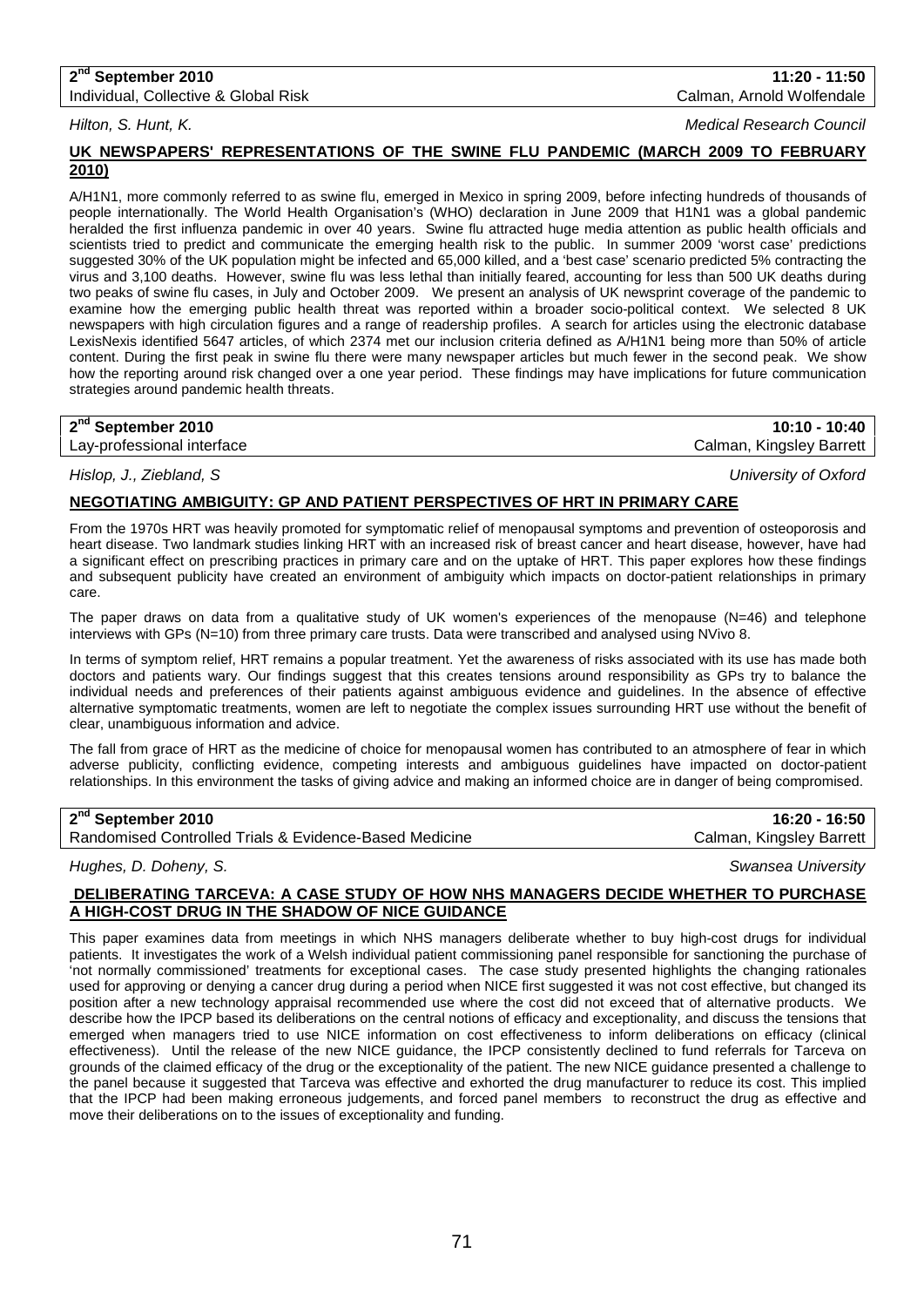## **2nd September 2010 11:20 - 11:50**

Individual, Collective & Global Risk Calman, Arnold Wolfendale

*Hilton, S. Hunt, K. Medical Research Council*

## **UK NEWSPAPERS' REPRESENTATIONS OF THE SWINE FLU PANDEMIC (MARCH 2009 TO FEBRUARY 2010)**

A/H1N1, more commonly referred to as swine flu, emerged in Mexico in spring 2009, before infecting hundreds of thousands of people internationally. The World Health Organisation's (WHO) declaration in June 2009 that H1N1 was a global pandemic heralded the first influenza pandemic in over 40 years. Swine flu attracted huge media attention as public health officials and scientists tried to predict and communicate the emerging health risk to the public. In summer 2009 'worst case' predictions suggested 30% of the UK population might be infected and 65,000 killed, and a 'best case' scenario predicted 5% contracting the virus and 3,100 deaths. However, swine flu was less lethal than initially feared, accounting for less than 500 UK deaths during two peaks of swine flu cases, in July and October 2009. We present an analysis of UK newsprint coverage of the pandemic to examine how the emerging public health threat was reported within a broader socio-political context. We selected 8 UK newspapers with high circulation figures and a range of readership profiles. A search for articles using the electronic database LexisNexis identified 5647 articles, of which 2374 met our inclusion criteria defined as A/H1N1 being more than 50% of article content. During the first peak in swine flu there were many newspaper articles but much fewer in the second peak. We show how the reporting around risk changed over a one year period. These findings may have implications for future communication strategies around pandemic health threats.

| 2 <sup>nd</sup> September 2010 | $10:10 - 10:40$          |
|--------------------------------|--------------------------|
| Lay-professional interface     | Calman, Kingsley Barrett |

*Hislop, J., Ziebland, S University of Oxford*

## **NEGOTIATING AMBIGUITY: GP AND PATIENT PERSPECTIVES OF HRT IN PRIMARY CARE**

From the 1970s HRT was heavily promoted for symptomatic relief of menopausal symptoms and prevention of osteoporosis and heart disease. Two landmark studies linking HRT with an increased risk of breast cancer and heart disease, however, have had a significant effect on prescribing practices in primary care and on the uptake of HRT. This paper explores how these findings and subsequent publicity have created an environment of ambiguity which impacts on doctor-patient relationships in primary care.

The paper draws on data from a qualitative study of UK women's experiences of the menopause (N=46) and telephone interviews with GPs (N=10) from three primary care trusts. Data were transcribed and analysed using NVivo 8.

In terms of symptom relief, HRT remains a popular treatment. Yet the awareness of risks associated with its use has made both doctors and patients wary. Our findings suggest that this creates tensions around responsibility as GPs try to balance the individual needs and preferences of their patients against ambiguous evidence and guidelines. In the absence of effective alternative symptomatic treatments, women are left to negotiate the complex issues surrounding HRT use without the benefit of clear, unambiguous information and advice.

The fall from grace of HRT as the medicine of choice for menopausal women has contributed to an atmosphere of fear in which adverse publicity, conflicting evidence, competing interests and ambiguous guidelines have impacted on doctor-patient relationships. In this environment the tasks of giving advice and making an informed choice are in danger of being compromised.

## **2nd September 2010 16:20 - 16:50**

Randomised Controlled Trials & Evidence-Based Medicine Calman, Kingsley Barrett

## *Hughes, D. Doheny, S. Swansea University*

### **DELIBERATING TARCEVA: A CASE STUDY OF HOW NHS MANAGERS DECIDE WHETHER TO PURCHASE A HIGH-COST DRUG IN THE SHADOW OF NICE GUIDANCE**

This paper examines data from meetings in which NHS managers deliberate whether to buy high-cost drugs for individual patients. It investigates the work of a Welsh individual patient commissioning panel responsible for sanctioning the purchase of 'not normally commissioned' treatments for exceptional cases. The case study presented highlights the changing rationales used for approving or denying a cancer drug during a period when NICE first suggested it was not cost effective, but changed its position after a new technology appraisal recommended use where the cost did not exceed that of alternative products. We describe how the IPCP based its deliberations on the central notions of efficacy and exceptionality, and discuss the tensions that emerged when managers tried to use NICE information on cost effectiveness to inform deliberations on efficacy (clinical effectiveness). Until the release of the new NICE guidance, the IPCP consistently declined to fund referrals for Tarceva on grounds of the claimed efficacy of the drug or the exceptionality of the patient. The new NICE guidance presented a challenge to the panel because it suggested that Tarceva was effective and exhorted the drug manufacturer to reduce its cost. This implied that the IPCP had been making erroneous judgements, and forced panel members to reconstruct the drug as effective and move their deliberations on to the issues of exceptionality and funding.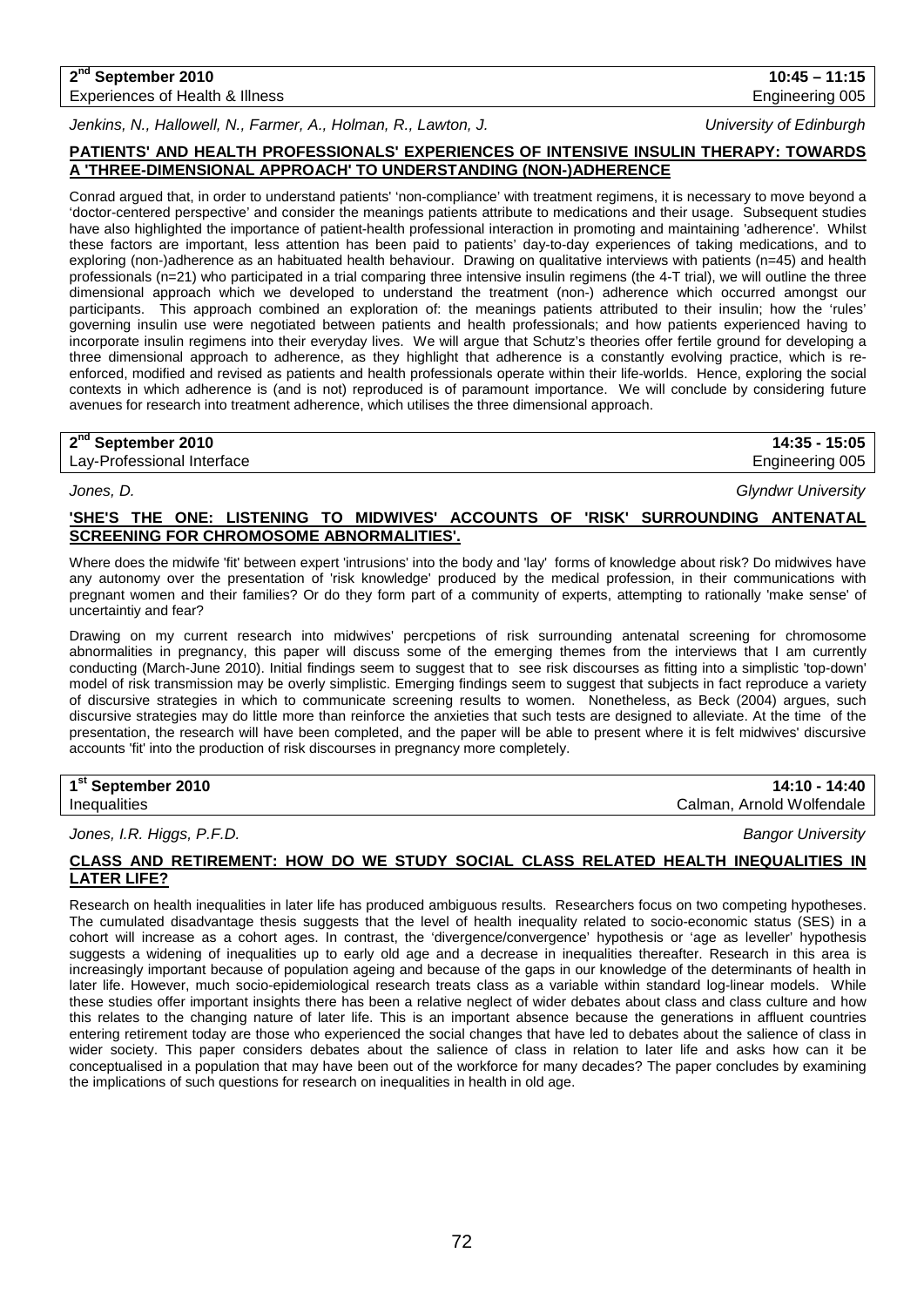#### **2nd September 2010 10:45 – 11:15** Experiences of Health & Illness **Engineering 005** Engineering 005

*Jenkins, N., Hallowell, N., Farmer, A., Holman, R., Lawton, J. University of Edinburgh*

## **PATIENTS' AND HEALTH PROFESSIONALS' EXPERIENCES OF INTENSIVE INSULIN THERAPY: TOWARDS A 'THREE-DIMENSIONAL APPROACH' TO UNDERSTANDING (NON-)ADHERENCE**

Conrad argued that, in order to understand patients' 'non-compliance' with treatment regimens, it is necessary to move beyond a 'doctor-centered perspective' and consider the meanings patients attribute to medications and their usage. Subsequent studies have also highlighted the importance of patient-health professional interaction in promoting and maintaining 'adherence'. Whilst these factors are important, less attention has been paid to patients' day-to-day experiences of taking medications, and to exploring (non-)adherence as an habituated health behaviour. Drawing on qualitative interviews with patients (n=45) and health professionals (n=21) who participated in a trial comparing three intensive insulin regimens (the 4-T trial), we will outline the three dimensional approach which we developed to understand the treatment (non-) adherence which occurred amongst our participants. This approach combined an exploration of: the meanings patients attributed to their insulin; how the 'rules' governing insulin use were negotiated between patients and health professionals; and how patients experienced having to incorporate insulin regimens into their everyday lives. We will argue that Schutz's theories offer fertile ground for developing a three dimensional approach to adherence, as they highlight that adherence is a constantly evolving practice, which is reenforced, modified and revised as patients and health professionals operate within their life-worlds. Hence, exploring the social contexts in which adherence is (and is not) reproduced is of paramount importance. We will conclude by considering future avenues for research into treatment adherence, which utilises the three dimensional approach.

## **2nd September 2010 14:35 - 15:05**

Lay-Professional Interface **Engineering 005** Lay-Professional Interface

*Jones, D. Glyndwr University*

## **'SHE'S THE ONE: LISTENING TO MIDWIVES' ACCOUNTS OF 'RISK' SURROUNDING ANTENATAL SCREENING FOR CHROMOSOME ABNORMALITIES'.**

Where does the midwife 'fit' between expert 'intrusions' into the body and 'lay' forms of knowledge about risk? Do midwives have any autonomy over the presentation of 'risk knowledge' produced by the medical profession, in their communications with pregnant women and their families? Or do they form part of a community of experts, attempting to rationally 'make sense' of uncertaintiy and fear?

Drawing on my current research into midwives' percpetions of risk surrounding antenatal screening for chromosome abnormalities in pregnancy, this paper will discuss some of the emerging themes from the interviews that I am currently conducting (March-June 2010). Initial findings seem to suggest that to see risk discourses as fitting into a simplistic 'top-down' model of risk transmission may be overly simplistic. Emerging findings seem to suggest that subjects in fact reproduce a variety of discursive strategies in which to communicate screening results to women. Nonetheless, as Beck (2004) argues, such discursive strategies may do little more than reinforce the anxieties that such tests are designed to alleviate. At the time of the presentation, the research will have been completed, and the paper will be able to present where it is felt midwives' discursive accounts 'fit' into the production of risk discourses in pregnancy more completely.

**1st September 2010 14:10 - 14:40**

*Jones, I.R. Higgs, P.F.D. Bangor University*

## **CLASS AND RETIREMENT: HOW DO WE STUDY SOCIAL CLASS RELATED HEALTH INEQUALITIES IN LATER LIFE?**

Research on health inequalities in later life has produced ambiguous results. Researchers focus on two competing hypotheses. The cumulated disadvantage thesis suggests that the level of health inequality related to socio-economic status (SES) in a cohort will increase as a cohort ages. In contrast, the 'divergence/convergence' hypothesis or 'age as leveller' hypothesis suggests a widening of inequalities up to early old age and a decrease in inequalities thereafter. Research in this area is increasingly important because of population ageing and because of the gaps in our knowledge of the determinants of health in later life. However, much socio-epidemiological research treats class as a variable within standard log-linear models. While these studies offer important insights there has been a relative neglect of wider debates about class and class culture and how this relates to the changing nature of later life. This is an important absence because the generations in affluent countries entering retirement today are those who experienced the social changes that have led to debates about the salience of class in wider society. This paper considers debates about the salience of class in relation to later life and asks how can it be conceptualised in a population that may have been out of the workforce for many decades? The paper concludes by examining the implications of such questions for research on inequalities in health in old age.

Inequalities Calman, Arnold Wolfendale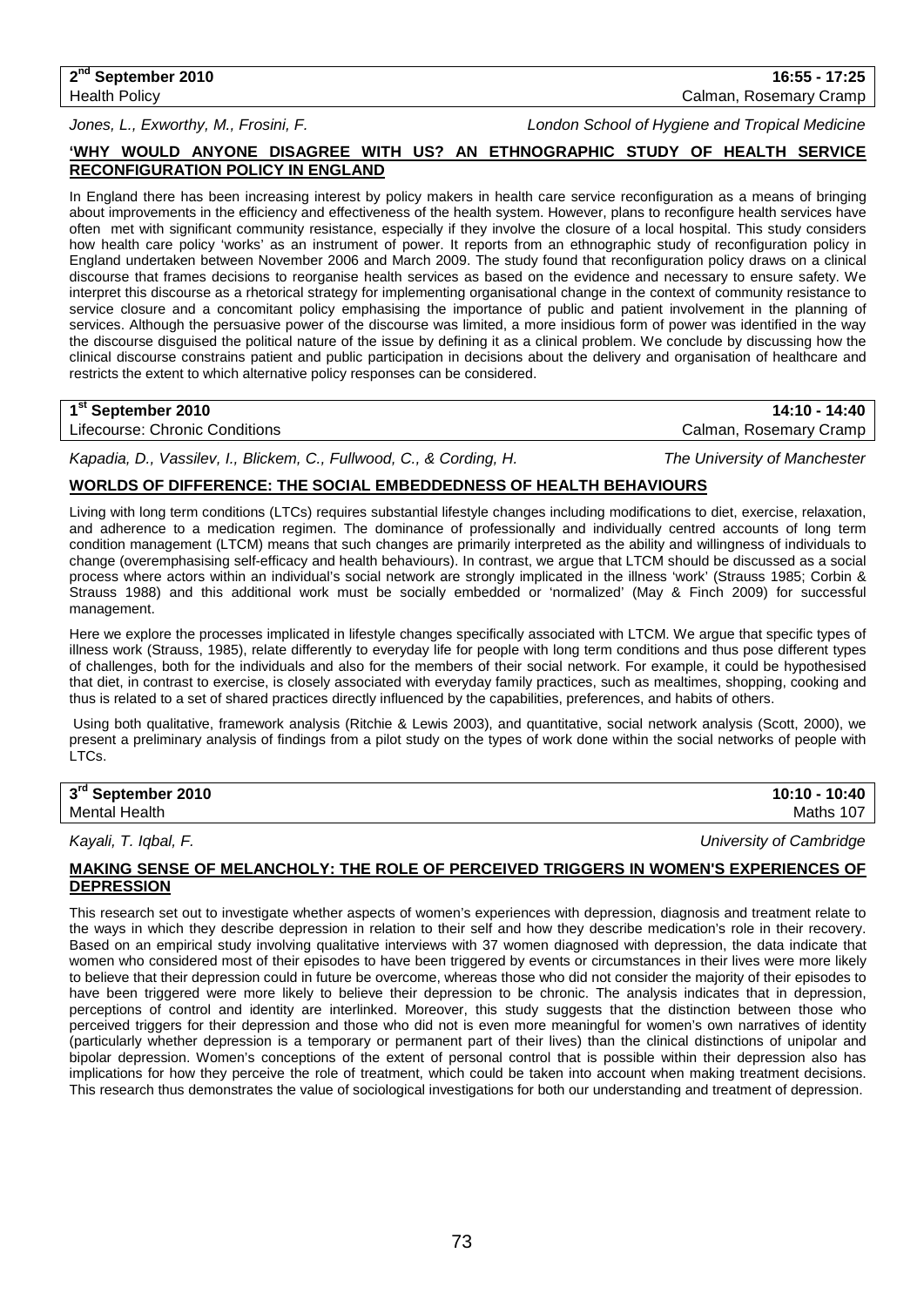**2nd September 2010 16:55 - 17:25** Health Policy Calman, Rosemary Cramp

*Jones, L., Exworthy, M., Frosini, F. London School of Hygiene and Tropical Medicine*

## **'WHY WOULD ANYONE DISAGREE WITH US? AN ETHNOGRAPHIC STUDY OF HEALTH SERVICE RECONFIGURATION POLICY IN ENGLAND**

In England there has been increasing interest by policy makers in health care service reconfiguration as a means of bringing about improvements in the efficiency and effectiveness of the health system. However, plans to reconfigure health services have often met with significant community resistance, especially if they involve the closure of a local hospital. This study considers how health care policy 'works' as an instrument of power. It reports from an ethnographic study of reconfiguration policy in England undertaken between November 2006 and March 2009. The study found that reconfiguration policy draws on a clinical discourse that frames decisions to reorganise health services as based on the evidence and necessary to ensure safety. We interpret this discourse as a rhetorical strategy for implementing organisational change in the context of community resistance to service closure and a concomitant policy emphasising the importance of public and patient involvement in the planning of services. Although the persuasive power of the discourse was limited, a more insidious form of power was identified in the way the discourse disguised the political nature of the issue by defining it as a clinical problem. We conclude by discussing how the clinical discourse constrains patient and public participation in decisions about the delivery and organisation of healthcare and restricts the extent to which alternative policy responses can be considered.

### **1st September 2010 14:10 - 14:40**

Lifecourse: Chronic Conditions Calman, Rosemary Cramp

*Kapadia, D., Vassilev, I., Blickem, C., Fullwood, C., & Cording, H. The University of Manchester*

### **WORLDS OF DIFFERENCE: THE SOCIAL EMBEDDEDNESS OF HEALTH BEHAVIOURS**

Living with long term conditions (LTCs) requires substantial lifestyle changes including modifications to diet, exercise, relaxation, and adherence to a medication regimen. The dominance of professionally and individually centred accounts of long term condition management (LTCM) means that such changes are primarily interpreted as the ability and willingness of individuals to change (overemphasising self-efficacy and health behaviours). In contrast, we argue that LTCM should be discussed as a social process where actors within an individual's social network are strongly implicated in the illness 'work' (Strauss 1985; Corbin & Strauss 1988) and this additional work must be socially embedded or 'normalized' (May & Finch 2009) for successful management.

Here we explore the processes implicated in lifestyle changes specifically associated with LTCM. We argue that specific types of illness work (Strauss, 1985), relate differently to everyday life for people with long term conditions and thus pose different types of challenges, both for the individuals and also for the members of their social network. For example, it could be hypothesised that diet, in contrast to exercise, is closely associated with everyday family practices, such as mealtimes, shopping, cooking and thus is related to a set of shared practices directly influenced by the capabilities, preferences, and habits of others.

Using both qualitative, framework analysis (Ritchie & Lewis 2003), and quantitative, social network analysis (Scott, 2000), we present a preliminary analysis of findings from a pilot study on the types of work done within the social networks of people with LTCs.

| 3rd September 2010   | 10:10 - 10:40 |
|----------------------|---------------|
| <b>Mental Health</b> | Maths 107     |

*Kayali, T. Iqbal, F. University of Cambridge*

#### **MAKING SENSE OF MELANCHOLY: THE ROLE OF PERCEIVED TRIGGERS IN WOMEN'S EXPERIENCES OF DEPRESSION**

This research set out to investigate whether aspects of women's experiences with depression, diagnosis and treatment relate to the ways in which they describe depression in relation to their self and how they describe medication's role in their recovery. Based on an empirical study involving qualitative interviews with 37 women diagnosed with depression, the data indicate that women who considered most of their episodes to have been triggered by events or circumstances in their lives were more likely to believe that their depression could in future be overcome, whereas those who did not consider the majority of their episodes to have been triggered were more likely to believe their depression to be chronic. The analysis indicates that in depression, perceptions of control and identity are interlinked. Moreover, this study suggests that the distinction between those who perceived triggers for their depression and those who did not is even more meaningful for women's own narratives of identity (particularly whether depression is a temporary or permanent part of their lives) than the clinical distinctions of unipolar and bipolar depression. Women's conceptions of the extent of personal control that is possible within their depression also has implications for how they perceive the role of treatment, which could be taken into account when making treatment decisions. This research thus demonstrates the value of sociological investigations for both our understanding and treatment of depression.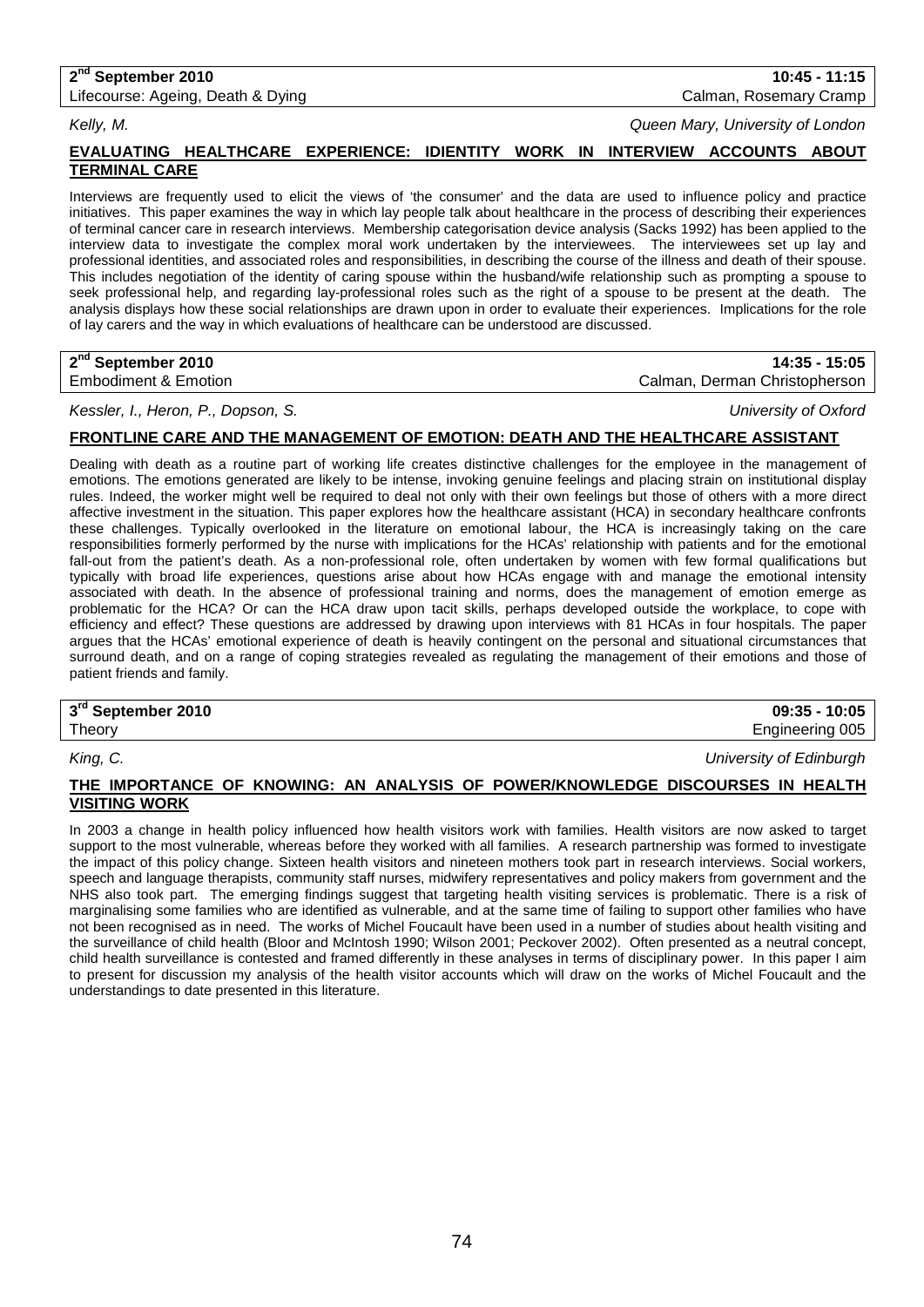## **2nd September 2010 10:45 - 11:15**

Lifecourse: Ageing, Death & Dying Calman, Rosemary Cramp Calman, Rosemary Cramp

*Kelly, M. Queen Mary, University of London*

## **EVALUATING HEALTHCARE EXPERIENCE: IDIENTITY WORK IN INTERVIEW ACCOUNTS ABOUT TERMINAL CARE**

Interviews are frequently used to elicit the views of 'the consumer' and the data are used to influence policy and practice initiatives. This paper examines the way in which lay people talk about healthcare in the process of describing their experiences of terminal cancer care in research interviews. Membership categorisation device analysis (Sacks 1992) has been applied to the interview data to investigate the complex moral work undertaken by the interviewees. The interviewees set up lay and professional identities, and associated roles and responsibilities, in describing the course of the illness and death of their spouse. This includes negotiation of the identity of caring spouse within the husband/wife relationship such as prompting a spouse to seek professional help, and regarding lay-professional roles such as the right of a spouse to be present at the death. The analysis displays how these social relationships are drawn upon in order to evaluate their experiences. Implications for the role of lay carers and the way in which evaluations of healthcare can be understood are discussed.

### **2nd September 2010 14:35 - 15:05**

Embodiment & Emotion **Calman, Derman Christopherson** 

*Kessler, I., Heron, P., Dopson, S. University of Oxford*

## **FRONTLINE CARE AND THE MANAGEMENT OF EMOTION: DEATH AND THE HEALTHCARE ASSISTANT**

Dealing with death as a routine part of working life creates distinctive challenges for the employee in the management of emotions. The emotions generated are likely to be intense, invoking genuine feelings and placing strain on institutional display rules. Indeed, the worker might well be required to deal not only with their own feelings but those of others with a more direct affective investment in the situation. This paper explores how the healthcare assistant (HCA) in secondary healthcare confronts these challenges. Typically overlooked in the literature on emotional labour, the HCA is increasingly taking on the care responsibilities formerly performed by the nurse with implications for the HCAs' relationship with patients and for the emotional fall-out from the patient's death. As a non-professional role, often undertaken by women with few formal qualifications but typically with broad life experiences, questions arise about how HCAs engage with and manage the emotional intensity associated with death. In the absence of professional training and norms, does the management of emotion emerge as problematic for the HCA? Or can the HCA draw upon tacit skills, perhaps developed outside the workplace, to cope with efficiency and effect? These questions are addressed by drawing upon interviews with 81 HCAs in four hospitals. The paper argues that the HCAs' emotional experience of death is heavily contingent on the personal and situational circumstances that surround death, and on a range of coping strategies revealed as regulating the management of their emotions and those of patient friends and family.

| $3rd$ September 2010 | $09:35 - 10:05$ |
|----------------------|-----------------|
| Theory               | Engineering 005 |

*King, C. University of Edinburgh*

## **THE IMPORTANCE OF KNOWING: AN ANALYSIS OF POWER/KNOWLEDGE DISCOURSES IN HEALTH VISITING WORK**

In 2003 a change in health policy influenced how health visitors work with families. Health visitors are now asked to target support to the most vulnerable, whereas before they worked with all families. A research partnership was formed to investigate the impact of this policy change. Sixteen health visitors and nineteen mothers took part in research interviews. Social workers, speech and language therapists, community staff nurses, midwifery representatives and policy makers from government and the NHS also took part. The emerging findings suggest that targeting health visiting services is problematic. There is a risk of marginalising some families who are identified as vulnerable, and at the same time of failing to support other families who have not been recognised as in need. The works of Michel Foucault have been used in a number of studies about health visiting and the surveillance of child health (Bloor and McIntosh 1990; Wilson 2001; Peckover 2002). Often presented as a neutral concept, child health surveillance is contested and framed differently in these analyses in terms of disciplinary power. In this paper I aim to present for discussion my analysis of the health visitor accounts which will draw on the works of Michel Foucault and the understandings to date presented in this literature.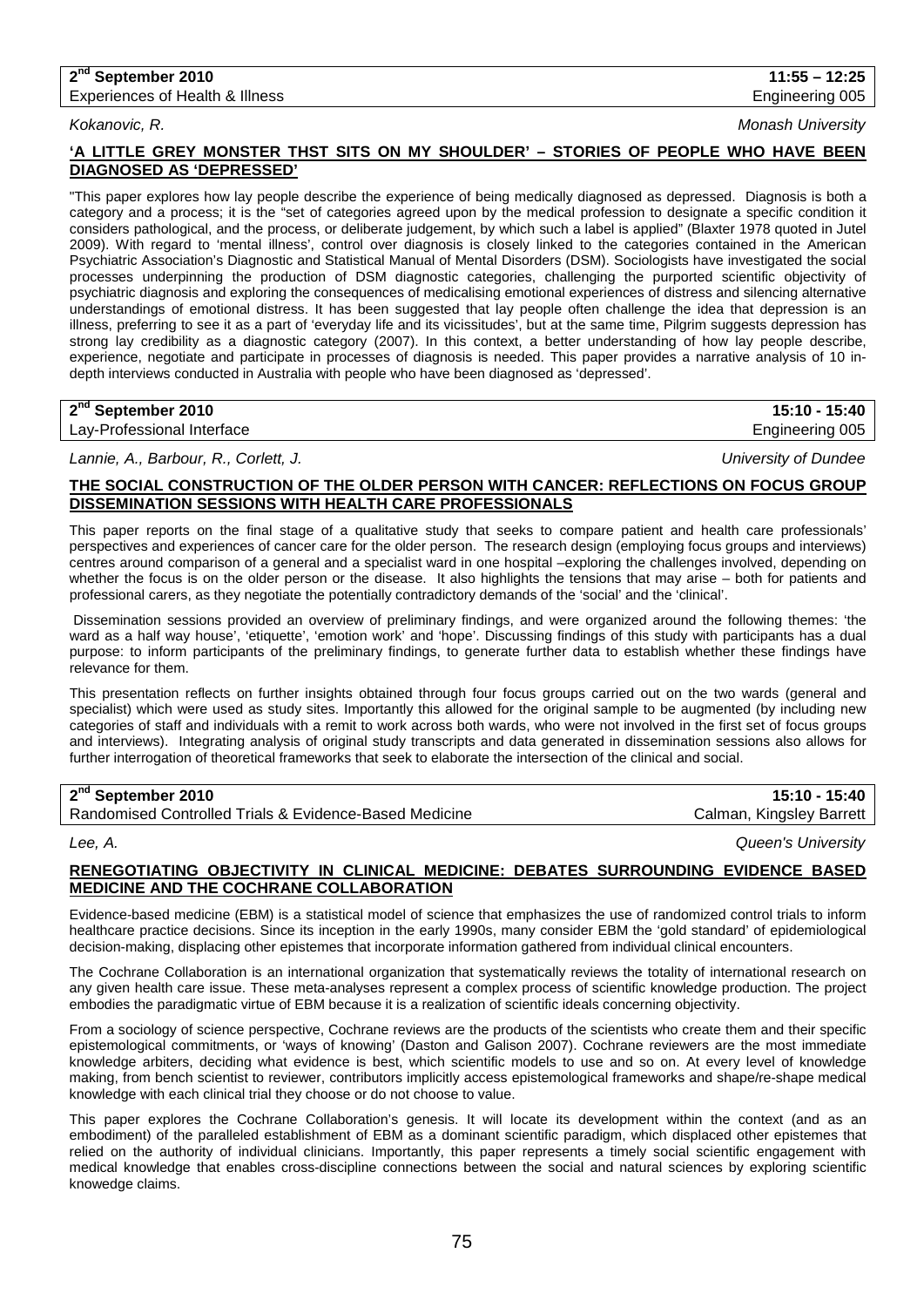# **2nd September 2010 11:55 – 12:25**

Experiences of Health & Illness **Engineering 005** Engineering 005

## *Kokanovic, R. Monash University*

## **'A LITTLE GREY MONSTER THST SITS ON MY SHOULDER' – STORIES OF PEOPLE WHO HAVE BEEN DIAGNOSED AS 'DEPRESSED'**

"This paper explores how lay people describe the experience of being medically diagnosed as depressed. Diagnosis is both a category and a process; it is the "set of categories agreed upon by the medical profession to designate a specific condition it considers pathological, and the process, or deliberate judgement, by which such a label is applied" (Blaxter 1978 quoted in Jutel 2009). With regard to 'mental illness', control over diagnosis is closely linked to the categories contained in the American Psychiatric Association's Diagnostic and Statistical Manual of Mental Disorders (DSM). Sociologists have investigated the social processes underpinning the production of DSM diagnostic categories, challenging the purported scientific objectivity of psychiatric diagnosis and exploring the consequences of medicalising emotional experiences of distress and silencing alternative understandings of emotional distress. It has been suggested that lay people often challenge the idea that depression is an illness, preferring to see it as a part of 'everyday life and its vicissitudes', but at the same time, Pilgrim suggests depression has strong lay credibility as a diagnostic category (2007). In this context, a better understanding of how lay people describe, experience, negotiate and participate in processes of diagnosis is needed. This paper provides a narrative analysis of 10 indepth interviews conducted in Australia with people who have been diagnosed as 'depressed'.

## **2nd September 2010 15:10 - 15:40**

Lay-Professional Interface **Engineering 005** Lay-Professional Interface

*Lannie, A., Barbour, R., Corlett, J. University of Dundee*

## **THE SOCIAL CONSTRUCTION OF THE OLDER PERSON WITH CANCER: REFLECTIONS ON FOCUS GROUP DISSEMINATION SESSIONS WITH HEALTH CARE PROFESSIONALS**

This paper reports on the final stage of a qualitative study that seeks to compare patient and health care professionals' perspectives and experiences of cancer care for the older person. The research design (employing focus groups and interviews) centres around comparison of a general and a specialist ward in one hospital –exploring the challenges involved, depending on whether the focus is on the older person or the disease. It also highlights the tensions that may arise – both for patients and professional carers, as they negotiate the potentially contradictory demands of the 'social' and the 'clinical'.

Dissemination sessions provided an overview of preliminary findings, and were organized around the following themes: 'the ward as a half way house', 'etiquette', 'emotion work' and 'hope'. Discussing findings of this study with participants has a dual purpose: to inform participants of the preliminary findings, to generate further data to establish whether these findings have relevance for them.

This presentation reflects on further insights obtained through four focus groups carried out on the two wards (general and specialist) which were used as study sites. Importantly this allowed for the original sample to be augmented (by including new categories of staff and individuals with a remit to work across both wards, who were not involved in the first set of focus groups and interviews). Integrating analysis of original study transcripts and data generated in dissemination sessions also allows for further interrogation of theoretical frameworks that seek to elaborate the intersection of the clinical and social.

## **2nd September 2010 15:10 - 15:40**

Randomised Controlled Trials & Evidence-Based Medicine Calman, Kingsley Barrett

*Lee, A. Queen's University*

## **RENEGOTIATING OBJECTIVITY IN CLINICAL MEDICINE: DEBATES SURROUNDING EVIDENCE BASED MEDICINE AND THE COCHRANE COLLABORATION**

Evidence-based medicine (EBM) is a statistical model of science that emphasizes the use of randomized control trials to inform healthcare practice decisions. Since its inception in the early 1990s, many consider EBM the 'gold standard' of epidemiological decision-making, displacing other epistemes that incorporate information gathered from individual clinical encounters.

The Cochrane Collaboration is an international organization that systematically reviews the totality of international research on any given health care issue. These meta-analyses represent a complex process of scientific knowledge production. The project embodies the paradigmatic virtue of EBM because it is a realization of scientific ideals concerning objectivity.

From a sociology of science perspective, Cochrane reviews are the products of the scientists who create them and their specific epistemological commitments, or 'ways of knowing' (Daston and Galison 2007). Cochrane reviewers are the most immediate knowledge arbiters, deciding what evidence is best, which scientific models to use and so on. At every level of knowledge making, from bench scientist to reviewer, contributors implicitly access epistemological frameworks and shape/re-shape medical knowledge with each clinical trial they choose or do not choose to value.

This paper explores the Cochrane Collaboration's genesis. It will locate its development within the context (and as an embodiment) of the paralleled establishment of EBM as a dominant scientific paradigm, which displaced other epistemes that relied on the authority of individual clinicians. Importantly, this paper represents a timely social scientific engagement with medical knowledge that enables cross-discipline connections between the social and natural sciences by exploring scientific knowedge claims.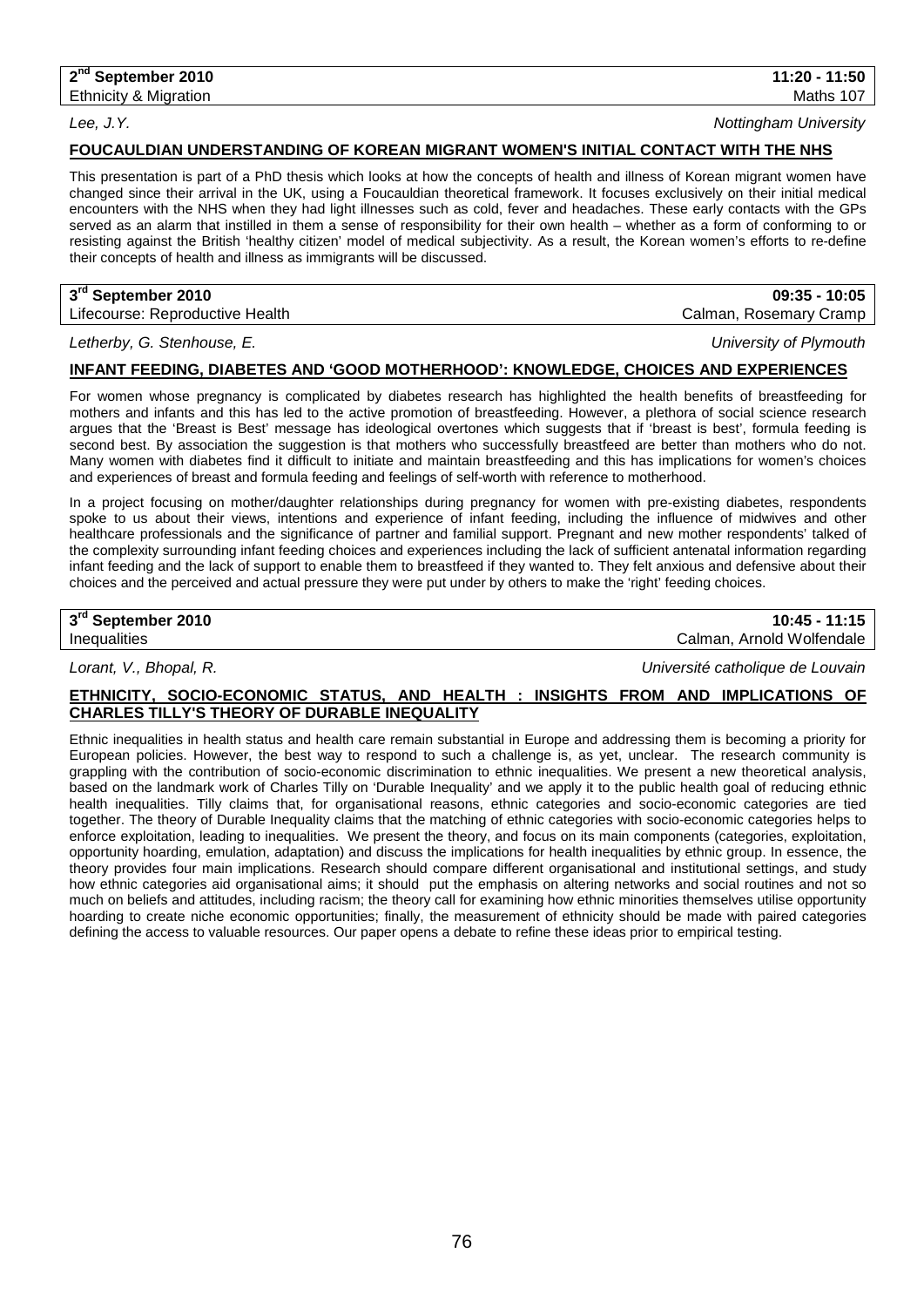*Lee, J.Y. Nottingham University*

## **FOUCAULDIAN UNDERSTANDING OF KOREAN MIGRANT WOMEN'S INITIAL CONTACT WITH THE NHS**

This presentation is part of a PhD thesis which looks at how the concepts of health and illness of Korean migrant women have changed since their arrival in the UK, using a Foucauldian theoretical framework. It focuses exclusively on their initial medical encounters with the NHS when they had light illnesses such as cold, fever and headaches. These early contacts with the GPs served as an alarm that instilled in them a sense of responsibility for their own health – whether as a form of conforming to or resisting against the British 'healthy citizen' model of medical subjectivity. As a result, the Korean women's efforts to re-define their concepts of health and illness as immigrants will be discussed.

## **3rd September 2010 09:35 - 10:05**

Lifecourse: Reproductive Health Calman, Rosemary Cramp

*Letherby, G. Stenhouse, E. University of Plymouth*

## **INFANT FEEDING, DIABETES AND 'GOOD MOTHERHOOD': KNOWLEDGE, CHOICES AND EXPERIENCES**

For women whose pregnancy is complicated by diabetes research has highlighted the health benefits of breastfeeding for mothers and infants and this has led to the active promotion of breastfeeding. However, a plethora of social science research argues that the 'Breast is Best' message has ideological overtones which suggests that if 'breast is best', formula feeding is second best. By association the suggestion is that mothers who successfully breastfeed are better than mothers who do not. Many women with diabetes find it difficult to initiate and maintain breastfeeding and this has implications for women's choices and experiences of breast and formula feeding and feelings of self-worth with reference to motherhood.

In a project focusing on mother/daughter relationships during pregnancy for women with pre-existing diabetes, respondents spoke to us about their views, intentions and experience of infant feeding, including the influence of midwives and other healthcare professionals and the significance of partner and familial support. Pregnant and new mother respondents' talked of the complexity surrounding infant feeding choices and experiences including the lack of sufficient antenatal information regarding infant feeding and the lack of support to enable them to breastfeed if they wanted to. They felt anxious and defensive about their choices and the perceived and actual pressure they were put under by others to make the 'right' feeding choices.

## **3rd September 2010 10:45 - 11:15**

Inequalities Calman, Arnold Wolfendale

*Lorant, V., Bhopal, R. Université catholique de Louvain*

## **ETHNICITY, SOCIO-ECONOMIC STATUS, AND HEALTH : INSIGHTS FROM AND IMPLICATIONS OF CHARLES TILLY'S THEORY OF DURABLE INEQUALITY**

Ethnic inequalities in health status and health care remain substantial in Europe and addressing them is becoming a priority for European policies. However, the best way to respond to such a challenge is, as yet, unclear. The research community is grappling with the contribution of socio-economic discrimination to ethnic inequalities. We present a new theoretical analysis, based on the landmark work of Charles Tilly on 'Durable Inequality' and we apply it to the public health goal of reducing ethnic health inequalities. Tilly claims that, for organisational reasons, ethnic categories and socio-economic categories are tied together. The theory of Durable Inequality claims that the matching of ethnic categories with socio-economic categories helps to enforce exploitation, leading to inequalities. We present the theory, and focus on its main components (categories, exploitation, opportunity hoarding, emulation, adaptation) and discuss the implications for health inequalities by ethnic group. In essence, the theory provides four main implications. Research should compare different organisational and institutional settings, and study how ethnic categories aid organisational aims; it should put the emphasis on altering networks and social routines and not so much on beliefs and attitudes, including racism; the theory call for examining how ethnic minorities themselves utilise opportunity hoarding to create niche economic opportunities; finally, the measurement of ethnicity should be made with paired categories defining the access to valuable resources. Our paper opens a debate to refine these ideas prior to empirical testing.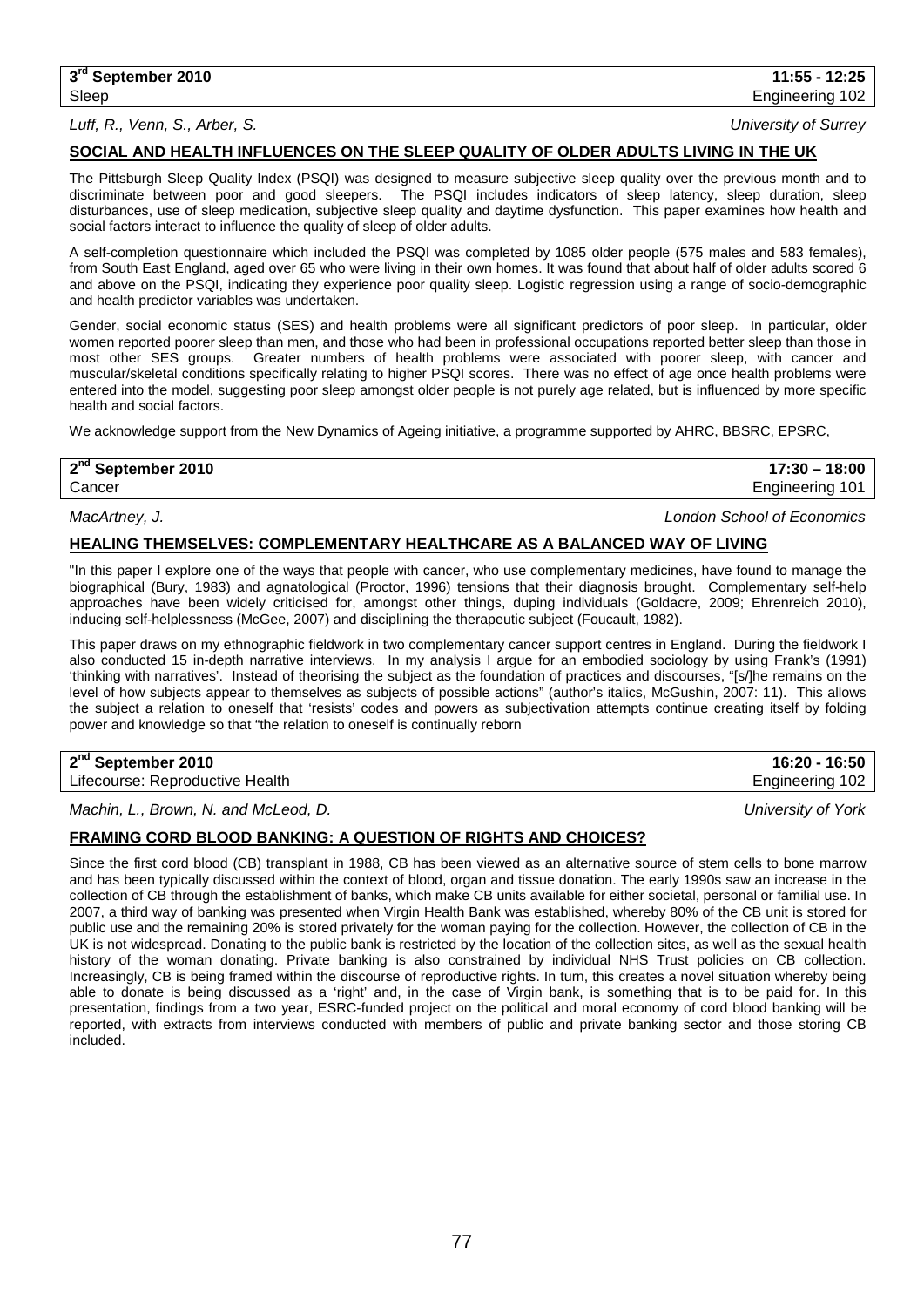### *Luff, R., Venn, S., Arber, S. University of Surrey*

### **SOCIAL AND HEALTH INFLUENCES ON THE SLEEP QUALITY OF OLDER ADULTS LIVING IN THE UK**

The Pittsburgh Sleep Quality Index (PSQI) was designed to measure subjective sleep quality over the previous month and to discriminate between poor and good sleepers. The PSQI includes indicators of sleep latency, sleep duration, sleep disturbances, use of sleep medication, subjective sleep quality and daytime dysfunction. This paper examines how health and social factors interact to influence the quality of sleep of older adults.

A self-completion questionnaire which included the PSQI was completed by 1085 older people (575 males and 583 females), from South East England, aged over 65 who were living in their own homes. It was found that about half of older adults scored 6 and above on the PSQI, indicating they experience poor quality sleep. Logistic regression using a range of socio-demographic and health predictor variables was undertaken.

Gender, social economic status (SES) and health problems were all significant predictors of poor sleep. In particular, older women reported poorer sleep than men, and those who had been in professional occupations reported better sleep than those in<br>most other SES groups. Greater numbers of health problems were associated with poorer sleep, with Greater numbers of health problems were associated with poorer sleep, with cancer and muscular/skeletal conditions specifically relating to higher PSQI scores. There was no effect of age once health problems were entered into the model, suggesting poor sleep amongst older people is not purely age related, but is influenced by more specific health and social factors.

We acknowledge support from the New Dynamics of Ageing initiative, a programme supported by AHRC, BBSRC, EPSRC,

## **2nd September 2010 17:30 – 18:00**

Cancer Engineering 101

## *MacArtney, J. London School of Economics*

## **HEALING THEMSELVES: COMPLEMENTARY HEALTHCARE AS A BALANCED WAY OF LIVING**

"In this paper I explore one of the ways that people with cancer, who use complementary medicines, have found to manage the biographical (Bury, 1983) and agnatological (Proctor, 1996) tensions that their diagnosis brought. Complementary self-help approaches have been widely criticised for, amongst other things, duping individuals (Goldacre, 2009; Ehrenreich 2010), inducing self-helplessness (McGee, 2007) and disciplining the therapeutic subject (Foucault, 1982).

This paper draws on my ethnographic fieldwork in two complementary cancer support centres in England. During the fieldwork I also conducted 15 in-depth narrative interviews. In my analysis I argue for an embodied sociology by using Frank's (1991) 'thinking with narratives'. Instead of theorising the subject as the foundation of practices and discourses, "[s/]he remains on the level of how subjects appear to themselves as subjects of possible actions" (author's italics, McGushin, 2007: 11). This allows the subject a relation to oneself that 'resists' codes and powers as subjectivation attempts continue creating itself by folding power and knowledge so that "the relation to oneself is continually reborn

**2nd September 2010 16:20 - 16:50**

Lifecourse: Reproductive Health **Engineering 102** and the Engineering 102

*Machin, L., Brown, N. and McLeod, D. University of York*

### **FRAMING CORD BLOOD BANKING: A QUESTION OF RIGHTS AND CHOICES?**

Since the first cord blood (CB) transplant in 1988, CB has been viewed as an alternative source of stem cells to bone marrow and has been typically discussed within the context of blood, organ and tissue donation. The early 1990s saw an increase in the collection of CB through the establishment of banks, which make CB units available for either societal, personal or familial use. In 2007, a third way of banking was presented when Virgin Health Bank was established, whereby 80% of the CB unit is stored for public use and the remaining 20% is stored privately for the woman paying for the collection. However, the collection of CB in the UK is not widespread. Donating to the public bank is restricted by the location of the collection sites, as well as the sexual health history of the woman donating. Private banking is also constrained by individual NHS Trust policies on CB collection. Increasingly, CB is being framed within the discourse of reproductive rights. In turn, this creates a novel situation whereby being able to donate is being discussed as a 'right' and, in the case of Virgin bank, is something that is to be paid for. In this presentation, findings from a two year, ESRC-funded project on the political and moral economy of cord blood banking will be reported, with extracts from interviews conducted with members of public and private banking sector and those storing CB included.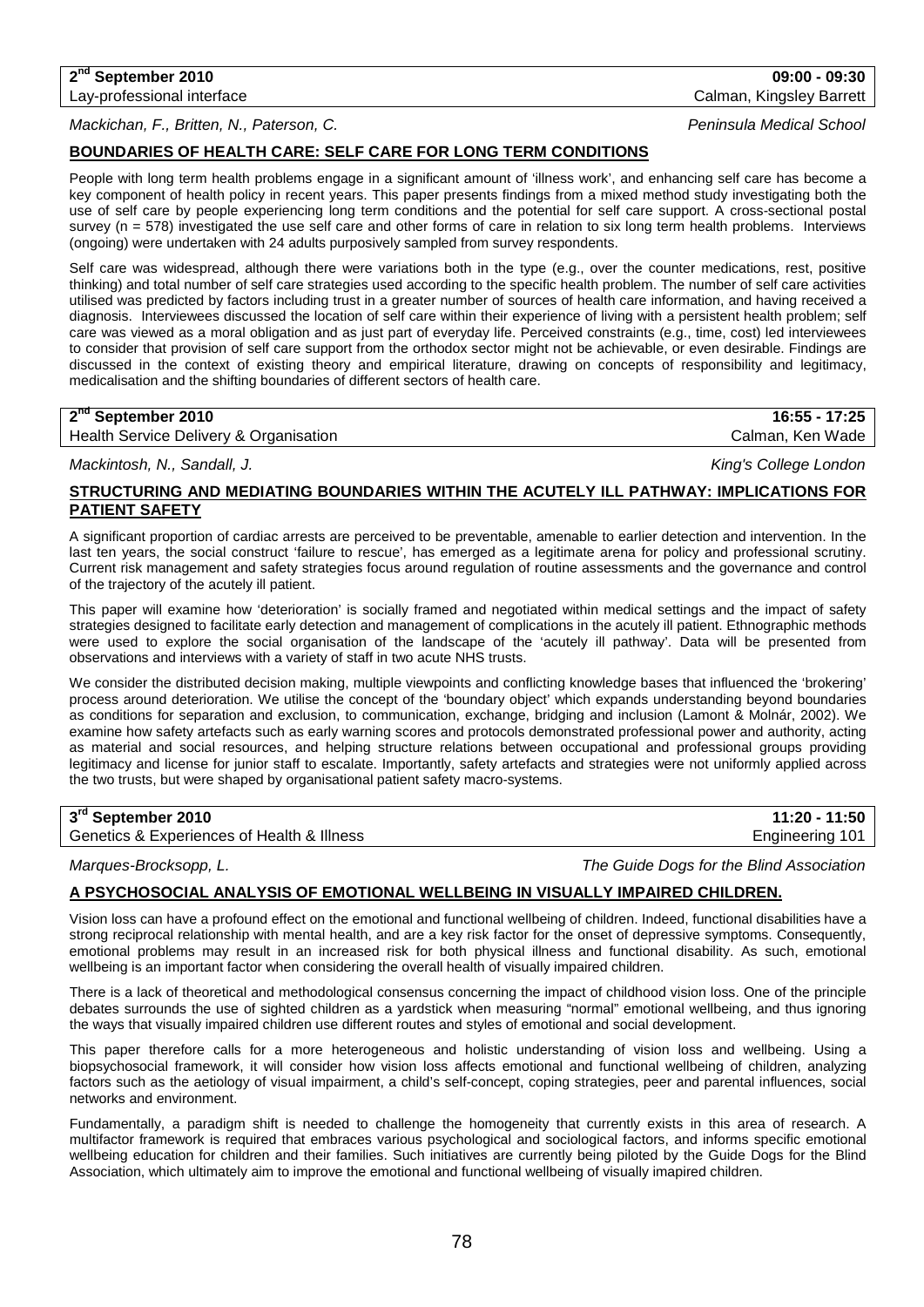*Mackichan, F., Britten, N., Paterson, C. Peninsula Medical School*

## **BOUNDARIES OF HEALTH CARE: SELF CARE FOR LONG TERM CONDITIONS**

People with long term health problems engage in a significant amount of 'illness work', and enhancing self care has become a key component of health policy in recent years. This paper presents findings from a mixed method study investigating both the use of self care by people experiencing long term conditions and the potential for self care support. A cross-sectional postal survey (n = 578) investigated the use self care and other forms of care in relation to six long term health problems. Interviews (ongoing) were undertaken with 24 adults purposively sampled from survey respondents.

Self care was widespread, although there were variations both in the type (e.g., over the counter medications, rest, positive thinking) and total number of self care strategies used according to the specific health problem. The number of self care activities utilised was predicted by factors including trust in a greater number of sources of health care information, and having received a diagnosis. Interviewees discussed the location of self care within their experience of living with a persistent health problem; self care was viewed as a moral obligation and as just part of everyday life. Perceived constraints (e.g., time, cost) led interviewees to consider that provision of self care support from the orthodox sector might not be achievable, or even desirable. Findings are discussed in the context of existing theory and empirical literature, drawing on concepts of responsibility and legitimacy, medicalisation and the shifting boundaries of different sectors of health care.

## **2nd September 2010 16:55 - 17:25**

Health Service Delivery & Organisation Calman, Ken Wade Calman, Ken Wade

*Mackintosh, N., Sandall, J. King's College London*

## **STRUCTURING AND MEDIATING BOUNDARIES WITHIN THE ACUTELY ILL PATHWAY: IMPLICATIONS FOR PATIENT SAFETY**

A significant proportion of cardiac arrests are perceived to be preventable, amenable to earlier detection and intervention. In the last ten years, the social construct 'failure to rescue', has emerged as a legitimate arena for policy and professional scrutiny. Current risk management and safety strategies focus around regulation of routine assessments and the governance and control of the trajectory of the acutely ill patient.

This paper will examine how 'deterioration' is socially framed and negotiated within medical settings and the impact of safety strategies designed to facilitate early detection and management of complications in the acutely ill patient. Ethnographic methods were used to explore the social organisation of the landscape of the 'acutely ill pathway'. Data will be presented from observations and interviews with a variety of staff in two acute NHS trusts.

We consider the distributed decision making, multiple viewpoints and conflicting knowledge bases that influenced the 'brokering' process around deterioration. We utilise the concept of the 'boundary object' which expands understanding beyond boundaries as conditions for separation and exclusion, to communication, exchange, bridging and inclusion (Lamont & Molnár, 2002). We examine how safety artefacts such as early warning scores and protocols demonstrated professional power and authority, acting as material and social resources, and helping structure relations between occupational and professional groups providing legitimacy and license for junior staff to escalate. Importantly, safety artefacts and strategies were not uniformly applied across the two trusts, but were shaped by organisational patient safety macro-systems.

## **3rd September 2010 11:20 - 11:50**

Genetics & Experiences of Health & Illness Engineering 101

*Marques-Brocksopp, L. The Guide Dogs for the Blind Association*

## **A PSYCHOSOCIAL ANALYSIS OF EMOTIONAL WELLBEING IN VISUALLY IMPAIRED CHILDREN.**

Vision loss can have a profound effect on the emotional and functional wellbeing of children. Indeed, functional disabilities have a strong reciprocal relationship with mental health, and are a key risk factor for the onset of depressive symptoms. Consequently, emotional problems may result in an increased risk for both physical illness and functional disability. As such, emotional wellbeing is an important factor when considering the overall health of visually impaired children.

There is a lack of theoretical and methodological consensus concerning the impact of childhood vision loss. One of the principle debates surrounds the use of sighted children as a yardstick when measuring "normal" emotional wellbeing, and thus ignoring the ways that visually impaired children use different routes and styles of emotional and social development.

This paper therefore calls for a more heterogeneous and holistic understanding of vision loss and wellbeing. Using a biopsychosocial framework, it will consider how vision loss affects emotional and functional wellbeing of children, analyzing factors such as the aetiology of visual impairment, a child's self-concept, coping strategies, peer and parental influences, social networks and environment.

Fundamentally, a paradigm shift is needed to challenge the homogeneity that currently exists in this area of research. A multifactor framework is required that embraces various psychological and sociological factors, and informs specific emotional wellbeing education for children and their families. Such initiatives are currently being piloted by the Guide Dogs for the Blind Association, which ultimately aim to improve the emotional and functional wellbeing of visually imapired children.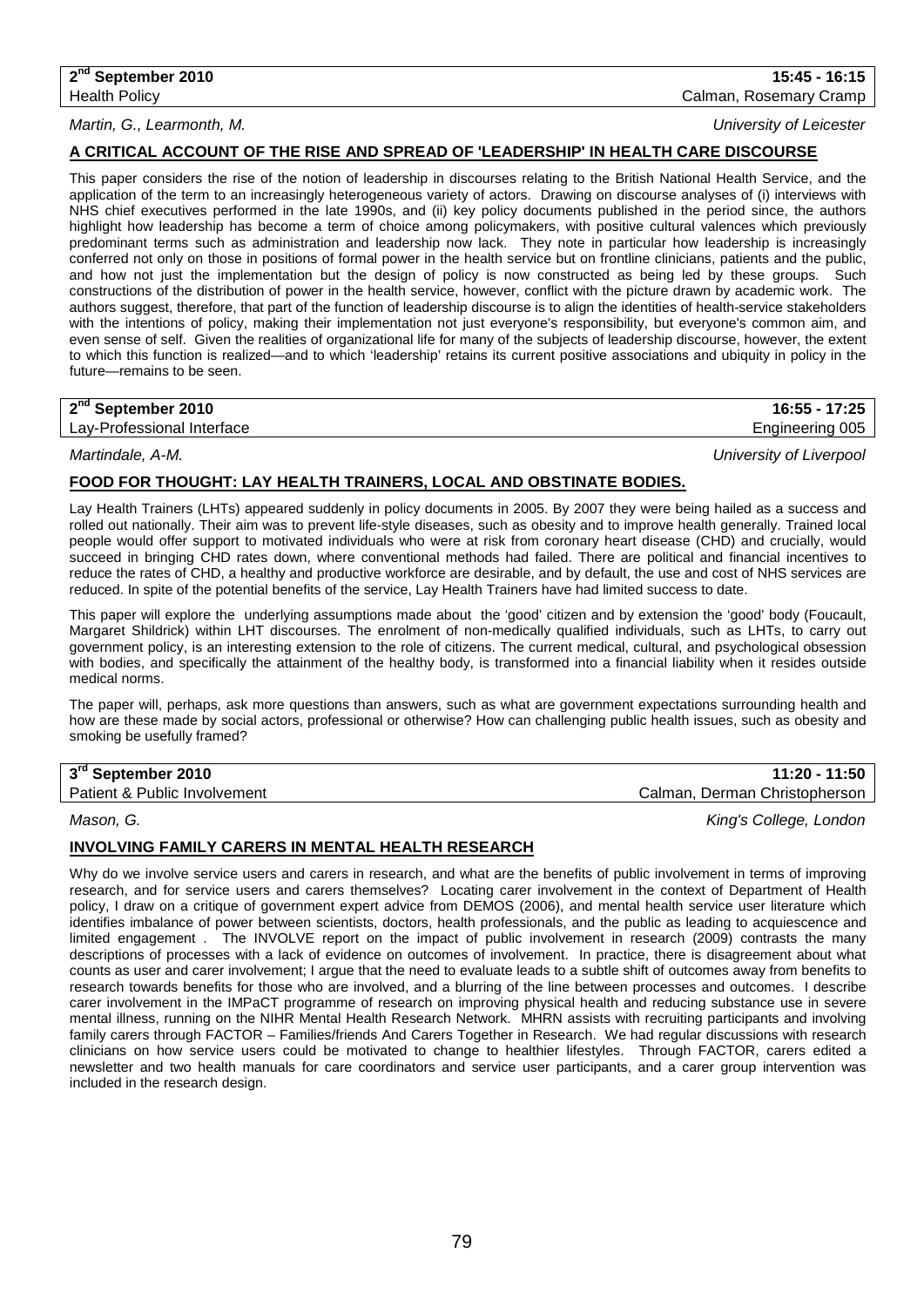## *Martin, G., Learmonth, M. University of Leicester*

**2nd September 2010 15:45 - 16:15** Health Policy Calman, Rosemary Cramp

## **A CRITICAL ACCOUNT OF THE RISE AND SPREAD OF 'LEADERSHIP' IN HEALTH CARE DISCOURSE**

This paper considers the rise of the notion of leadership in discourses relating to the British National Health Service, and the application of the term to an increasingly heterogeneous variety of actors. Drawing on discourse analyses of (i) interviews with NHS chief executives performed in the late 1990s, and (ii) key policy documents published in the period since, the authors highlight how leadership has become a term of choice among policymakers, with positive cultural valences which previously predominant terms such as administration and leadership now lack. They note in particular how leadership is increasingly conferred not only on those in positions of formal power in the health service but on frontline clinicians, patients and the public, and how not just the implementation but the design of policy is now constructed as being led by these groups. Such constructions of the distribution of power in the health service, however, conflict with the picture drawn by academic work. The authors suggest, therefore, that part of the function of leadership discourse is to align the identities of health-service stakeholders with the intentions of policy, making their implementation not just everyone's responsibility, but everyone's common aim, and even sense of self. Given the realities of organizational life for many of the subjects of leadership discourse, however, the extent to which this function is realized—and to which 'leadership' retains its current positive associations and ubiquity in policy in the future—remains to be seen.

## **2nd September 2010 16:55 - 17:25**

Lay-Professional Interface **Engineering 005** Lay-Professional Interface

*Martindale, A-M. University of Liverpool*

## **FOOD FOR THOUGHT: LAY HEALTH TRAINERS, LOCAL AND OBSTINATE BODIES.**

Lay Health Trainers (LHTs) appeared suddenly in policy documents in 2005. By 2007 they were being hailed as a success and rolled out nationally. Their aim was to prevent life-style diseases, such as obesity and to improve health generally. Trained local people would offer support to motivated individuals who were at risk from coronary heart disease (CHD) and crucially, would succeed in bringing CHD rates down, where conventional methods had failed. There are political and financial incentives to reduce the rates of CHD, a healthy and productive workforce are desirable, and by default, the use and cost of NHS services are reduced. In spite of the potential benefits of the service, Lay Health Trainers have had limited success to date.

This paper will explore the underlying assumptions made about the 'good' citizen and by extension the 'good' body (Foucault, Margaret Shildrick) within LHT discourses. The enrolment of non-medically qualified individuals, such as LHTs, to carry out government policy, is an interesting extension to the role of citizens. The current medical, cultural, and psychological obsession with bodies, and specifically the attainment of the healthy body, is transformed into a financial liability when it resides outside medical norms.

The paper will, perhaps, ask more questions than answers, such as what are government expectations surrounding health and how are these made by social actors, professional or otherwise? How can challenging public health issues, such as obesity and smoking be usefully framed?

| 3rd September 2010           | 11:20 - 11:50                 |
|------------------------------|-------------------------------|
| Patient & Public Involvement | Calman, Derman Christopherson |

## *Mason, G. King's College, London*

### **INVOLVING FAMILY CARERS IN MENTAL HEALTH RESEARCH**

Why do we involve service users and carers in research, and what are the benefits of public involvement in terms of improving research, and for service users and carers themselves? Locating carer involvement in the context of Department of Health policy, I draw on a critique of government expert advice from DEMOS (2006), and mental health service user literature which identifies imbalance of power between scientists, doctors, health professionals, and the public as leading to acquiescence and limited engagement . The INVOLVE report on the impact of public involvement in research (2009) contrasts the many descriptions of processes with a lack of evidence on outcomes of involvement. In practice, there is disagreement about what counts as user and carer involvement; I argue that the need to evaluate leads to a subtle shift of outcomes away from benefits to research towards benefits for those who are involved, and a blurring of the line between processes and outcomes. I describe carer involvement in the IMPaCT programme of research on improving physical health and reducing substance use in severe mental illness, running on the NIHR Mental Health Research Network. MHRN assists with recruiting participants and involving family carers through FACTOR – Families/friends And Carers Together in Research. We had regular discussions with research clinicians on how service users could be motivated to change to healthier lifestyles. Through FACTOR, carers edited a newsletter and two health manuals for care coordinators and service user participants, and a carer group intervention was included in the research design.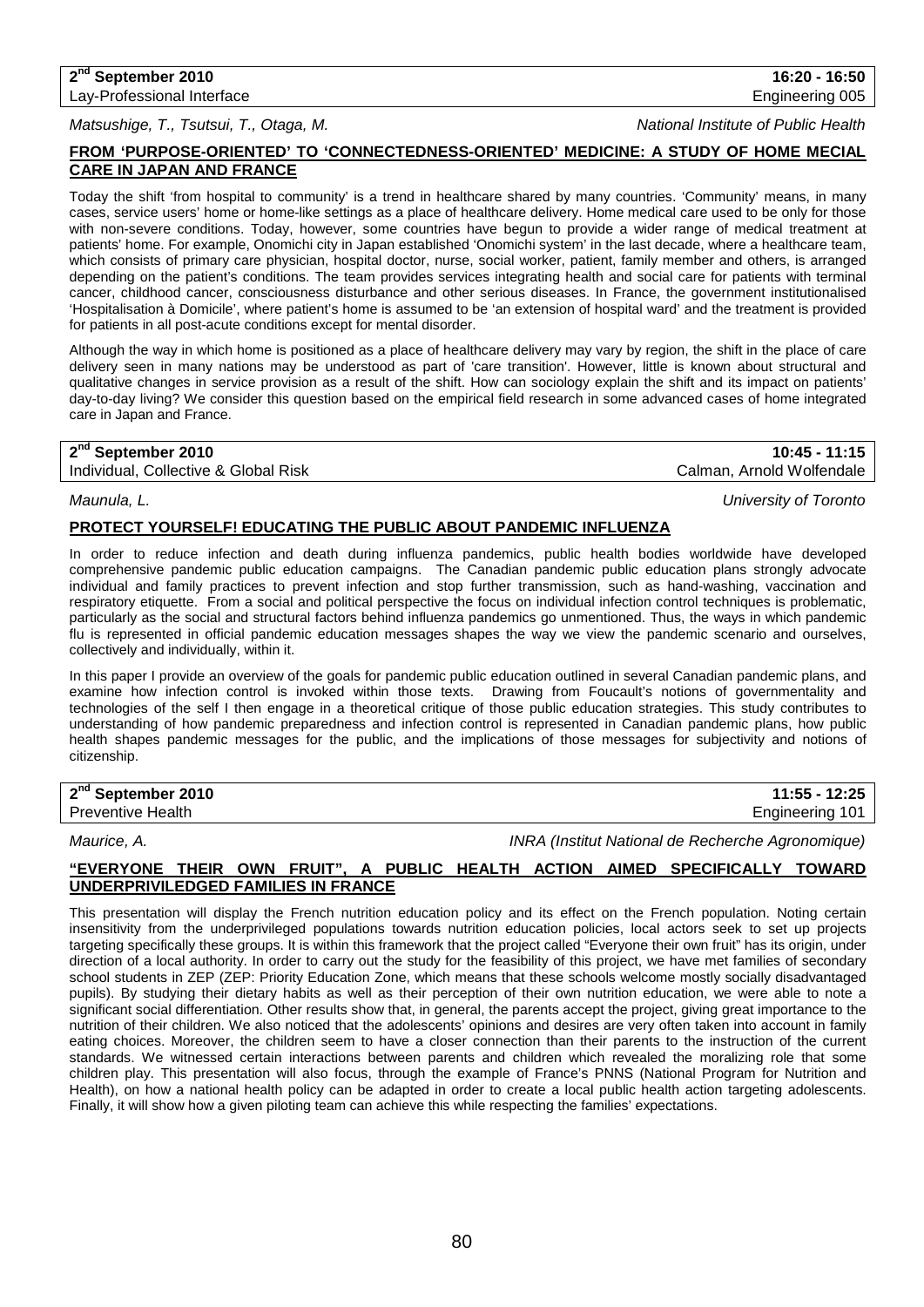# *Matsushige, T., Tsutsui, T., Otaga, M. National Institute of Public Health*

## **FROM 'PURPOSE-ORIENTED' TO 'CONNECTEDNESS-ORIENTED' MEDICINE: A STUDY OF HOME MECIAL CARE IN JAPAN AND FRANCE**

Today the shift 'from hospital to community' is a trend in healthcare shared by many countries. 'Community' means, in many cases, service users' home or home-like settings as a place of healthcare delivery. Home medical care used to be only for those with non-severe conditions. Today, however, some countries have begun to provide a wider range of medical treatment at patients' home. For example, Onomichi city in Japan established 'Onomichi system' in the last decade, where a healthcare team, which consists of primary care physician, hospital doctor, nurse, social worker, patient, family member and others, is arranged depending on the patient's conditions. The team provides services integrating health and social care for patients with terminal cancer, childhood cancer, consciousness disturbance and other serious diseases. In France, the government institutionalised 'Hospitalisation à Domicile', where patient's home is assumed to be 'an extension of hospital ward' and the treatment is provided for patients in all post-acute conditions except for mental disorder.

Although the way in which home is positioned as a place of healthcare delivery may vary by region, the shift in the place of care delivery seen in many nations may be understood as part of 'care transition'. However, little is known about structural and qualitative changes in service provision as a result of the shift. How can sociology explain the shift and its impact on patients' day-to-day living? We consider this question based on the empirical field research in some advanced cases of home integrated care in Japan and France.

Individual, Collective & Global Risk Calman, Arnold Wolfendale

**2nd September 2010 10:45 - 11:15**

*Maunula, L. University of Toronto*

## **PROTECT YOURSELF! EDUCATING THE PUBLIC ABOUT PANDEMIC INFLUENZA**

In order to reduce infection and death during influenza pandemics, public health bodies worldwide have developed comprehensive pandemic public education campaigns. The Canadian pandemic public education plans strongly advocate individual and family practices to prevent infection and stop further transmission, such as hand-washing, vaccination and respiratory etiquette. From a social and political perspective the focus on individual infection control techniques is problematic, particularly as the social and structural factors behind influenza pandemics go unmentioned. Thus, the ways in which pandemic flu is represented in official pandemic education messages shapes the way we view the pandemic scenario and ourselves, collectively and individually, within it.

In this paper I provide an overview of the goals for pandemic public education outlined in several Canadian pandemic plans, and examine how infection control is invoked within those texts. Drawing from Foucault's notions of governmentality and technologies of the self I then engage in a theoretical critique of those public education strategies. This study contributes to understanding of how pandemic preparedness and infection control is represented in Canadian pandemic plans, how public health shapes pandemic messages for the public, and the implications of those messages for subjectivity and notions of citizenship.

**2nd September 2010 11:55 - 12:25**

Preventive Health **Engineering 101 Engineering 101** 

*Maurice, A. INRA (Institut National de Recherche Agronomique)*

## **"EVERYONE THEIR OWN FRUIT", A PUBLIC HEALTH ACTION AIMED SPECIFICALLY TOWARD UNDERPRIVILEDGED FAMILIES IN FRANCE**

This presentation will display the French nutrition education policy and its effect on the French population. Noting certain insensitivity from the underprivileged populations towards nutrition education policies, local actors seek to set up projects targeting specifically these groups. It is within this framework that the project called "Everyone their own fruit" has its origin, under direction of a local authority. In order to carry out the study for the feasibility of this project, we have met families of secondary school students in ZEP (ZEP: Priority Education Zone, which means that these schools welcome mostly socially disadvantaged pupils). By studying their dietary habits as well as their perception of their own nutrition education, we were able to note a significant social differentiation. Other results show that, in general, the parents accept the project, giving great importance to the nutrition of their children. We also noticed that the adolescents' opinions and desires are very often taken into account in family eating choices. Moreover, the children seem to have a closer connection than their parents to the instruction of the current standards. We witnessed certain interactions between parents and children which revealed the moralizing role that some children play. This presentation will also focus, through the example of France's PNNS (National Program for Nutrition and Health), on how a national health policy can be adapted in order to create a local public health action targeting adolescents. Finally, it will show how a given piloting team can achieve this while respecting the families' expectations.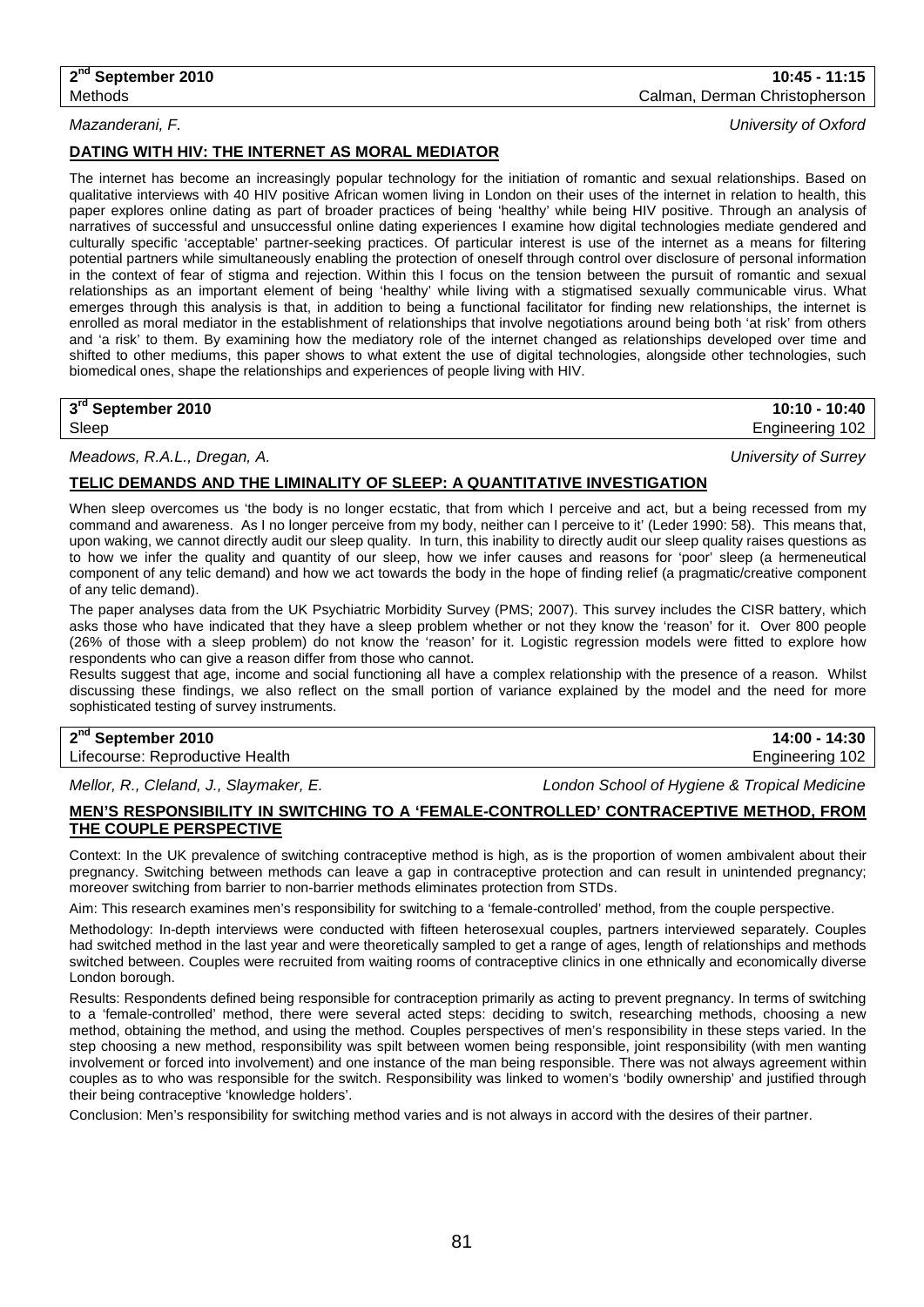The internet has become an increasingly popular technology for the initiation of romantic and sexual relationships. Based on qualitative interviews with 40 HIV positive African women living in London on their uses of the internet in relation to health, this paper explores online dating as part of broader practices of being 'healthy' while being HIV positive. Through an analysis of narratives of successful and unsuccessful online dating experiences I examine how digital technologies mediate gendered and culturally specific 'acceptable' partner-seeking practices. Of particular interest is use of the internet as a means for filtering potential partners while simultaneously enabling the protection of oneself through control over disclosure of personal information in the context of fear of stigma and rejection. Within this I focus on the tension between the pursuit of romantic and sexual relationships as an important element of being 'healthy' while living with a stigmatised sexually communicable virus. What emerges through this analysis is that, in addition to being a functional facilitator for finding new relationships, the internet is enrolled as moral mediator in the establishment of relationships that involve negotiations around being both 'at risk' from others and 'a risk' to them. By examining how the mediatory role of the internet changed as relationships developed over time and shifted to other mediums, this paper shows to what extent the use of digital technologies, alongside other technologies, such biomedical ones, shape the relationships and experiences of people living with HIV.

**3rd September 2010 10:10 - 10:40**

Sleep Engineering 102

*Meadows, R.A.L., Dregan, A. University of Surrey*

### **TELIC DEMANDS AND THE LIMINALITY OF SLEEP: A QUANTITATIVE INVESTIGATION**

When sleep overcomes us 'the body is no longer ecstatic, that from which I perceive and act, but a being recessed from my command and awareness. As I no longer perceive from my body, neither can I perceive to it' (Leder 1990: 58). This means that, upon waking, we cannot directly audit our sleep quality. In turn, this inability to directly audit our sleep quality raises questions as to how we infer the quality and quantity of our sleep, how we infer causes and reasons for 'poor' sleep (a hermeneutical component of any telic demand) and how we act towards the body in the hope of finding relief (a pragmatic/creative component of any telic demand).

The paper analyses data from the UK Psychiatric Morbidity Survey (PMS; 2007). This survey includes the CISR battery, which asks those who have indicated that they have a sleep problem whether or not they know the 'reason' for it. Over 800 people (26% of those with a sleep problem) do not know the 'reason' for it. Logistic regression models were fitted to explore how respondents who can give a reason differ from those who cannot.

Results suggest that age, income and social functioning all have a complex relationship with the presence of a reason. Whilst discussing these findings, we also reflect on the small portion of variance explained by the model and the need for more sophisticated testing of survey instruments.

## **2nd September 2010 14:00 - 14:30**

Lifecourse: Reproductive Health **Engineering 102** and the Engineering 102

*Mellor, R., Cleland, J., Slaymaker, E. London School of Hygiene & Tropical Medicine*

### **MEN'S RESPONSIBILITY IN SWITCHING TO A 'FEMALE-CONTROLLED' CONTRACEPTIVE METHOD, FROM THE COUPLE PERSPECTIVE**

Context: In the UK prevalence of switching contraceptive method is high, as is the proportion of women ambivalent about their pregnancy. Switching between methods can leave a gap in contraceptive protection and can result in unintended pregnancy; moreover switching from barrier to non-barrier methods eliminates protection from STDs.

Aim: This research examines men's responsibility for switching to a 'female-controlled' method, from the couple perspective.

Methodology: In-depth interviews were conducted with fifteen heterosexual couples, partners interviewed separately. Couples had switched method in the last year and were theoretically sampled to get a range of ages, length of relationships and methods switched between. Couples were recruited from waiting rooms of contraceptive clinics in one ethnically and economically diverse London borough.

Results: Respondents defined being responsible for contraception primarily as acting to prevent pregnancy. In terms of switching to a 'female-controlled' method, there were several acted steps: deciding to switch, researching methods, choosing a new method, obtaining the method, and using the method. Couples perspectives of men's responsibility in these steps varied. In the step choosing a new method, responsibility was spilt between women being responsible, joint responsibility (with men wanting involvement or forced into involvement) and one instance of the man being responsible. There was not always agreement within couples as to who was responsible for the switch. Responsibility was linked to women's 'bodily ownership' and justified through their being contraceptive 'knowledge holders'.

Conclusion: Men's responsibility for switching method varies and is not always in accord with the desires of their partner.

## 81

*Mazanderani, F. University of Oxford*

**DATING WITH HIV: THE INTERNET AS MORAL MEDIATOR**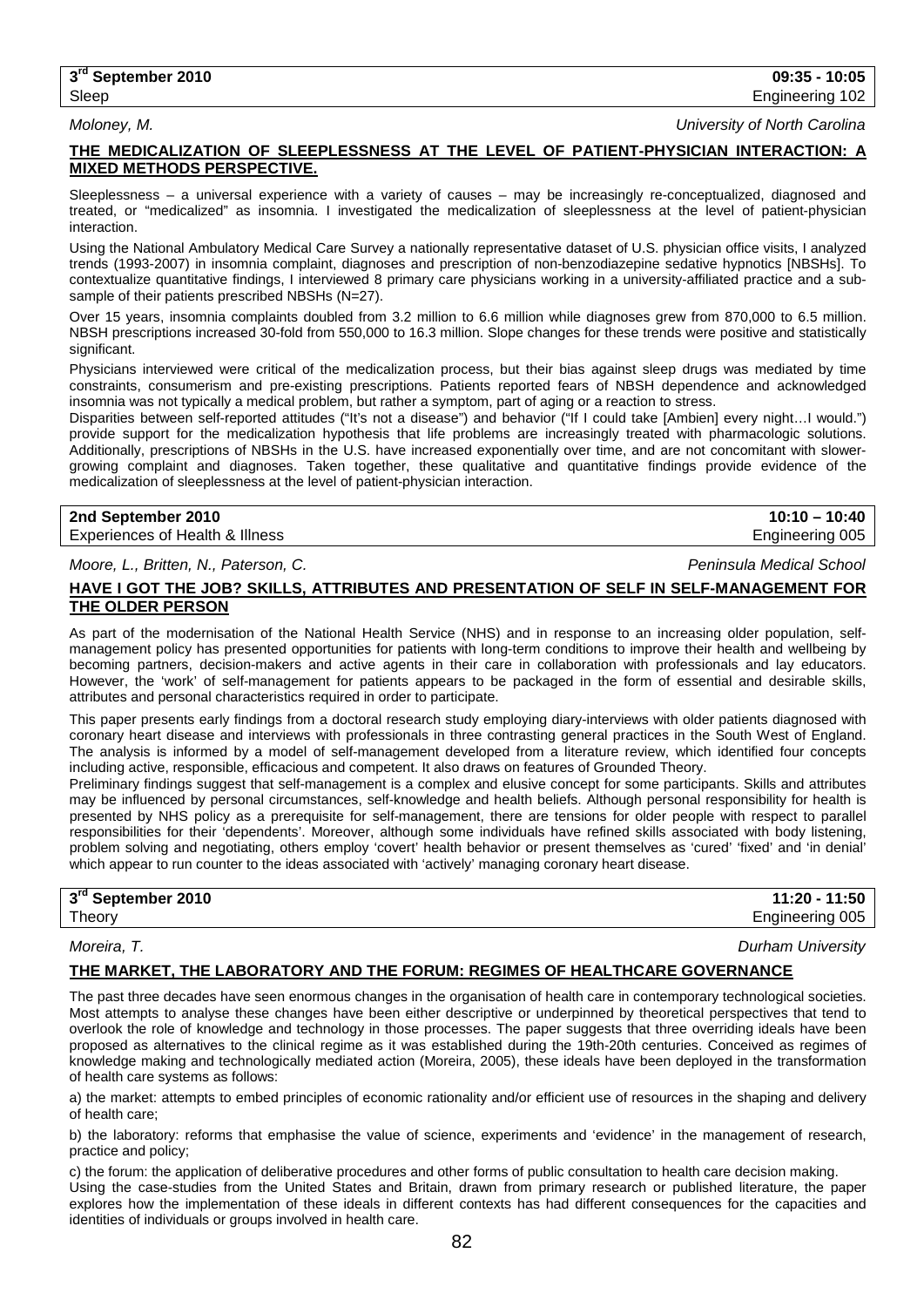*Moloney, M. University of North Carolina*

## **THE MEDICALIZATION OF SLEEPLESSNESS AT THE LEVEL OF PATIENT-PHYSICIAN INTERACTION: A MIXED METHODS PERSPECTIVE.**

Sleeplessness – a universal experience with a variety of causes – may be increasingly re-conceptualized, diagnosed and treated, or "medicalized" as insomnia. I investigated the medicalization of sleeplessness at the level of patient-physician interaction.

Using the National Ambulatory Medical Care Survey a nationally representative dataset of U.S. physician office visits, I analyzed trends (1993-2007) in insomnia complaint, diagnoses and prescription of non-benzodiazepine sedative hypnotics [NBSHs]. To contextualize quantitative findings, I interviewed 8 primary care physicians working in a university-affiliated practice and a subsample of their patients prescribed NBSHs (N=27).

Over 15 years, insomnia complaints doubled from 3.2 million to 6.6 million while diagnoses grew from 870,000 to 6.5 million. NBSH prescriptions increased 30-fold from 550,000 to 16.3 million. Slope changes for these trends were positive and statistically significant.

Physicians interviewed were critical of the medicalization process, but their bias against sleep drugs was mediated by time constraints, consumerism and pre-existing prescriptions. Patients reported fears of NBSH dependence and acknowledged insomnia was not typically a medical problem, but rather a symptom, part of aging or a reaction to stress.

Disparities between self-reported attitudes ("It's not a disease") and behavior ("If I could take [Ambien] every night…I would.") provide support for the medicalization hypothesis that life problems are increasingly treated with pharmacologic solutions. Additionally, prescriptions of NBSHs in the U.S. have increased exponentially over time, and are not concomitant with slowergrowing complaint and diagnoses. Taken together, these qualitative and quantitative findings provide evidence of the medicalization of sleeplessness at the level of patient-physician interaction.

**2nd September 2010 10:10 – 10:40** Experiences of Health & Illness **Engineering 005** Engineering 005

*Moore, L., Britten, N., Paterson, C. Peninsula Medical School*

## **HAVE I GOT THE JOB? SKILLS, ATTRIBUTES AND PRESENTATION OF SELF IN SELF-MANAGEMENT FOR THE OLDER PERSON**

As part of the modernisation of the National Health Service (NHS) and in response to an increasing older population, selfmanagement policy has presented opportunities for patients with long-term conditions to improve their health and wellbeing by becoming partners, decision-makers and active agents in their care in collaboration with professionals and lay educators. However, the 'work' of self-management for patients appears to be packaged in the form of essential and desirable skills, attributes and personal characteristics required in order to participate.

This paper presents early findings from a doctoral research study employing diary-interviews with older patients diagnosed with coronary heart disease and interviews with professionals in three contrasting general practices in the South West of England. The analysis is informed by a model of self-management developed from a literature review, which identified four concepts including active, responsible, efficacious and competent. It also draws on features of Grounded Theory.

Preliminary findings suggest that self-management is a complex and elusive concept for some participants. Skills and attributes may be influenced by personal circumstances, self-knowledge and health beliefs. Although personal responsibility for health is presented by NHS policy as a prerequisite for self-management, there are tensions for older people with respect to parallel responsibilities for their 'dependents'. Moreover, although some individuals have refined skills associated with body listening, problem solving and negotiating, others employ 'covert' health behavior or present themselves as 'cured' 'fixed' and 'in denial' which appear to run counter to the ideas associated with 'actively' managing coronary heart disease.

| 3rd September 2010 | 11:20 - 11:50   |
|--------------------|-----------------|
| Theory             | Engineering 005 |
|                    |                 |

*Moreira, T. Durham University*

## **THE MARKET, THE LABORATORY AND THE FORUM: REGIMES OF HEALTHCARE GOVERNANCE**

The past three decades have seen enormous changes in the organisation of health care in contemporary technological societies. Most attempts to analyse these changes have been either descriptive or underpinned by theoretical perspectives that tend to overlook the role of knowledge and technology in those processes. The paper suggests that three overriding ideals have been proposed as alternatives to the clinical regime as it was established during the 19th-20th centuries. Conceived as regimes of knowledge making and technologically mediated action (Moreira, 2005), these ideals have been deployed in the transformation of health care systems as follows:

a) the market: attempts to embed principles of economic rationality and/or efficient use of resources in the shaping and delivery of health care;

b) the laboratory: reforms that emphasise the value of science, experiments and 'evidence' in the management of research, practice and policy;

c) the forum: the application of deliberative procedures and other forms of public consultation to health care decision making. Using the case-studies from the United States and Britain, drawn from primary research or published literature, the paper explores how the implementation of these ideals in different contexts has had different consequences for the capacities and identities of individuals or groups involved in health care.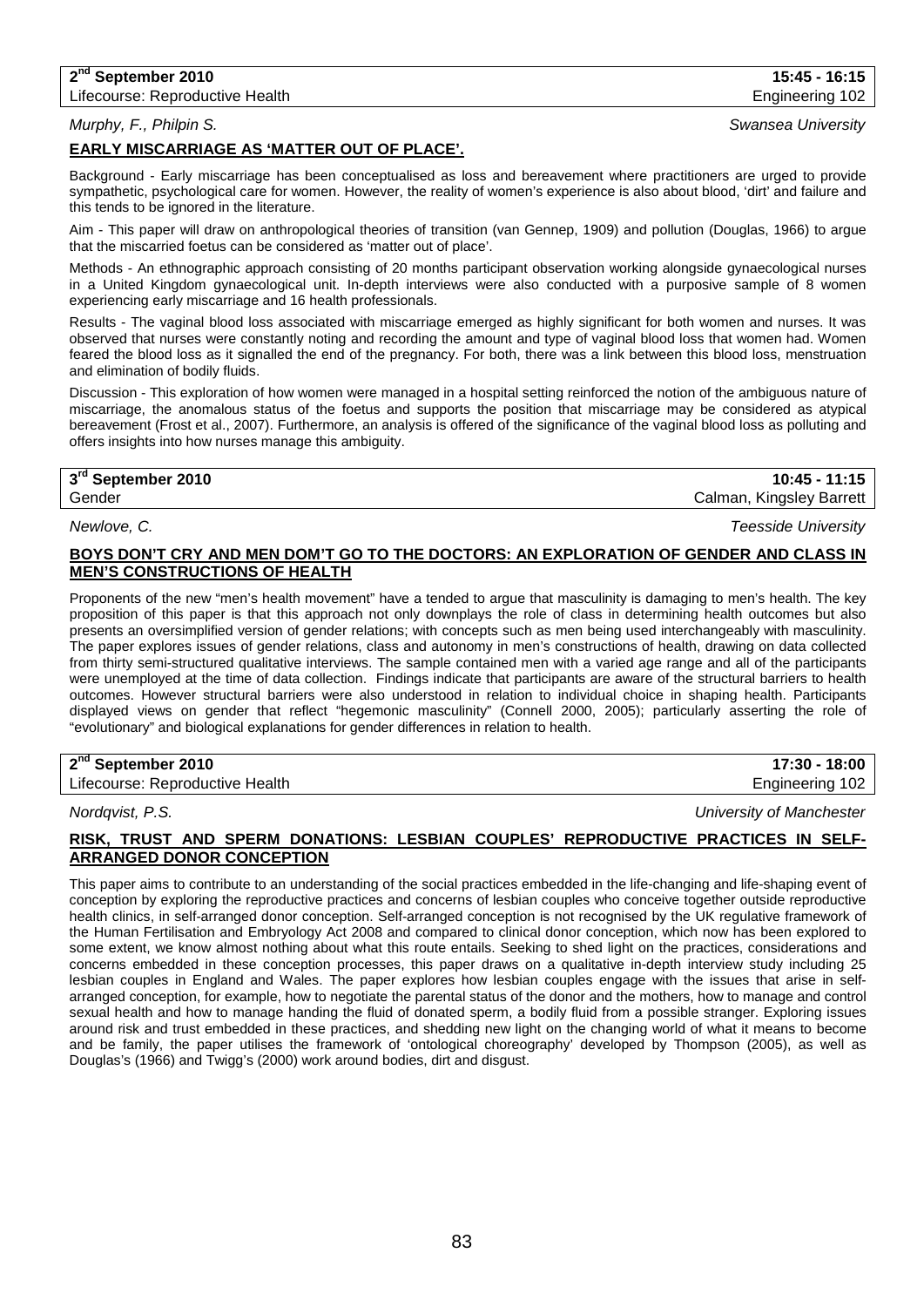## **2nd September 2010 15:45 - 16:15**

## *Murphy, F., Philpin S. Swansea University*

## **EARLY MISCARRIAGE AS 'MATTER OUT OF PLACE'.**

Background - Early miscarriage has been conceptualised as loss and bereavement where practitioners are urged to provide sympathetic, psychological care for women. However, the reality of women's experience is also about blood, 'dirt' and failure and this tends to be ignored in the literature.

Aim - This paper will draw on anthropological theories of transition (van Gennep, 1909) and pollution (Douglas, 1966) to argue that the miscarried foetus can be considered as 'matter out of place'.

Methods - An ethnographic approach consisting of 20 months participant observation working alongside gynaecological nurses in a United Kingdom gynaecological unit. In-depth interviews were also conducted with a purposive sample of 8 women experiencing early miscarriage and 16 health professionals.

Results - The vaginal blood loss associated with miscarriage emerged as highly significant for both women and nurses. It was observed that nurses were constantly noting and recording the amount and type of vaginal blood loss that women had. Women feared the blood loss as it signalled the end of the pregnancy. For both, there was a link between this blood loss, menstruation and elimination of bodily fluids.

Discussion - This exploration of how women were managed in a hospital setting reinforced the notion of the ambiguous nature of miscarriage, the anomalous status of the foetus and supports the position that miscarriage may be considered as atypical bereavement (Frost et al., 2007). Furthermore, an analysis is offered of the significance of the vaginal blood loss as polluting and offers insights into how nurses manage this ambiguity.

## **3rd September 2010 10:45 - 11:15** Gender Calman, Kingsley Barrett

## **BOYS DON'T CRY AND MEN DOM'T GO TO THE DOCTORS: AN EXPLORATION OF GENDER AND CLASS IN MEN'S CONSTRUCTIONS OF HEALTH**

Proponents of the new "men's health movement" have a tended to argue that masculinity is damaging to men's health. The key proposition of this paper is that this approach not only downplays the role of class in determining health outcomes but also presents an oversimplified version of gender relations; with concepts such as men being used interchangeably with masculinity. The paper explores issues of gender relations, class and autonomy in men's constructions of health, drawing on data collected from thirty semi-structured qualitative interviews. The sample contained men with a varied age range and all of the participants were unemployed at the time of data collection. Findings indicate that participants are aware of the structural barriers to health outcomes. However structural barriers were also understood in relation to individual choice in shaping health. Participants displayed views on gender that reflect "hegemonic masculinity" (Connell 2000, 2005); particularly asserting the role of "evolutionary" and biological explanations for gender differences in relation to health.

## **2nd September 2010 17:30 - 18:00**

Lifecourse: Reproductive Health **Engineering 102** and the Engineering 102

*Nordqvist, P.S. University of Manchester*

## **RISK, TRUST AND SPERM DONATIONS: LESBIAN COUPLES' REPRODUCTIVE PRACTICES IN SELF-ARRANGED DONOR CONCEPTION**

This paper aims to contribute to an understanding of the social practices embedded in the life-changing and life-shaping event of conception by exploring the reproductive practices and concerns of lesbian couples who conceive together outside reproductive health clinics, in self-arranged donor conception. Self-arranged conception is not recognised by the UK regulative framework of the Human Fertilisation and Embryology Act 2008 and compared to clinical donor conception, which now has been explored to some extent, we know almost nothing about what this route entails. Seeking to shed light on the practices, considerations and concerns embedded in these conception processes, this paper draws on a qualitative in-depth interview study including 25 lesbian couples in England and Wales. The paper explores how lesbian couples engage with the issues that arise in selfarranged conception, for example, how to negotiate the parental status of the donor and the mothers, how to manage and control sexual health and how to manage handing the fluid of donated sperm, a bodily fluid from a possible stranger. Exploring issues around risk and trust embedded in these practices, and shedding new light on the changing world of what it means to become and be family, the paper utilises the framework of 'ontological choreography' developed by Thompson (2005), as well as Douglas's (1966) and Twigg's (2000) work around bodies, dirt and disgust.

*Newlove, C. Teesside University*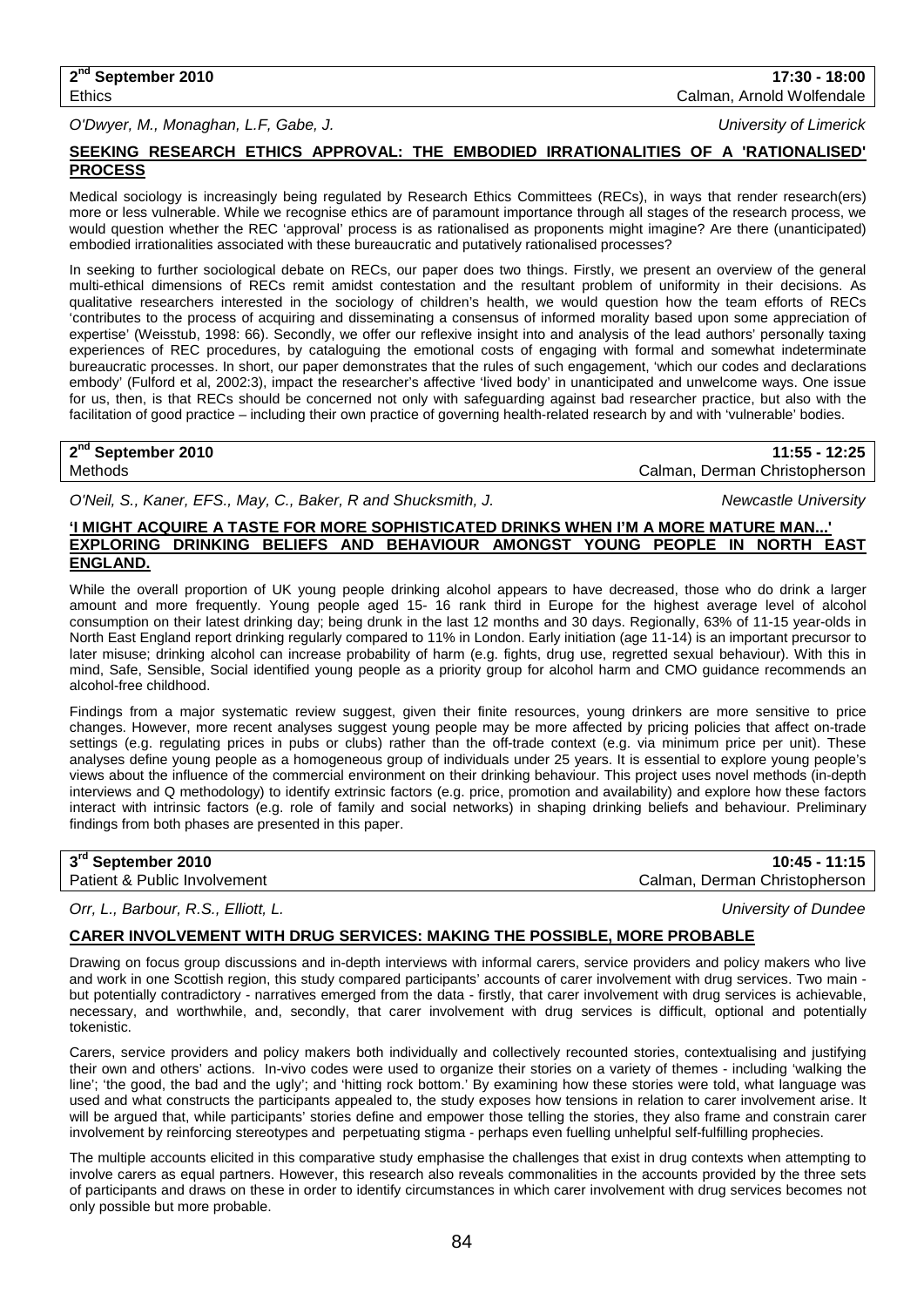*O'Dwyer, M., Monaghan, L.F, Gabe, J. University of Limerick*

## **SEEKING RESEARCH ETHICS APPROVAL: THE EMBODIED IRRATIONALITIES OF A 'RATIONALISED' PROCESS**

Medical sociology is increasingly being regulated by Research Ethics Committees (RECs), in ways that render research(ers) more or less vulnerable. While we recognise ethics are of paramount importance through all stages of the research process, we would question whether the REC 'approval' process is as rationalised as proponents might imagine? Are there (unanticipated) embodied irrationalities associated with these bureaucratic and putatively rationalised processes?

In seeking to further sociological debate on RECs, our paper does two things. Firstly, we present an overview of the general multi-ethical dimensions of RECs remit amidst contestation and the resultant problem of uniformity in their decisions. As qualitative researchers interested in the sociology of children's health, we would question how the team efforts of RECs 'contributes to the process of acquiring and disseminating a consensus of informed morality based upon some appreciation of expertise' (Weisstub, 1998: 66). Secondly, we offer our reflexive insight into and analysis of the lead authors' personally taxing experiences of REC procedures, by cataloguing the emotional costs of engaging with formal and somewhat indeterminate bureaucratic processes. In short, our paper demonstrates that the rules of such engagement, 'which our codes and declarations embody' (Fulford et al, 2002:3), impact the researcher's affective 'lived body' in unanticipated and unwelcome ways. One issue for us, then, is that RECs should be concerned not only with safeguarding against bad researcher practice, but also with the facilitation of good practice – including their own practice of governing health-related research by and with 'vulnerable' bodies.

**2nd September 2010 11:55 - 12:25** Calman, Derman Christopherson

*O'Neil, S., Kaner, EFS., May, C., Baker, R and Shucksmith, J. Newcastle University*

## **'I MIGHT ACQUIRE A TASTE FOR MORE SOPHISTICATED DRINKS WHEN I'M A MORE MATURE MAN...' EXPLORING DRINKING BELIEFS AND BEHAVIOUR AMONGST YOUNG PEOPLE IN NORTH EAST ENGLAND.**

While the overall proportion of UK young people drinking alcohol appears to have decreased, those who do drink a larger amount and more frequently. Young people aged 15- 16 rank third in Europe for the highest average level of alcohol consumption on their latest drinking day; being drunk in the last 12 months and 30 days. Regionally, 63% of 11-15 year-olds in North East England report drinking regularly compared to 11% in London. Early initiation (age 11-14) is an important precursor to later misuse; drinking alcohol can increase probability of harm (e.g. fights, drug use, regretted sexual behaviour). With this in mind, Safe, Sensible, Social identified young people as a priority group for alcohol harm and CMO guidance recommends an alcohol-free childhood.

Findings from a major systematic review suggest, given their finite resources, young drinkers are more sensitive to price changes. However, more recent analyses suggest young people may be more affected by pricing policies that affect on-trade settings (e.g. regulating prices in pubs or clubs) rather than the off-trade context (e.g. via minimum price per unit). These analyses define young people as a homogeneous group of individuals under 25 years. It is essential to explore young people's views about the influence of the commercial environment on their drinking behaviour. This project uses novel methods (in-depth interviews and Q methodology) to identify extrinsic factors (e.g. price, promotion and availability) and explore how these factors interact with intrinsic factors (e.g. role of family and social networks) in shaping drinking beliefs and behaviour. Preliminary findings from both phases are presented in this paper.

| 3rd September 2010           | $10:45 - 11:15$               |
|------------------------------|-------------------------------|
| Patient & Public Involvement | Calman. Derman Christopherson |

*Orr, L., Barbour, R.S., Elliott, L. University of Dundee*

## **CARER INVOLVEMENT WITH DRUG SERVICES: MAKING THE POSSIBLE, MORE PROBABLE**

Drawing on focus group discussions and in-depth interviews with informal carers, service providers and policy makers who live and work in one Scottish region, this study compared participants' accounts of carer involvement with drug services. Two main but potentially contradictory - narratives emerged from the data - firstly, that carer involvement with drug services is achievable, necessary, and worthwhile, and, secondly, that carer involvement with drug services is difficult, optional and potentially tokenistic.

Carers, service providers and policy makers both individually and collectively recounted stories, contextualising and justifying their own and others' actions. In-vivo codes were used to organize their stories on a variety of themes - including 'walking the line'; 'the good, the bad and the ugly'; and 'hitting rock bottom.' By examining how these stories were told, what language was used and what constructs the participants appealed to, the study exposes how tensions in relation to carer involvement arise. It will be argued that, while participants' stories define and empower those telling the stories, they also frame and constrain carer involvement by reinforcing stereotypes and perpetuating stigma - perhaps even fuelling unhelpful self-fulfilling prophecies.

The multiple accounts elicited in this comparative study emphasise the challenges that exist in drug contexts when attempting to involve carers as equal partners. However, this research also reveals commonalities in the accounts provided by the three sets of participants and draws on these in order to identify circumstances in which carer involvement with drug services becomes not only possible but more probable.

**2nd September 2010 17:30 - 18:00** Ethics Calman, Arnold Wolfendale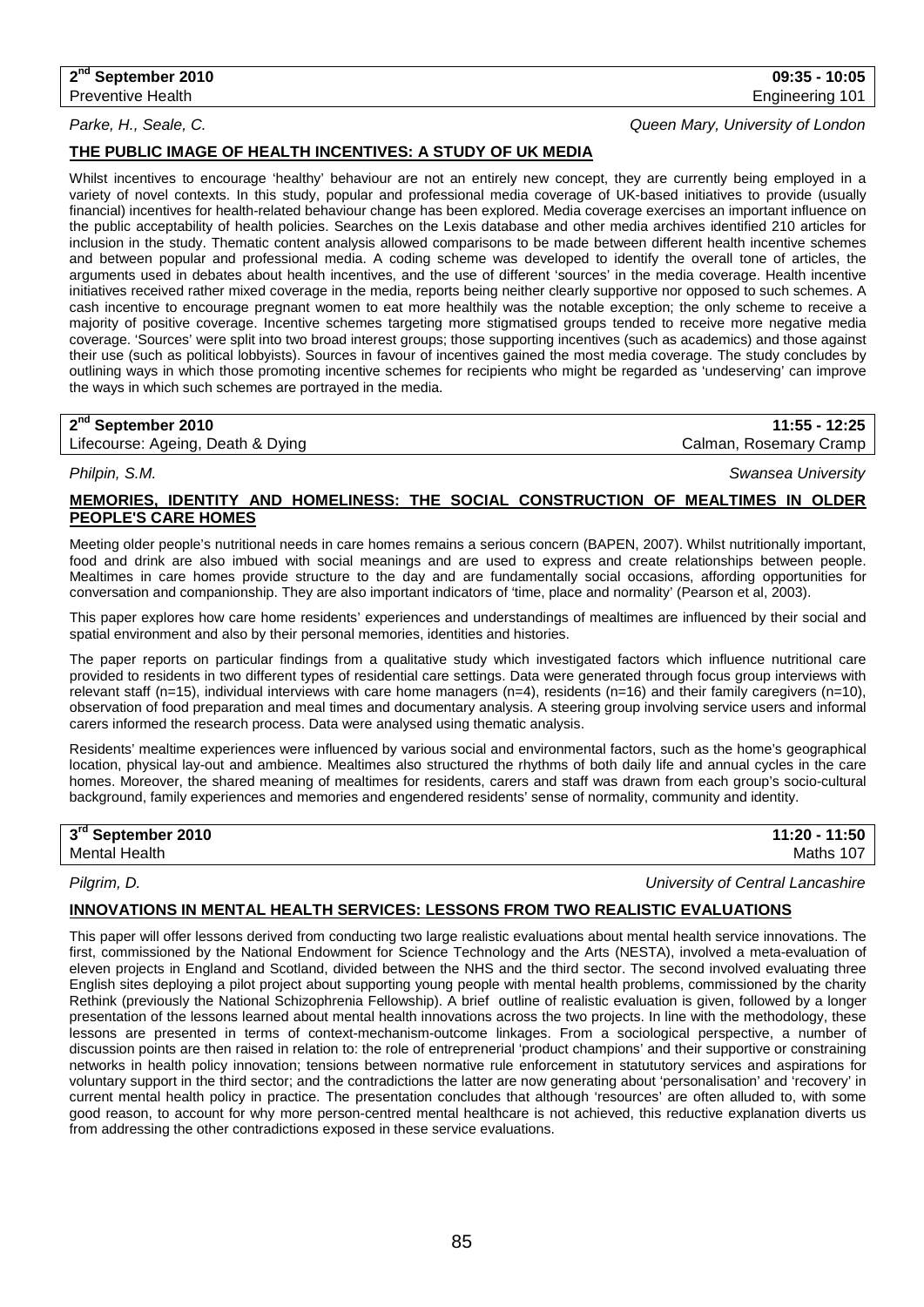*Parke, H., Seale, C. Queen Mary, University of London*

## **THE PUBLIC IMAGE OF HEALTH INCENTIVES: A STUDY OF UK MEDIA**

Whilst incentives to encourage 'healthy' behaviour are not an entirely new concept, they are currently being employed in a variety of novel contexts. In this study, popular and professional media coverage of UK-based initiatives to provide (usually financial) incentives for health-related behaviour change has been explored. Media coverage exercises an important influence on the public acceptability of health policies. Searches on the Lexis database and other media archives identified 210 articles for inclusion in the study. Thematic content analysis allowed comparisons to be made between different health incentive schemes and between popular and professional media. A coding scheme was developed to identify the overall tone of articles, the arguments used in debates about health incentives, and the use of different 'sources' in the media coverage. Health incentive initiatives received rather mixed coverage in the media, reports being neither clearly supportive nor opposed to such schemes. A cash incentive to encourage pregnant women to eat more healthily was the notable exception; the only scheme to receive a majority of positive coverage. Incentive schemes targeting more stigmatised groups tended to receive more negative media coverage. 'Sources' were split into two broad interest groups; those supporting incentives (such as academics) and those against their use (such as political lobbyists). Sources in favour of incentives gained the most media coverage. The study concludes by outlining ways in which those promoting incentive schemes for recipients who might be regarded as 'undeserving' can improve the ways in which such schemes are portrayed in the media.

## **2nd September 2010 11:55 - 12:25**

Lifecourse: Ageing, Death & Dying Calman, Rosemary Cramp Calman, Rosemary Cramp

*Philpin, S.M. Swansea University*

## **MEMORIES, IDENTITY AND HOMELINESS: THE SOCIAL CONSTRUCTION OF MEALTIMES IN OLDER PEOPLE'S CARE HOMES**

Meeting older people's nutritional needs in care homes remains a serious concern (BAPEN, 2007). Whilst nutritionally important, food and drink are also imbued with social meanings and are used to express and create relationships between people. Mealtimes in care homes provide structure to the day and are fundamentally social occasions, affording opportunities for conversation and companionship. They are also important indicators of 'time, place and normality' (Pearson et al, 2003).

This paper explores how care home residents' experiences and understandings of mealtimes are influenced by their social and spatial environment and also by their personal memories, identities and histories.

The paper reports on particular findings from a qualitative study which investigated factors which influence nutritional care provided to residents in two different types of residential care settings. Data were generated through focus group interviews with relevant staff (n=15), individual interviews with care home managers (n=4), residents (n=16) and their family caregivers (n=10), observation of food preparation and meal times and documentary analysis. A steering group involving service users and informal carers informed the research process. Data were analysed using thematic analysis.

Residents' mealtime experiences were influenced by various social and environmental factors, such as the home's geographical location, physical lay-out and ambience. Mealtimes also structured the rhythms of both daily life and annual cycles in the care homes. Moreover, the shared meaning of mealtimes for residents, carers and staff was drawn from each group's socio-cultural background, family experiences and memories and engendered residents' sense of normality, community and identity.

| 3rd September 2010   | 11:50<br>$11:20 - 1$ |
|----------------------|----------------------|
| <b>Mental Health</b> | 107<br>Maths         |

*Pilgrim, D. University of Central Lancashire*

## **INNOVATIONS IN MENTAL HEALTH SERVICES: LESSONS FROM TWO REALISTIC EVALUATIONS**

This paper will offer lessons derived from conducting two large realistic evaluations about mental health service innovations. The first, commissioned by the National Endowment for Science Technology and the Arts (NESTA), involved a meta-evaluation of eleven projects in England and Scotland, divided between the NHS and the third sector. The second involved evaluating three English sites deploying a pilot project about supporting young people with mental health problems, commissioned by the charity Rethink (previously the National Schizophrenia Fellowship). A brief outline of realistic evaluation is given, followed by a longer presentation of the lessons learned about mental health innovations across the two projects. In line with the methodology, these lessons are presented in terms of context-mechanism-outcome linkages. From a sociological perspective, a number of discussion points are then raised in relation to: the role of entreprenerial 'product champions' and their supportive or constraining networks in health policy innovation; tensions between normative rule enforcement in statututory services and aspirations for voluntary support in the third sector; and the contradictions the latter are now generating about 'personalisation' and 'recovery' in current mental health policy in practice. The presentation concludes that although 'resources' are often alluded to, with some good reason, to account for why more person-centred mental healthcare is not achieved, this reductive explanation diverts us from addressing the other contradictions exposed in these service evaluations.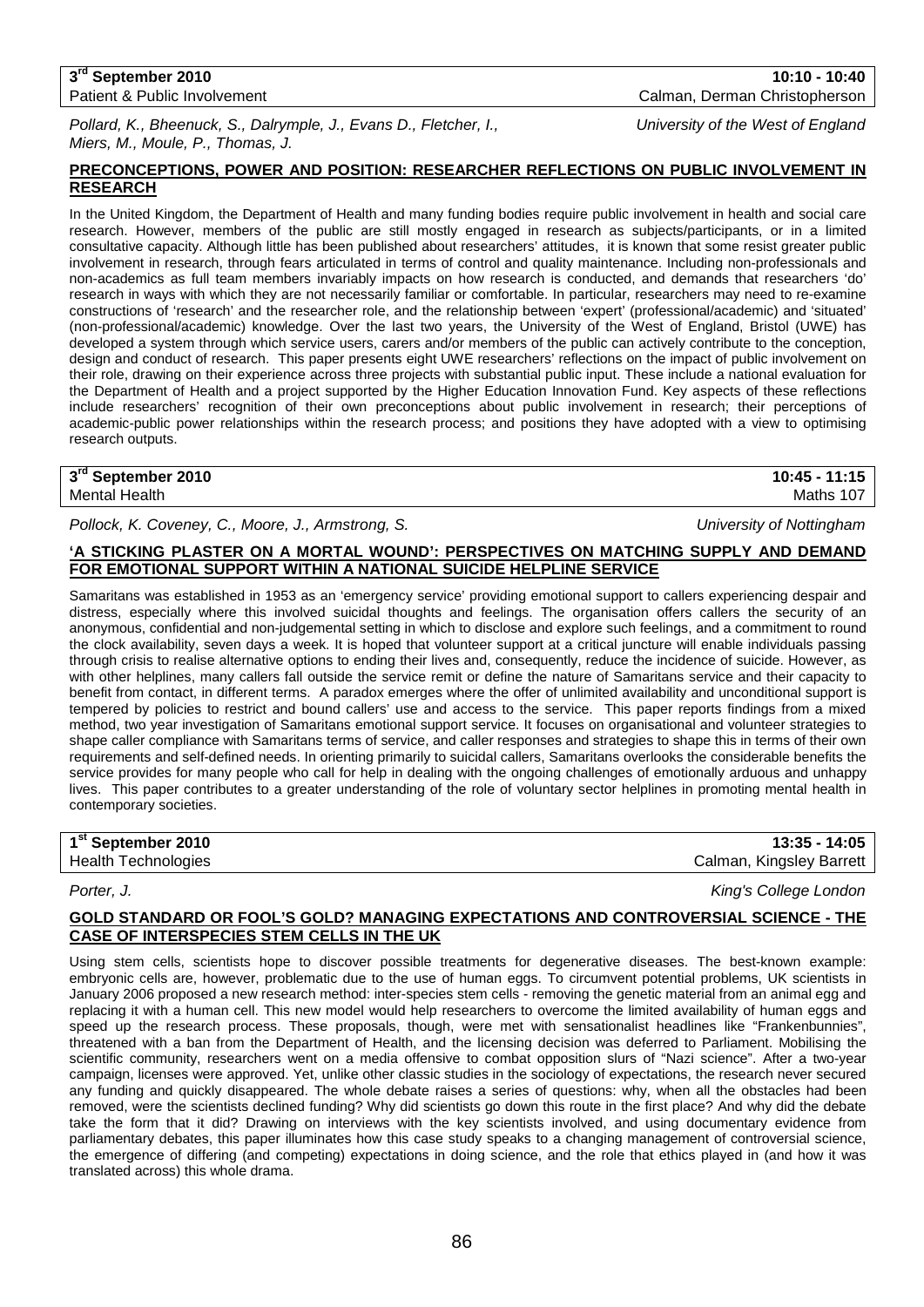#### **3rd September 2010 10:10 - 10:40** Patient & Public Involvement Calman, Derman Christopherson

*Pollard, K., Bheenuck, S., Dalrymple, J., Evans D., Fletcher, I., University of the West of England Miers, M., Moule, P., Thomas, J.*

## **PRECONCEPTIONS, POWER AND POSITION: RESEARCHER REFLECTIONS ON PUBLIC INVOLVEMENT IN RESEARCH**

In the United Kingdom, the Department of Health and many funding bodies require public involvement in health and social care research. However, members of the public are still mostly engaged in research as subjects/participants, or in a limited consultative capacity. Although little has been published about researchers' attitudes, it is known that some resist greater public involvement in research, through fears articulated in terms of control and quality maintenance. Including non-professionals and non-academics as full team members invariably impacts on how research is conducted, and demands that researchers 'do' research in ways with which they are not necessarily familiar or comfortable. In particular, researchers may need to re-examine constructions of 'research' and the researcher role, and the relationship between 'expert' (professional/academic) and 'situated' (non-professional/academic) knowledge. Over the last two years, the University of the West of England, Bristol (UWE) has developed a system through which service users, carers and/or members of the public can actively contribute to the conception, design and conduct of research. This paper presents eight UWE researchers' reflections on the impact of public involvement on their role, drawing on their experience across three projects with substantial public input. These include a national evaluation for the Department of Health and a project supported by the Higher Education Innovation Fund. Key aspects of these reflections include researchers' recognition of their own preconceptions about public involvement in research; their perceptions of academic-public power relationships within the research process; and positions they have adopted with a view to optimising research outputs.

## **3rd September 2010 10:45 - 11:15** Mental Health Maths 107

*Pollock, K. Coveney, C., Moore, J., Armstrong, S. University of Nottingham*

## **'A STICKING PLASTER ON A MORTAL WOUND': PERSPECTIVES ON MATCHING SUPPLY AND DEMAND FOR EMOTIONAL SUPPORT WITHIN A NATIONAL SUICIDE HELPLINE SERVICE**

Samaritans was established in 1953 as an 'emergency service' providing emotional support to callers experiencing despair and distress, especially where this involved suicidal thoughts and feelings. The organisation offers callers the security of an anonymous, confidential and non-judgemental setting in which to disclose and explore such feelings, and a commitment to round the clock availability, seven days a week. It is hoped that volunteer support at a critical juncture will enable individuals passing through crisis to realise alternative options to ending their lives and, consequently, reduce the incidence of suicide. However, as with other helplines, many callers fall outside the service remit or define the nature of Samaritans service and their capacity to benefit from contact, in different terms. A paradox emerges where the offer of unlimited availability and unconditional support is tempered by policies to restrict and bound callers' use and access to the service. This paper reports findings from a mixed method, two year investigation of Samaritans emotional support service. It focuses on organisational and volunteer strategies to shape caller compliance with Samaritans terms of service, and caller responses and strategies to shape this in terms of their own requirements and self-defined needs. In orienting primarily to suicidal callers, Samaritans overlooks the considerable benefits the service provides for many people who call for help in dealing with the ongoing challenges of emotionally arduous and unhappy lives. This paper contributes to a greater understanding of the role of voluntary sector helplines in promoting mental health in contemporary societies.

| 1 <sup>st</sup> September 2010 | $13:35 - 14:05$          |
|--------------------------------|--------------------------|
| <b>Health Technologies</b>     | Calman, Kingsley Barrett |
|                                |                          |

### *Porter, J. King's College London*

**GOLD STANDARD OR FOOL'S GOLD? MANAGING EXPECTATIONS AND CONTROVERSIAL SCIENCE - THE CASE OF INTERSPECIES STEM CELLS IN THE UK** 

Using stem cells, scientists hope to discover possible treatments for degenerative diseases. The best-known example: embryonic cells are, however, problematic due to the use of human eggs. To circumvent potential problems, UK scientists in January 2006 proposed a new research method: inter-species stem cells - removing the genetic material from an animal egg and replacing it with a human cell. This new model would help researchers to overcome the limited availability of human eggs and speed up the research process. These proposals, though, were met with sensationalist headlines like "Frankenbunnies", threatened with a ban from the Department of Health, and the licensing decision was deferred to Parliament. Mobilising the scientific community, researchers went on a media offensive to combat opposition slurs of "Nazi science". After a two-year campaign, licenses were approved. Yet, unlike other classic studies in the sociology of expectations, the research never secured any funding and quickly disappeared. The whole debate raises a series of questions: why, when all the obstacles had been removed, were the scientists declined funding? Why did scientists go down this route in the first place? And why did the debate take the form that it did? Drawing on interviews with the key scientists involved, and using documentary evidence from parliamentary debates, this paper illuminates how this case study speaks to a changing management of controversial science, the emergence of differing (and competing) expectations in doing science, and the role that ethics played in (and how it was translated across) this whole drama.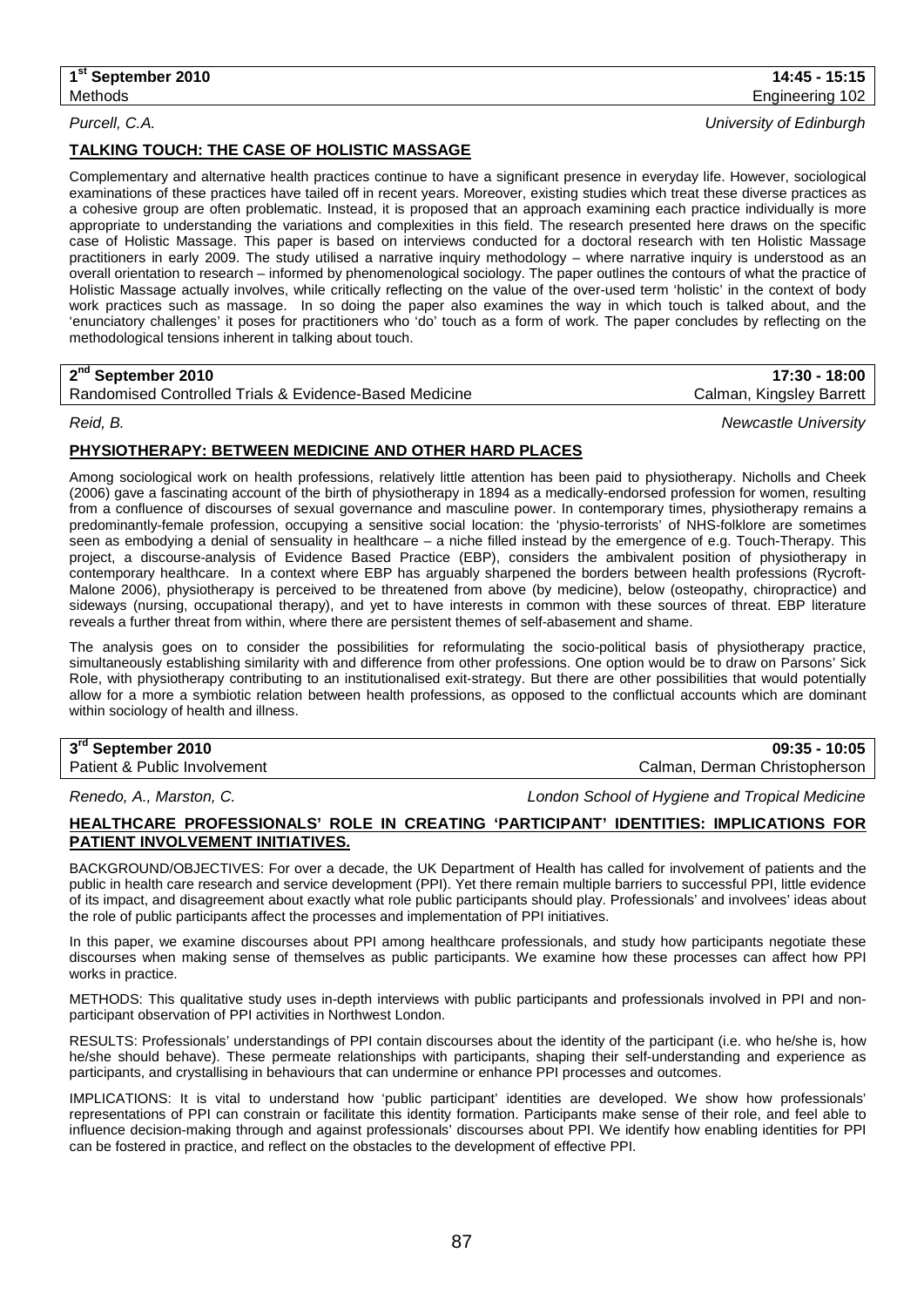## **TALKING TOUCH: THE CASE OF HOLISTIC MASSAGE**

Complementary and alternative health practices continue to have a significant presence in everyday life. However, sociological examinations of these practices have tailed off in recent years. Moreover, existing studies which treat these diverse practices as a cohesive group are often problematic. Instead, it is proposed that an approach examining each practice individually is more appropriate to understanding the variations and complexities in this field. The research presented here draws on the specific case of Holistic Massage. This paper is based on interviews conducted for a doctoral research with ten Holistic Massage practitioners in early 2009. The study utilised a narrative inquiry methodology – where narrative inquiry is understood as an overall orientation to research – informed by phenomenological sociology. The paper outlines the contours of what the practice of Holistic Massage actually involves, while critically reflecting on the value of the over-used term 'holistic' in the context of body work practices such as massage. In so doing the paper also examines the way in which touch is talked about, and the 'enunciatory challenges' it poses for practitioners who 'do' touch as a form of work. The paper concludes by reflecting on the methodological tensions inherent in talking about touch.

| <b>L</b> OCPRESSING LOTS                               | .                        | . |
|--------------------------------------------------------|--------------------------|---|
| Randomised Controlled Trials & Evidence-Based Medicine | Calman, Kingsley Barrett |   |

*Reid, B. Newcastle University*

## **PHYSIOTHERAPY: BETWEEN MEDICINE AND OTHER HARD PLACES**

Among sociological work on health professions, relatively little attention has been paid to physiotherapy. Nicholls and Cheek (2006) gave a fascinating account of the birth of physiotherapy in 1894 as a medically-endorsed profession for women, resulting from a confluence of discourses of sexual governance and masculine power. In contemporary times, physiotherapy remains a predominantly-female profession, occupying a sensitive social location: the 'physio-terrorists' of NHS-folklore are sometimes seen as embodying a denial of sensuality in healthcare – a niche filled instead by the emergence of e.g. Touch-Therapy. This project, a discourse-analysis of Evidence Based Practice (EBP), considers the ambivalent position of physiotherapy in contemporary healthcare. In a context where EBP has arguably sharpened the borders between health professions (Rycroft-Malone 2006), physiotherapy is perceived to be threatened from above (by medicine), below (osteopathy, chiropractice) and sideways (nursing, occupational therapy), and yet to have interests in common with these sources of threat. EBP literature reveals a further threat from within, where there are persistent themes of self-abasement and shame.

The analysis goes on to consider the possibilities for reformulating the socio-political basis of physiotherapy practice, simultaneously establishing similarity with and difference from other professions. One option would be to draw on Parsons' Sick Role, with physiotherapy contributing to an institutionalised exit-strategy. But there are other possibilities that would potentially allow for a more a symbiotic relation between health professions, as opposed to the conflictual accounts which are dominant within sociology of health and illness.

## **3rd September 2010 09:35 - 10:05**

*Renedo, A., Marston, C. London School of Hygiene and Tropical Medicine*

## **HEALTHCARE PROFESSIONALS' ROLE IN CREATING 'PARTICIPANT' IDENTITIES: IMPLICATIONS FOR PATIENT INVOLVEMENT INITIATIVES.**

BACKGROUND/OBJECTIVES: For over a decade, the UK Department of Health has called for involvement of patients and the public in health care research and service development (PPI). Yet there remain multiple barriers to successful PPI, little evidence of its impact, and disagreement about exactly what role public participants should play. Professionals' and involvees' ideas about the role of public participants affect the processes and implementation of PPI initiatives.

In this paper, we examine discourses about PPI among healthcare professionals, and study how participants negotiate these discourses when making sense of themselves as public participants. We examine how these processes can affect how PPI works in practice.

METHODS: This qualitative study uses in-depth interviews with public participants and professionals involved in PPI and nonparticipant observation of PPI activities in Northwest London.

RESULTS: Professionals' understandings of PPI contain discourses about the identity of the participant (i.e. who he/she is, how he/she should behave). These permeate relationships with participants, shaping their self-understanding and experience as participants, and crystallising in behaviours that can undermine or enhance PPI processes and outcomes.

IMPLICATIONS: It is vital to understand how 'public participant' identities are developed. We show how professionals' representations of PPI can constrain or facilitate this identity formation. Participants make sense of their role, and feel able to influence decision-making through and against professionals' discourses about PPI. We identify how enabling identities for PPI can be fostered in practice, and reflect on the obstacles to the development of effective PPI.

*Purcell, C.A. University of Edinburgh*

Patient & Public Involvement Calman, Derman Christopherson

**2nd September 2010 17:30 - 18:00**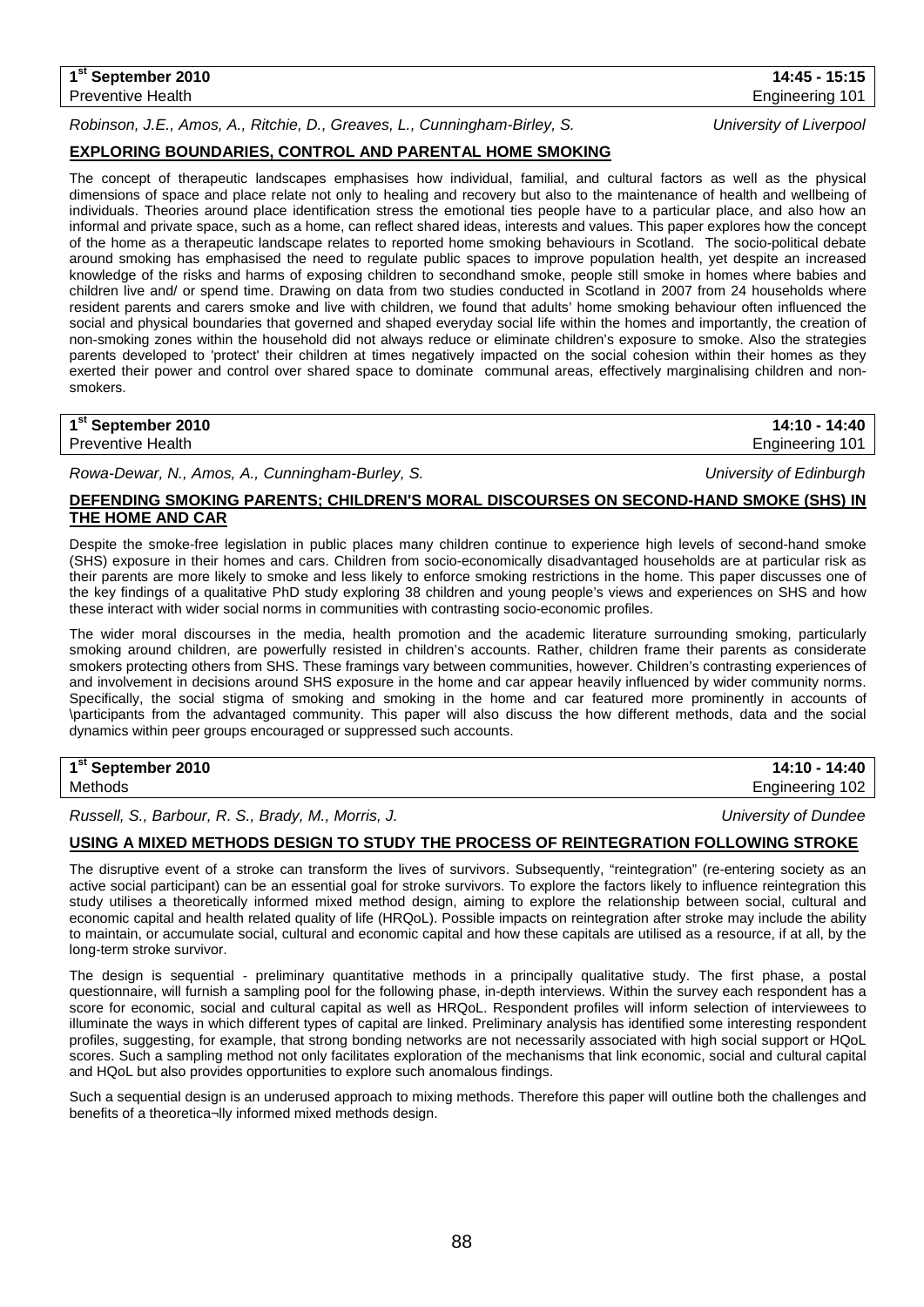## **1st September 2010 14:45 - 15:15** Preventive Health **Engineering 101** Preventive Health

*Robinson, J.E., Amos, A., Ritchie, D., Greaves, L., Cunningham-Birley, S. University of Liverpool*

## **EXPLORING BOUNDARIES, CONTROL AND PARENTAL HOME SMOKING**

The concept of therapeutic landscapes emphasises how individual, familial, and cultural factors as well as the physical dimensions of space and place relate not only to healing and recovery but also to the maintenance of health and wellbeing of individuals. Theories around place identification stress the emotional ties people have to a particular place, and also how an informal and private space, such as a home, can reflect shared ideas, interests and values. This paper explores how the concept of the home as a therapeutic landscape relates to reported home smoking behaviours in Scotland. The socio-political debate around smoking has emphasised the need to regulate public spaces to improve population health, yet despite an increased knowledge of the risks and harms of exposing children to secondhand smoke, people still smoke in homes where babies and children live and/ or spend time. Drawing on data from two studies conducted in Scotland in 2007 from 24 households where resident parents and carers smoke and live with children, we found that adults' home smoking behaviour often influenced the social and physical boundaries that governed and shaped everyday social life within the homes and importantly, the creation of non-smoking zones within the household did not always reduce or eliminate children's exposure to smoke. Also the strategies parents developed to 'protect' their children at times negatively impacted on the social cohesion within their homes as they exerted their power and control over shared space to dominate communal areas, effectively marginalising children and nonsmokers.

| 1 <sup>st</sup> September 2010 | 14:10 - 14:40   |
|--------------------------------|-----------------|
| <b>Preventive Health</b>       | Engineering 101 |

*Rowa-Dewar, N., Amos, A., Cunningham-Burley, S. University of Edinburgh*

## **DEFENDING SMOKING PARENTS; CHILDREN'S MORAL DISCOURSES ON SECOND-HAND SMOKE (SHS) IN THE HOME AND CAR**

Despite the smoke-free legislation in public places many children continue to experience high levels of second-hand smoke (SHS) exposure in their homes and cars. Children from socio-economically disadvantaged households are at particular risk as their parents are more likely to smoke and less likely to enforce smoking restrictions in the home. This paper discusses one of the key findings of a qualitative PhD study exploring 38 children and young people's views and experiences on SHS and how these interact with wider social norms in communities with contrasting socio-economic profiles.

The wider moral discourses in the media, health promotion and the academic literature surrounding smoking, particularly smoking around children, are powerfully resisted in children's accounts. Rather, children frame their parents as considerate smokers protecting others from SHS. These framings vary between communities, however. Children's contrasting experiences of and involvement in decisions around SHS exposure in the home and car appear heavily influenced by wider community norms. Specifically, the social stigma of smoking and smoking in the home and car featured more prominently in accounts of \participants from the advantaged community. This paper will also discuss the how different methods, data and the social dynamics within peer groups encouraged or suppressed such accounts.

## **1st September 2010 14:10 - 14:40**

*Russell, S., Barbour, R. S., Brady, M., Morris, J. University of Dundee*

### **USING A MIXED METHODS DESIGN TO STUDY THE PROCESS OF REINTEGRATION FOLLOWING STROKE**

The disruptive event of a stroke can transform the lives of survivors. Subsequently, "reintegration" (re-entering society as an active social participant) can be an essential goal for stroke survivors. To explore the factors likely to influence reintegration this study utilises a theoretically informed mixed method design, aiming to explore the relationship between social, cultural and economic capital and health related quality of life (HRQoL). Possible impacts on reintegration after stroke may include the ability to maintain, or accumulate social, cultural and economic capital and how these capitals are utilised as a resource, if at all, by the long-term stroke survivor.

The design is sequential - preliminary quantitative methods in a principally qualitative study. The first phase, a postal questionnaire, will furnish a sampling pool for the following phase, in-depth interviews. Within the survey each respondent has a score for economic, social and cultural capital as well as HRQoL. Respondent profiles will inform selection of interviewees to illuminate the ways in which different types of capital are linked. Preliminary analysis has identified some interesting respondent profiles, suggesting, for example, that strong bonding networks are not necessarily associated with high social support or HQoL scores. Such a sampling method not only facilitates exploration of the mechanisms that link economic, social and cultural capital and HQoL but also provides opportunities to explore such anomalous findings.

Such a sequential design is an underused approach to mixing methods. Therefore this paper will outline both the challenges and benefits of a theoretica¬lly informed mixed methods design.

Methods Engineering 102

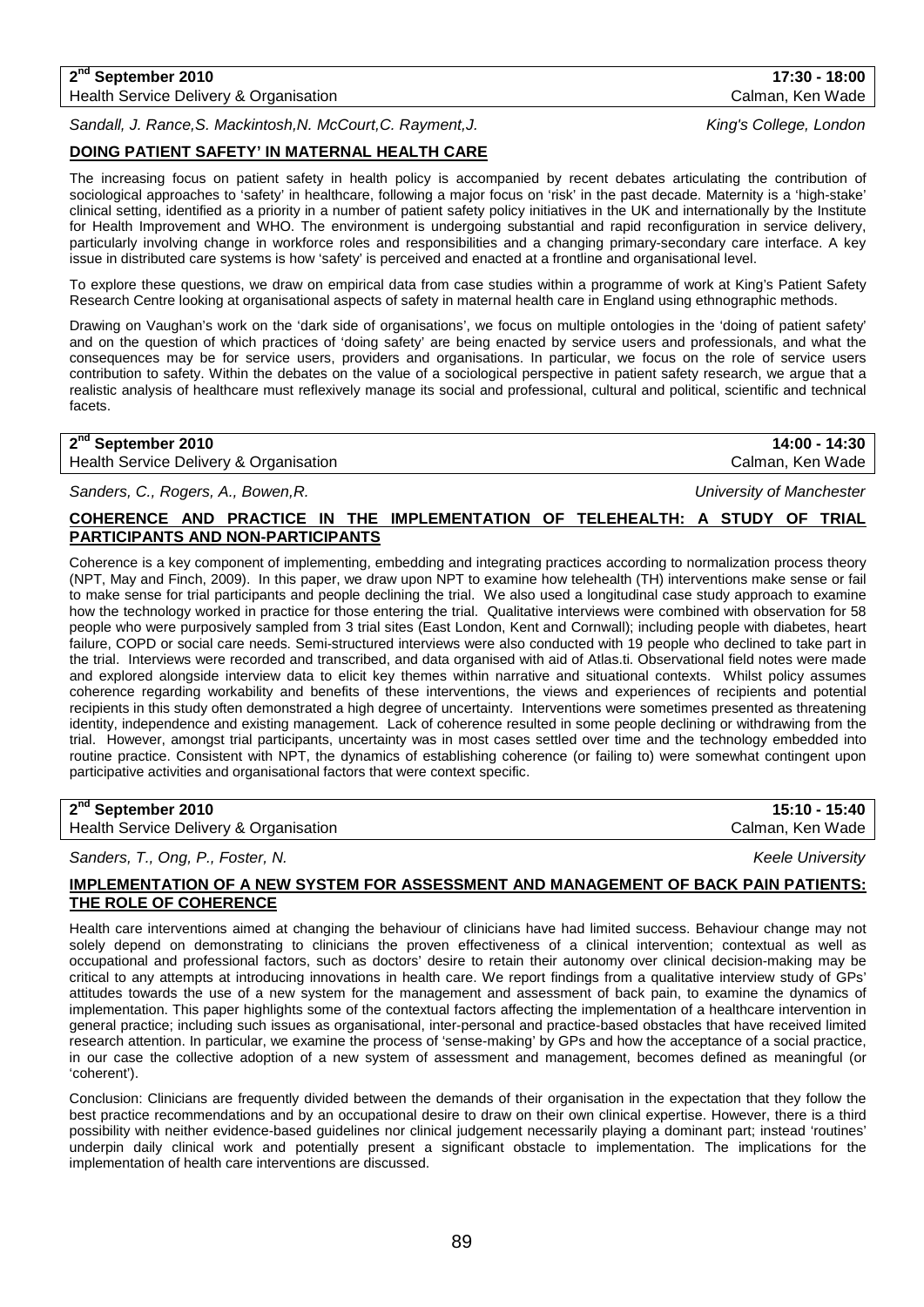## **2nd September 2010 17:30 - 18:00** Health Service Delivery & Organisation Calman, Ken Wade Calman, Ken Wade

*Sandall, J. Rance,S. Mackintosh,N. McCourt,C. Rayment,J. King's College, London*

## **DOING PATIENT SAFETY' IN MATERNAL HEALTH CARE**

The increasing focus on patient safety in health policy is accompanied by recent debates articulating the contribution of sociological approaches to 'safety' in healthcare, following a major focus on 'risk' in the past decade. Maternity is a 'high-stake' clinical setting, identified as a priority in a number of patient safety policy initiatives in the UK and internationally by the Institute for Health Improvement and WHO. The environment is undergoing substantial and rapid reconfiguration in service delivery, particularly involving change in workforce roles and responsibilities and a changing primary-secondary care interface. A key issue in distributed care systems is how 'safety' is perceived and enacted at a frontline and organisational level.

To explore these questions, we draw on empirical data from case studies within a programme of work at King's Patient Safety Research Centre looking at organisational aspects of safety in maternal health care in England using ethnographic methods.

Drawing on Vaughan's work on the 'dark side of organisations', we focus on multiple ontologies in the 'doing of patient safety' and on the question of which practices of 'doing safety' are being enacted by service users and professionals, and what the consequences may be for service users, providers and organisations. In particular, we focus on the role of service users contribution to safety. Within the debates on the value of a sociological perspective in patient safety research, we argue that a realistic analysis of healthcare must reflexively manage its social and professional, cultural and political, scientific and technical facets.

| 2 <sup>nd</sup> September 2010         | 14:00 - 14:30    |
|----------------------------------------|------------------|
| Health Service Delivery & Organisation | Calman, Ken Wade |

*Sanders, C., Rogers, A., Bowen,R. University of Manchester*

## **COHERENCE AND PRACTICE IN THE IMPLEMENTATION OF TELEHEALTH: A STUDY OF TRIAL PARTICIPANTS AND NON-PARTICIPANTS**

Coherence is a key component of implementing, embedding and integrating practices according to normalization process theory (NPT, May and Finch, 2009). In this paper, we draw upon NPT to examine how telehealth (TH) interventions make sense or fail to make sense for trial participants and people declining the trial. We also used a longitudinal case study approach to examine how the technology worked in practice for those entering the trial. Qualitative interviews were combined with observation for 58 people who were purposively sampled from 3 trial sites (East London, Kent and Cornwall); including people with diabetes, heart failure, COPD or social care needs. Semi-structured interviews were also conducted with 19 people who declined to take part in the trial. Interviews were recorded and transcribed, and data organised with aid of Atlas.ti. Observational field notes were made and explored alongside interview data to elicit key themes within narrative and situational contexts. Whilst policy assumes coherence regarding workability and benefits of these interventions, the views and experiences of recipients and potential recipients in this study often demonstrated a high degree of uncertainty. Interventions were sometimes presented as threatening identity, independence and existing management. Lack of coherence resulted in some people declining or withdrawing from the trial. However, amongst trial participants, uncertainty was in most cases settled over time and the technology embedded into routine practice. Consistent with NPT, the dynamics of establishing coherence (or failing to) were somewhat contingent upon participative activities and organisational factors that were context specific.

## **2nd September 2010 15:10 - 15:40**

Health Service Delivery & Organisation Calman, Ken Wade Calman, Ken Wade

*Sanders, T., Ong, P., Foster, N. Keele University*

## **IMPLEMENTATION OF A NEW SYSTEM FOR ASSESSMENT AND MANAGEMENT OF BACK PAIN PATIENTS: THE ROLE OF COHERENCE**

Health care interventions aimed at changing the behaviour of clinicians have had limited success. Behaviour change may not solely depend on demonstrating to clinicians the proven effectiveness of a clinical intervention; contextual as well as occupational and professional factors, such as doctors' desire to retain their autonomy over clinical decision-making may be critical to any attempts at introducing innovations in health care. We report findings from a qualitative interview study of GPs' attitudes towards the use of a new system for the management and assessment of back pain, to examine the dynamics of implementation. This paper highlights some of the contextual factors affecting the implementation of a healthcare intervention in general practice; including such issues as organisational, inter-personal and practice-based obstacles that have received limited research attention. In particular, we examine the process of 'sense-making' by GPs and how the acceptance of a social practice, in our case the collective adoption of a new system of assessment and management, becomes defined as meaningful (or 'coherent').

Conclusion: Clinicians are frequently divided between the demands of their organisation in the expectation that they follow the best practice recommendations and by an occupational desire to draw on their own clinical expertise. However, there is a third possibility with neither evidence-based guidelines nor clinical judgement necessarily playing a dominant part; instead 'routines' underpin daily clinical work and potentially present a significant obstacle to implementation. The implications for the implementation of health care interventions are discussed.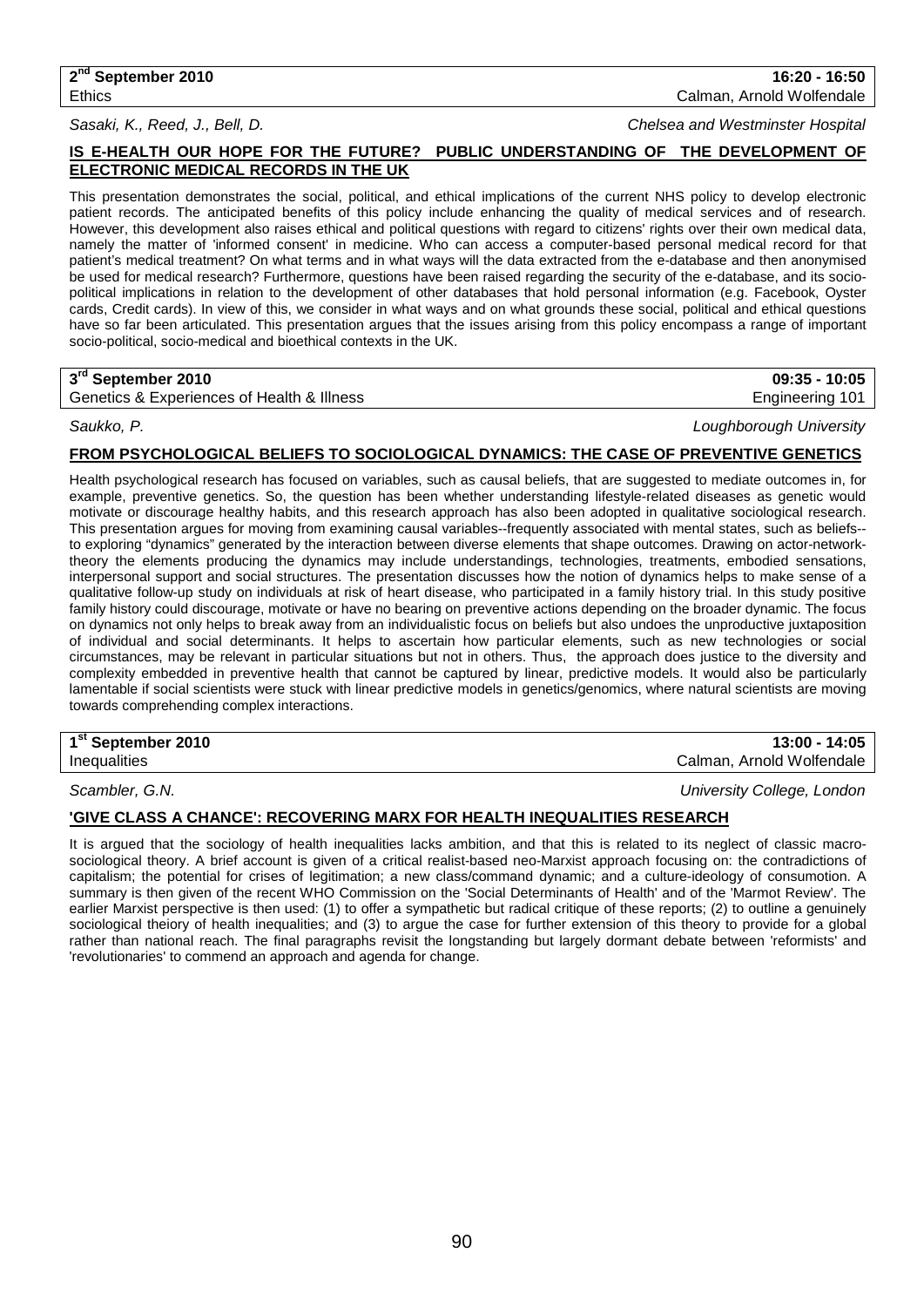**2nd September 2010 16:20 - 16:50** Ethics Calman, Arnold Wolfendale

*Sasaki, K., Reed, J., Bell, D. Chelsea and Westminster Hospital*

## **IS E-HEALTH OUR HOPE FOR THE FUTURE? PUBLIC UNDERSTANDING OF THE DEVELOPMENT OF ELECTRONIC MEDICAL RECORDS IN THE UK**

This presentation demonstrates the social, political, and ethical implications of the current NHS policy to develop electronic patient records. The anticipated benefits of this policy include enhancing the quality of medical services and of research. However, this development also raises ethical and political questions with regard to citizens' rights over their own medical data, namely the matter of 'informed consent' in medicine. Who can access a computer-based personal medical record for that patient's medical treatment? On what terms and in what ways will the data extracted from the e-database and then anonymised be used for medical research? Furthermore, questions have been raised regarding the security of the e-database, and its sociopolitical implications in relation to the development of other databases that hold personal information (e.g. Facebook, Oyster cards, Credit cards). In view of this, we consider in what ways and on what grounds these social, political and ethical questions have so far been articulated. This presentation argues that the issues arising from this policy encompass a range of important socio-political, socio-medical and bioethical contexts in the UK.

## **3rd September 2010 09:35 - 10:05**

Genetics & Experiences of Health & Illness **Engineering 101** Cenetics & Experiences of Health & Illness

*Saukko, P. Loughborough University*

### **FROM PSYCHOLOGICAL BELIEFS TO SOCIOLOGICAL DYNAMICS: THE CASE OF PREVENTIVE GENETICS**

Health psychological research has focused on variables, such as causal beliefs, that are suggested to mediate outcomes in, for example, preventive genetics. So, the question has been whether understanding lifestyle-related diseases as genetic would motivate or discourage healthy habits, and this research approach has also been adopted in qualitative sociological research. This presentation argues for moving from examining causal variables--frequently associated with mental states, such as beliefs- to exploring "dynamics" generated by the interaction between diverse elements that shape outcomes. Drawing on actor-networktheory the elements producing the dynamics may include understandings, technologies, treatments, embodied sensations, interpersonal support and social structures. The presentation discusses how the notion of dynamics helps to make sense of a qualitative follow-up study on individuals at risk of heart disease, who participated in a family history trial. In this study positive family history could discourage, motivate or have no bearing on preventive actions depending on the broader dynamic. The focus on dynamics not only helps to break away from an individualistic focus on beliefs but also undoes the unproductive juxtaposition of individual and social determinants. It helps to ascertain how particular elements, such as new technologies or social circumstances, may be relevant in particular situations but not in others. Thus, the approach does justice to the diversity and complexity embedded in preventive health that cannot be captured by linear, predictive models. It would also be particularly lamentable if social scientists were stuck with linear predictive models in genetics/genomics, where natural scientists are moving towards comprehending complex interactions.

## **1st September 2010 13:00 - 14:05**

Inequalities Calman, Arnold Wolfendale

*Scambler, G.N. University College, London*

## **'GIVE CLASS A CHANCE': RECOVERING MARX FOR HEALTH INEQUALITIES RESEARCH**

It is argued that the sociology of health inequalities lacks ambition, and that this is related to its neglect of classic macrosociological theory. A brief account is given of a critical realist-based neo-Marxist approach focusing on: the contradictions of capitalism; the potential for crises of legitimation; a new class/command dynamic; and a culture-ideology of consumotion. A summary is then given of the recent WHO Commission on the 'Social Determinants of Health' and of the 'Marmot Review'. The earlier Marxist perspective is then used: (1) to offer a sympathetic but radical critique of these reports; (2) to outline a genuinely sociological theiory of health inequalities; and (3) to argue the case for further extension of this theory to provide for a global rather than national reach. The final paragraphs revisit the longstanding but largely dormant debate between 'reformists' and 'revolutionaries' to commend an approach and agenda for change.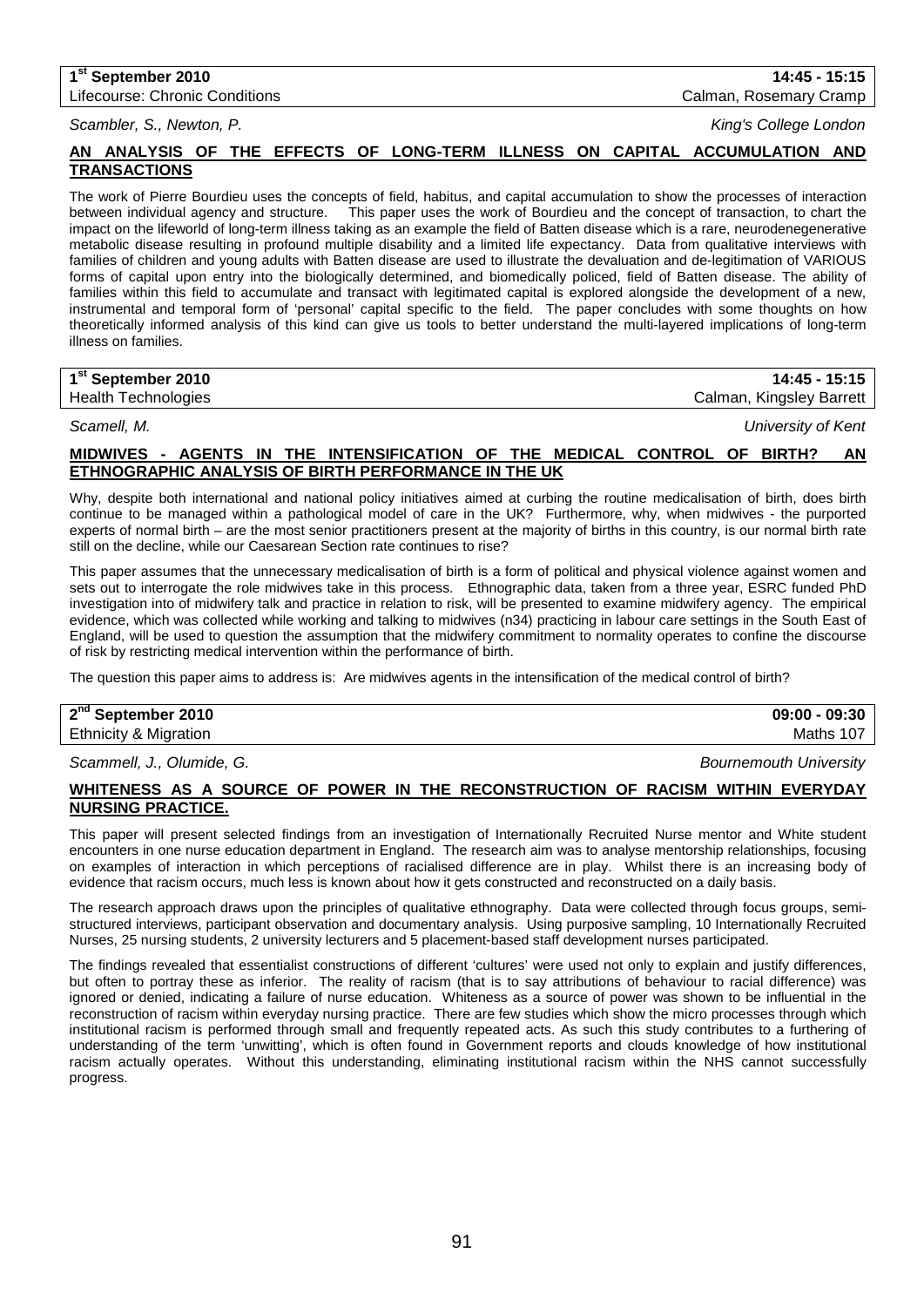# **1st September 2010 14:45 - 15:15**

Lifecourse: Chronic Conditions Calman, Rosemary Cramp

*Scambler, S., Newton, P. King's College London*

## **AN ANALYSIS OF THE EFFECTS OF LONG-TERM ILLNESS ON CAPITAL ACCUMULATION AND TRANSACTIONS**

The work of Pierre Bourdieu uses the concepts of field, habitus, and capital accumulation to show the processes of interaction<br>between individual agency and structure. This paper uses the work of Bourdieu and the concept o This paper uses the work of Bourdieu and the concept of transaction, to chart the impact on the lifeworld of long-term illness taking as an example the field of Batten disease which is a rare, neurodenegenerative metabolic disease resulting in profound multiple disability and a limited life expectancy. Data from qualitative interviews with families of children and young adults with Batten disease are used to illustrate the devaluation and de-legitimation of VARIOUS forms of capital upon entry into the biologically determined, and biomedically policed, field of Batten disease. The ability of families within this field to accumulate and transact with legitimated capital is explored alongside the development of a new, instrumental and temporal form of 'personal' capital specific to the field. The paper concludes with some thoughts on how theoretically informed analysis of this kind can give us tools to better understand the multi-layered implications of long-term illness on families.

| 1 <sup>st</sup> September 2010 | 14:45 - 15:15            |
|--------------------------------|--------------------------|
| <b>Health Technologies</b>     | Calman, Kingsley Barrett |

*Scamell, M. University of Kent*

## **MIDWIVES - AGENTS IN THE INTENSIFICATION OF THE MEDICAL CONTROL OF BIRTH? AN ETHNOGRAPHIC ANALYSIS OF BIRTH PERFORMANCE IN THE UK**

Why, despite both international and national policy initiatives aimed at curbing the routine medicalisation of birth, does birth continue to be managed within a pathological model of care in the UK? Furthermore, why, when midwives - the purported experts of normal birth – are the most senior practitioners present at the majority of births in this country, is our normal birth rate still on the decline, while our Caesarean Section rate continues to rise?

This paper assumes that the unnecessary medicalisation of birth is a form of political and physical violence against women and sets out to interrogate the role midwives take in this process. Ethnographic data, taken from a three year, ESRC funded PhD investigation into of midwifery talk and practice in relation to risk, will be presented to examine midwifery agency. The empirical evidence, which was collected while working and talking to midwives (n34) practicing in labour care settings in the South East of England, will be used to question the assumption that the midwifery commitment to normality operates to confine the discourse of risk by restricting medical intervention within the performance of birth.

The question this paper aims to address is: Are midwives agents in the intensification of the medical control of birth?

| 2 <sup>nd</sup> September 2010 | $09:00 - 09:30$ |
|--------------------------------|-----------------|
| Ethnicity & Migration          | Maths           |
|                                |                 |

*Scammell, J., Olumide, G. Bournemouth University*

## **WHITENESS AS A SOURCE OF POWER IN THE RECONSTRUCTION OF RACISM WITHIN EVERYDAY NURSING PRACTICE.**

This paper will present selected findings from an investigation of Internationally Recruited Nurse mentor and White student encounters in one nurse education department in England. The research aim was to analyse mentorship relationships, focusing on examples of interaction in which perceptions of racialised difference are in play. Whilst there is an increasing body of evidence that racism occurs, much less is known about how it gets constructed and reconstructed on a daily basis.

The research approach draws upon the principles of qualitative ethnography. Data were collected through focus groups, semistructured interviews, participant observation and documentary analysis. Using purposive sampling, 10 Internationally Recruited Nurses, 25 nursing students, 2 university lecturers and 5 placement-based staff development nurses participated.

The findings revealed that essentialist constructions of different 'cultures' were used not only to explain and justify differences, but often to portray these as inferior. The reality of racism (that is to say attributions of behaviour to racial difference) was ignored or denied, indicating a failure of nurse education. Whiteness as a source of power was shown to be influential in the reconstruction of racism within everyday nursing practice. There are few studies which show the micro processes through which institutional racism is performed through small and frequently repeated acts. As such this study contributes to a furthering of understanding of the term 'unwitting', which is often found in Government reports and clouds knowledge of how institutional racism actually operates. Without this understanding, eliminating institutional racism within the NHS cannot successfully progress.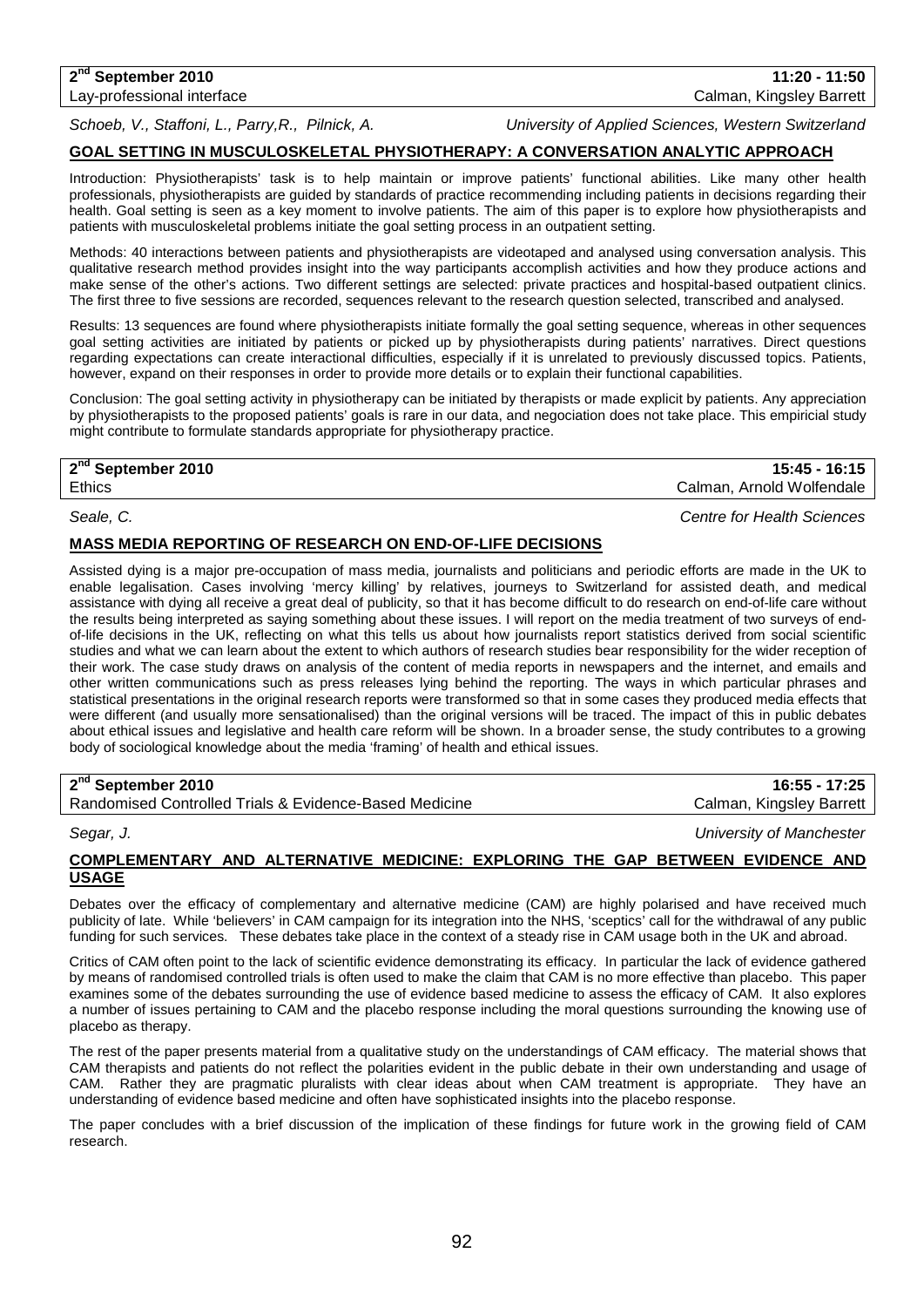**2nd September 2010 11:20 - 11:50** Lay-professional interface Calman, Kingsley Barrett

*Schoeb, V., Staffoni, L., Parry,R., Pilnick, A. University of Applied Sciences, Western Switzerland*

## **GOAL SETTING IN MUSCULOSKELETAL PHYSIOTHERAPY: A CONVERSATION ANALYTIC APPROACH**

Introduction: Physiotherapists' task is to help maintain or improve patients' functional abilities. Like many other health professionals, physiotherapists are guided by standards of practice recommending including patients in decisions regarding their health. Goal setting is seen as a key moment to involve patients. The aim of this paper is to explore how physiotherapists and patients with musculoskeletal problems initiate the goal setting process in an outpatient setting.

Methods: 40 interactions between patients and physiotherapists are videotaped and analysed using conversation analysis. This qualitative research method provides insight into the way participants accomplish activities and how they produce actions and make sense of the other's actions. Two different settings are selected: private practices and hospital-based outpatient clinics. The first three to five sessions are recorded, sequences relevant to the research question selected, transcribed and analysed.

Results: 13 sequences are found where physiotherapists initiate formally the goal setting sequence, whereas in other sequences goal setting activities are initiated by patients or picked up by physiotherapists during patients' narratives. Direct questions regarding expectations can create interactional difficulties, especially if it is unrelated to previously discussed topics. Patients, however, expand on their responses in order to provide more details or to explain their functional capabilities.

Conclusion: The goal setting activity in physiotherapy can be initiated by therapists or made explicit by patients. Any appreciation by physiotherapists to the proposed patients' goals is rare in our data, and negociation does not take place. This empiricial study might contribute to formulate standards appropriate for physiotherapy practice.

## **2nd September 2010 15:45 - 16:15**

Ethics Calman, Arnold Wolfendale

*Seale, C. Centre for Health Sciences*

## **MASS MEDIA REPORTING OF RESEARCH ON END-OF-LIFE DECISIONS**

Assisted dying is a major pre-occupation of mass media, journalists and politicians and periodic efforts are made in the UK to enable legalisation. Cases involving 'mercy killing' by relatives, journeys to Switzerland for assisted death, and medical assistance with dying all receive a great deal of publicity, so that it has become difficult to do research on end-of-life care without the results being interpreted as saying something about these issues. I will report on the media treatment of two surveys of endof-life decisions in the UK, reflecting on what this tells us about how journalists report statistics derived from social scientific studies and what we can learn about the extent to which authors of research studies bear responsibility for the wider reception of their work. The case study draws on analysis of the content of media reports in newspapers and the internet, and emails and other written communications such as press releases lying behind the reporting. The ways in which particular phrases and statistical presentations in the original research reports were transformed so that in some cases they produced media effects that were different (and usually more sensationalised) than the original versions will be traced. The impact of this in public debates about ethical issues and legislative and health care reform will be shown. In a broader sense, the study contributes to a growing body of sociological knowledge about the media 'framing' of health and ethical issues.

## **2nd September 2010 16:55 - 17:25**

Randomised Controlled Trials & Evidence-Based Medicine Calman, Kingsley Barrett

*Segar, J. University of Manchester*

### **COMPLEMENTARY AND ALTERNATIVE MEDICINE: EXPLORING THE GAP BETWEEN EVIDENCE AND USAGE**

Debates over the efficacy of complementary and alternative medicine (CAM) are highly polarised and have received much publicity of late. While 'believers' in CAM campaign for its integration into the NHS, 'sceptics' call for the withdrawal of any public funding for such services. These debates take place in the context of a steady rise in CAM usage both in the UK and abroad.

Critics of CAM often point to the lack of scientific evidence demonstrating its efficacy. In particular the lack of evidence gathered by means of randomised controlled trials is often used to make the claim that CAM is no more effective than placebo. This paper examines some of the debates surrounding the use of evidence based medicine to assess the efficacy of CAM. It also explores a number of issues pertaining to CAM and the placebo response including the moral questions surrounding the knowing use of placebo as therapy.

The rest of the paper presents material from a qualitative study on the understandings of CAM efficacy. The material shows that CAM therapists and patients do not reflect the polarities evident in the public debate in their own understanding and usage of CAM. Rather they are pragmatic pluralists with clear ideas about when CAM treatment is appropriate. They have an understanding of evidence based medicine and often have sophisticated insights into the placebo response.

The paper concludes with a brief discussion of the implication of these findings for future work in the growing field of CAM research.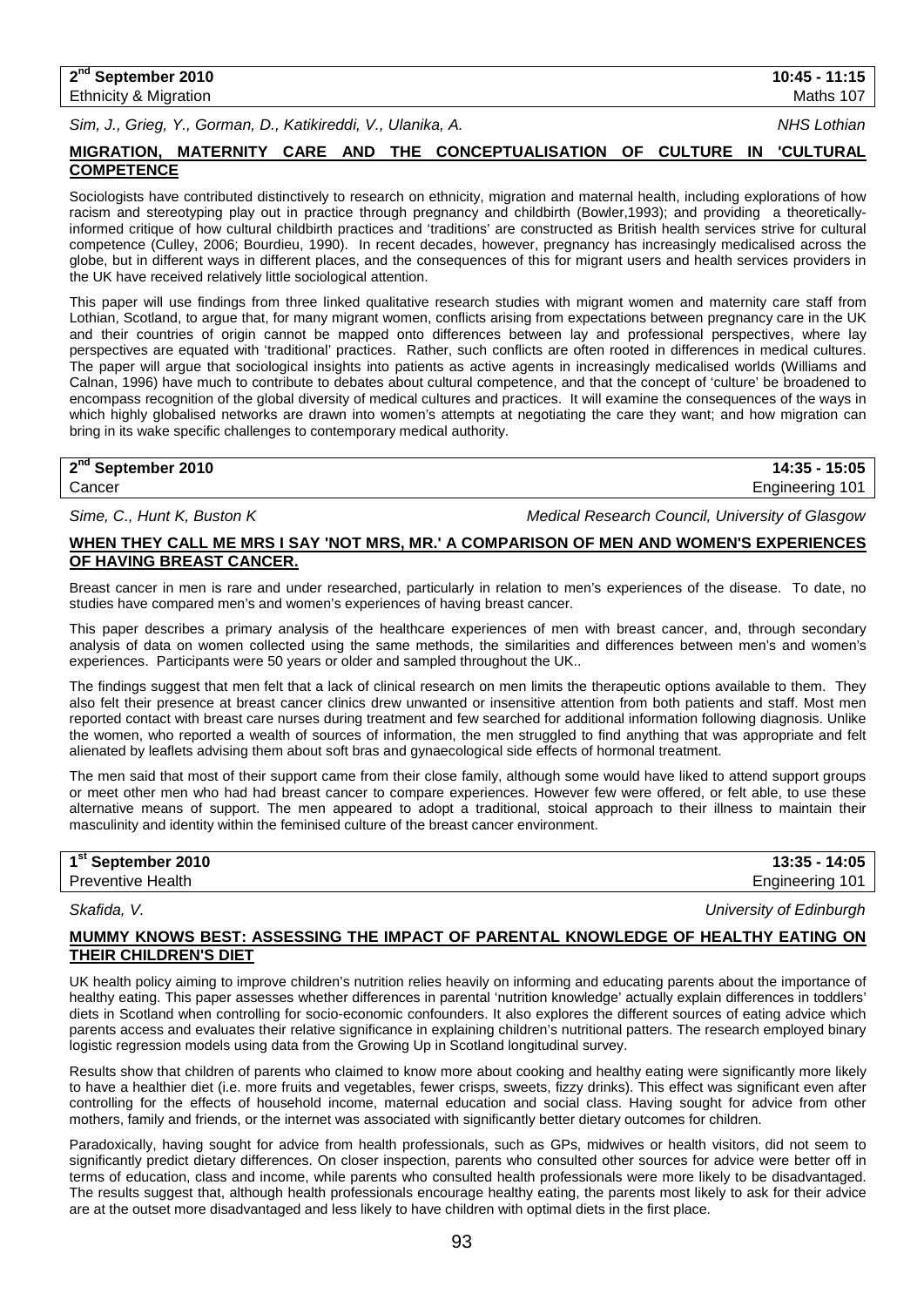*Sim, J., Grieg, Y., Gorman, D., Katikireddi, V., Ulanika, A. NHS Lothian*

## **MIGRATION, MATERNITY CARE AND THE CONCEPTUALISATION OF CULTURE IN 'CULTURAL COMPETENCE**

Sociologists have contributed distinctively to research on ethnicity, migration and maternal health, including explorations of how racism and stereotyping play out in practice through pregnancy and childbirth (Bowler,1993); and providing a theoreticallyinformed critique of how cultural childbirth practices and 'traditions' are constructed as British health services strive for cultural competence (Culley, 2006; Bourdieu, 1990). In recent decades, however, pregnancy has increasingly medicalised across the globe, but in different ways in different places, and the consequences of this for migrant users and health services providers in the UK have received relatively little sociological attention.

This paper will use findings from three linked qualitative research studies with migrant women and maternity care staff from Lothian, Scotland, to argue that, for many migrant women, conflicts arising from expectations between pregnancy care in the UK and their countries of origin cannot be mapped onto differences between lay and professional perspectives, where lay perspectives are equated with 'traditional' practices. Rather, such conflicts are often rooted in differences in medical cultures. The paper will argue that sociological insights into patients as active agents in increasingly medicalised worlds (Williams and Calnan, 1996) have much to contribute to debates about cultural competence, and that the concept of 'culture' be broadened to encompass recognition of the global diversity of medical cultures and practices. It will examine the consequences of the ways in which highly globalised networks are drawn into women's attempts at negotiating the care they want; and how migration can bring in its wake specific challenges to contemporary medical authority.

## **2nd September 2010 14:35 - 15:05**

Cancer Engineering 101

*Sime, C., Hunt K, Buston K Medical Research Council, University of Glasgow*

## **WHEN THEY CALL ME MRS I SAY 'NOT MRS, MR.' A COMPARISON OF MEN AND WOMEN'S EXPERIENCES OF HAVING BREAST CANCER.**

Breast cancer in men is rare and under researched, particularly in relation to men's experiences of the disease. To date, no studies have compared men's and women's experiences of having breast cancer.

This paper describes a primary analysis of the healthcare experiences of men with breast cancer, and, through secondary analysis of data on women collected using the same methods, the similarities and differences between men's and women's experiences. Participants were 50 years or older and sampled throughout the UK..

The findings suggest that men felt that a lack of clinical research on men limits the therapeutic options available to them. They also felt their presence at breast cancer clinics drew unwanted or insensitive attention from both patients and staff. Most men reported contact with breast care nurses during treatment and few searched for additional information following diagnosis. Unlike the women, who reported a wealth of sources of information, the men struggled to find anything that was appropriate and felt alienated by leaflets advising them about soft bras and gynaecological side effects of hormonal treatment.

The men said that most of their support came from their close family, although some would have liked to attend support groups or meet other men who had had breast cancer to compare experiences. However few were offered, or felt able, to use these alternative means of support. The men appeared to adopt a traditional, stoical approach to their illness to maintain their masculinity and identity within the feminised culture of the breast cancer environment.

| 1 <sup>st</sup> September 2010 | 13:35 - 14:05   |
|--------------------------------|-----------------|
| <b>Preventive Health</b>       | Engineering 101 |
|                                |                 |

*Skafida, V. University of Edinburgh*

## **MUMMY KNOWS BEST: ASSESSING THE IMPACT OF PARENTAL KNOWLEDGE OF HEALTHY EATING ON THEIR CHILDREN'S DIET**

UK health policy aiming to improve children's nutrition relies heavily on informing and educating parents about the importance of healthy eating. This paper assesses whether differences in parental 'nutrition knowledge' actually explain differences in toddlers' diets in Scotland when controlling for socio-economic confounders. It also explores the different sources of eating advice which parents access and evaluates their relative significance in explaining children's nutritional patters. The research employed binary logistic regression models using data from the Growing Up in Scotland longitudinal survey.

Results show that children of parents who claimed to know more about cooking and healthy eating were significantly more likely to have a healthier diet (i.e. more fruits and vegetables, fewer crisps, sweets, fizzy drinks). This effect was significant even after controlling for the effects of household income, maternal education and social class. Having sought for advice from other mothers, family and friends, or the internet was associated with significantly better dietary outcomes for children.

Paradoxically, having sought for advice from health professionals, such as GPs, midwives or health visitors, did not seem to significantly predict dietary differences. On closer inspection, parents who consulted other sources for advice were better off in terms of education, class and income, while parents who consulted health professionals were more likely to be disadvantaged. The results suggest that, although health professionals encourage healthy eating, the parents most likely to ask for their advice are at the outset more disadvantaged and less likely to have children with optimal diets in the first place.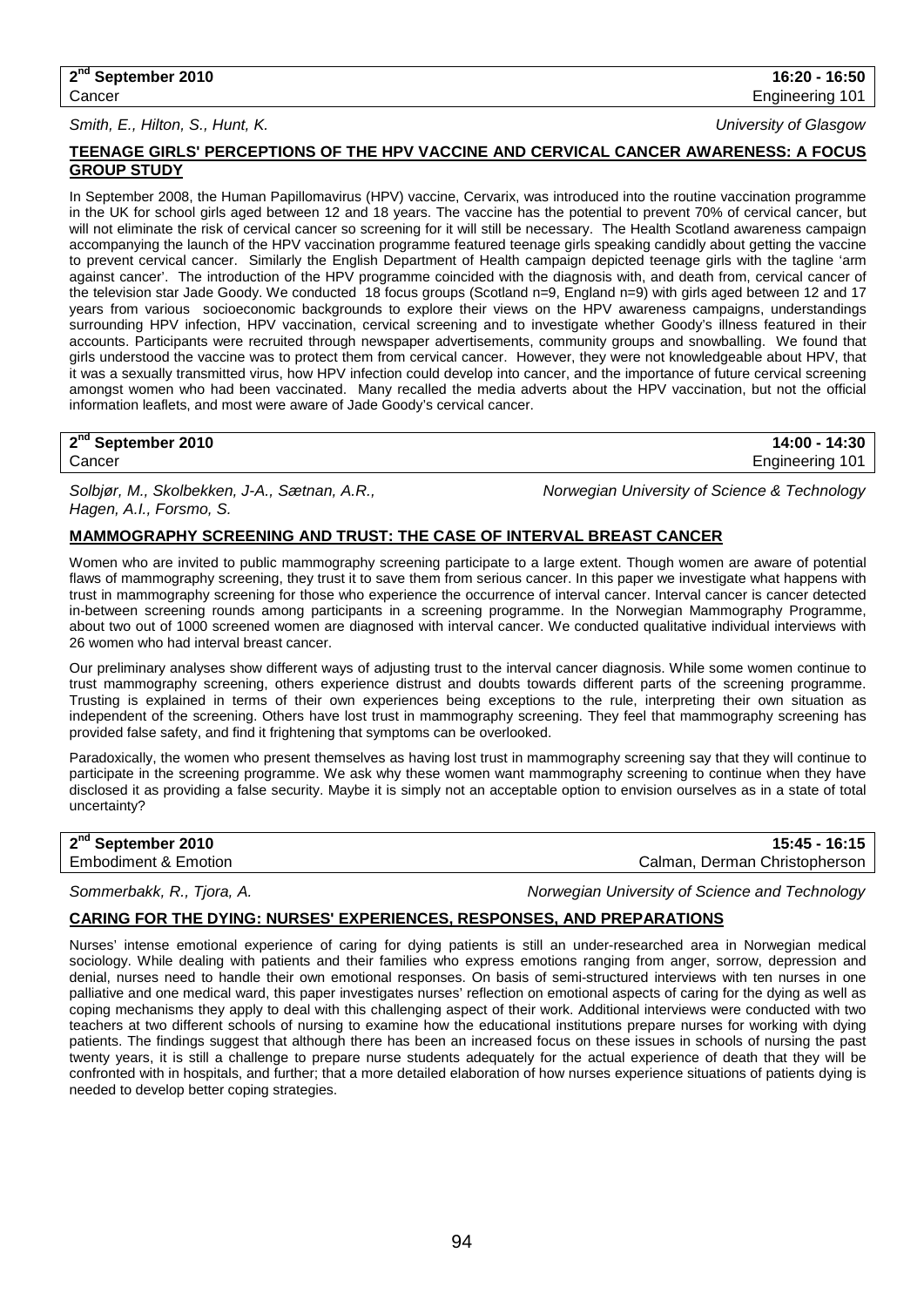### *Smith, E., Hilton, S., Hunt, K. University of Glasgow*

## **TEENAGE GIRLS' PERCEPTIONS OF THE HPV VACCINE AND CERVICAL CANCER AWARENESS: A FOCUS GROUP STUDY**

In September 2008, the Human Papillomavirus (HPV) vaccine, Cervarix, was introduced into the routine vaccination programme in the UK for school girls aged between 12 and 18 years. The vaccine has the potential to prevent 70% of cervical cancer, but will not eliminate the risk of cervical cancer so screening for it will still be necessary. The Health Scotland awareness campaign accompanying the launch of the HPV vaccination programme featured teenage girls speaking candidly about getting the vaccine to prevent cervical cancer. Similarly the English Department of Health campaign depicted teenage girls with the tagline 'arm against cancer'. The introduction of the HPV programme coincided with the diagnosis with, and death from, cervical cancer of the television star Jade Goody. We conducted 18 focus groups (Scotland n=9, England n=9) with girls aged between 12 and 17 years from various socioeconomic backgrounds to explore their views on the HPV awareness campaigns, understandings surrounding HPV infection, HPV vaccination, cervical screening and to investigate whether Goody's illness featured in their accounts. Participants were recruited through newspaper advertisements, community groups and snowballing. We found that girls understood the vaccine was to protect them from cervical cancer. However, they were not knowledgeable about HPV, that it was a sexually transmitted virus, how HPV infection could develop into cancer, and the importance of future cervical screening amongst women who had been vaccinated. Many recalled the media adverts about the HPV vaccination, but not the official information leaflets, and most were aware of Jade Goody's cervical cancer.

## **2nd September 2010 14:00 - 14:30**

*Solbjør, M., Skolbekken, J-A., Sætnan, A.R., Norwegian University of Science & Technology Hagen, A.I., Forsmo, S.*

## **MAMMOGRAPHY SCREENING AND TRUST: THE CASE OF INTERVAL BREAST CANCER**

Women who are invited to public mammography screening participate to a large extent. Though women are aware of potential flaws of mammography screening, they trust it to save them from serious cancer. In this paper we investigate what happens with trust in mammography screening for those who experience the occurrence of interval cancer. Interval cancer is cancer detected in-between screening rounds among participants in a screening programme. In the Norwegian Mammography Programme, about two out of 1000 screened women are diagnosed with interval cancer. We conducted qualitative individual interviews with 26 women who had interval breast cancer.

Our preliminary analyses show different ways of adjusting trust to the interval cancer diagnosis. While some women continue to trust mammography screening, others experience distrust and doubts towards different parts of the screening programme. Trusting is explained in terms of their own experiences being exceptions to the rule, interpreting their own situation as independent of the screening. Others have lost trust in mammography screening. They feel that mammography screening has provided false safety, and find it frightening that symptoms can be overlooked.

Paradoxically, the women who present themselves as having lost trust in mammography screening say that they will continue to participate in the screening programme. We ask why these women want mammography screening to continue when they have disclosed it as providing a false security. Maybe it is simply not an acceptable option to envision ourselves as in a state of total uncertainty?

**2nd September 2010 15:45 - 16:15** Calman, Derman Christopherson

*Sommerbakk, R., Tjora, A. Norwegian University of Science and Technology*

## **CARING FOR THE DYING: NURSES' EXPERIENCES, RESPONSES, AND PREPARATIONS**

Nurses' intense emotional experience of caring for dying patients is still an under-researched area in Norwegian medical sociology. While dealing with patients and their families who express emotions ranging from anger, sorrow, depression and denial, nurses need to handle their own emotional responses. On basis of semi-structured interviews with ten nurses in one palliative and one medical ward, this paper investigates nurses' reflection on emotional aspects of caring for the dying as well as coping mechanisms they apply to deal with this challenging aspect of their work. Additional interviews were conducted with two teachers at two different schools of nursing to examine how the educational institutions prepare nurses for working with dying patients. The findings suggest that although there has been an increased focus on these issues in schools of nursing the past twenty years, it is still a challenge to prepare nurse students adequately for the actual experience of death that they will be confronted with in hospitals, and further; that a more detailed elaboration of how nurses experience situations of patients dying is needed to develop better coping strategies.

Cancer Engineering 101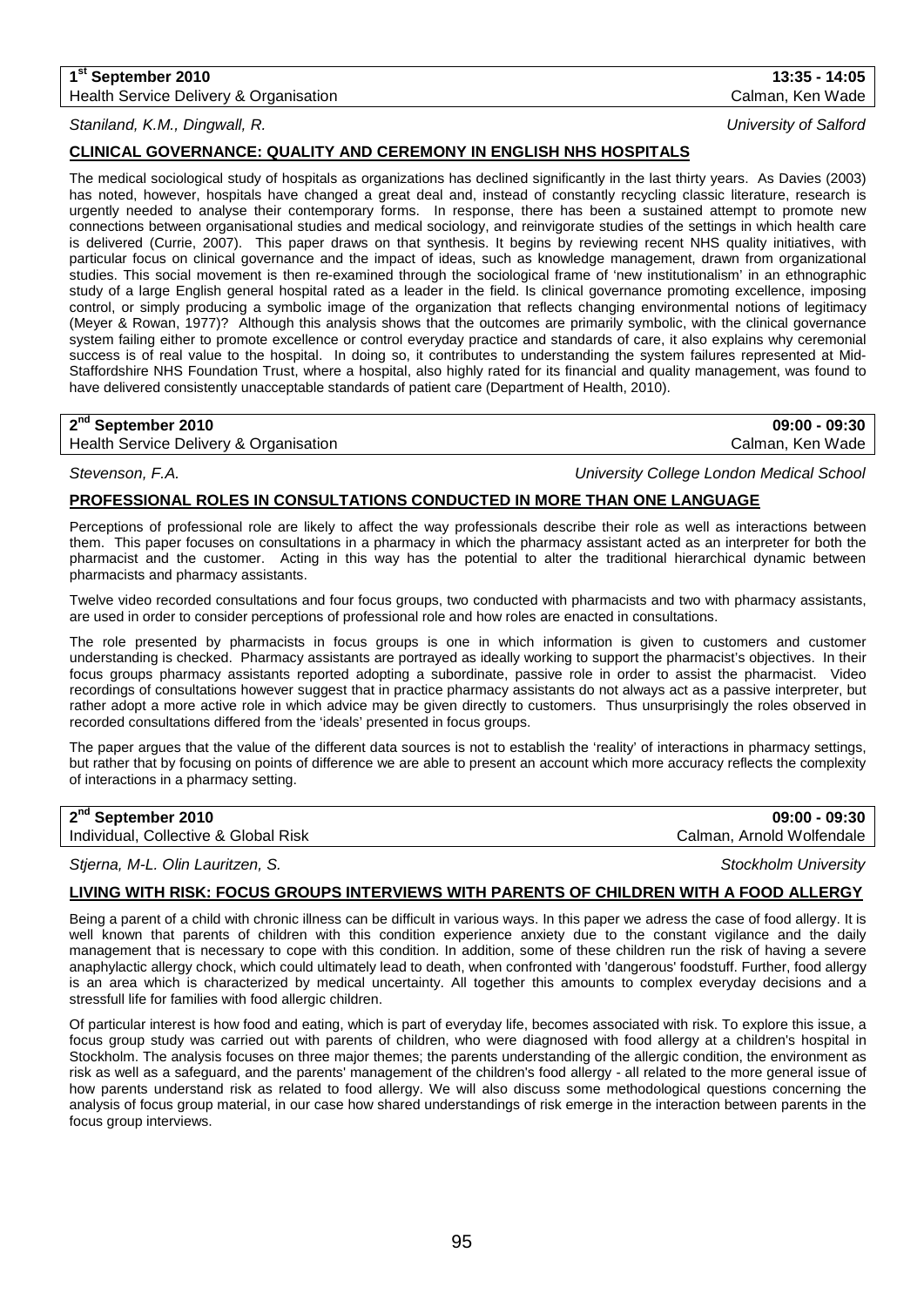## **1st September 2010 13:35 - 14:05** Health Service Delivery & Organisation Calman, Ken Wade Calman, Ken Wade

## *Staniland, K.M., Dingwall, R. University of Salford*

## **CLINICAL GOVERNANCE: QUALITY AND CEREMONY IN ENGLISH NHS HOSPITALS**

The medical sociological study of hospitals as organizations has declined significantly in the last thirty years. As Davies (2003) has noted, however, hospitals have changed a great deal and, instead of constantly recycling classic literature, research is urgently needed to analyse their contemporary forms. In response, there has been a sustained attempt to promote new connections between organisational studies and medical sociology, and reinvigorate studies of the settings in which health care is delivered (Currie, 2007). This paper draws on that synthesis. It begins by reviewing recent NHS quality initiatives, with particular focus on clinical governance and the impact of ideas, such as knowledge management, drawn from organizational studies. This social movement is then re-examined through the sociological frame of 'new institutionalism' in an ethnographic study of a large English general hospital rated as a leader in the field. Is clinical governance promoting excellence, imposing control, or simply producing a symbolic image of the organization that reflects changing environmental notions of legitimacy (Meyer & Rowan, 1977)? Although this analysis shows that the outcomes are primarily symbolic, with the clinical governance system failing either to promote excellence or control everyday practice and standards of care, it also explains why ceremonial success is of real value to the hospital. In doing so, it contributes to understanding the system failures represented at Mid-Staffordshire NHS Foundation Trust, where a hospital, also highly rated for its financial and quality management, was found to have delivered consistently unacceptable standards of patient care (Department of Health, 2010).

Health Service Delivery & Organisation Calman, Ken Wade Calman, Ken Wade

*Stevenson, F.A. University College London Medical School*

## **PROFESSIONAL ROLES IN CONSULTATIONS CONDUCTED IN MORE THAN ONE LANGUAGE**

Perceptions of professional role are likely to affect the way professionals describe their role as well as interactions between them. This paper focuses on consultations in a pharmacy in which the pharmacy assistant acted as an interpreter for both the pharmacist and the customer. Acting in this way has the potential to alter the traditional hierarchical dynamic between pharmacists and pharmacy assistants.

Twelve video recorded consultations and four focus groups, two conducted with pharmacists and two with pharmacy assistants, are used in order to consider perceptions of professional role and how roles are enacted in consultations.

The role presented by pharmacists in focus groups is one in which information is given to customers and customer understanding is checked. Pharmacy assistants are portrayed as ideally working to support the pharmacist's objectives. In their focus groups pharmacy assistants reported adopting a subordinate, passive role in order to assist the pharmacist. Video recordings of consultations however suggest that in practice pharmacy assistants do not always act as a passive interpreter, but rather adopt a more active role in which advice may be given directly to customers. Thus unsurprisingly the roles observed in recorded consultations differed from the 'ideals' presented in focus groups.

The paper argues that the value of the different data sources is not to establish the 'reality' of interactions in pharmacy settings, but rather that by focusing on points of difference we are able to present an account which more accuracy reflects the complexity of interactions in a pharmacy setting.

**2nd September 2010 09:00 - 09:30**

Individual, Collective & Global Risk Calman, Arnold Wolfendale

## *Stjerna, M-L. Olin Lauritzen, S. Stockholm University*

## **LIVING WITH RISK: FOCUS GROUPS INTERVIEWS WITH PARENTS OF CHILDREN WITH A FOOD ALLERGY**

Being a parent of a child with chronic illness can be difficult in various ways. In this paper we adress the case of food allergy. It is well known that parents of children with this condition experience anxiety due to the constant vigilance and the daily management that is necessary to cope with this condition. In addition, some of these children run the risk of having a severe anaphylactic allergy chock, which could ultimately lead to death, when confronted with 'dangerous' foodstuff. Further, food allergy is an area which is characterized by medical uncertainty. All together this amounts to complex everyday decisions and a stressfull life for families with food allergic children.

Of particular interest is how food and eating, which is part of everyday life, becomes associated with risk. To explore this issue, a focus group study was carried out with parents of children, who were diagnosed with food allergy at a children's hospital in Stockholm. The analysis focuses on three major themes; the parents understanding of the allergic condition, the environment as risk as well as a safeguard, and the parents' management of the children's food allergy - all related to the more general issue of how parents understand risk as related to food allergy. We will also discuss some methodological questions concerning the analysis of focus group material, in our case how shared understandings of risk emerge in the interaction between parents in the focus group interviews.

**2nd September 2010 09:00 - 09:30**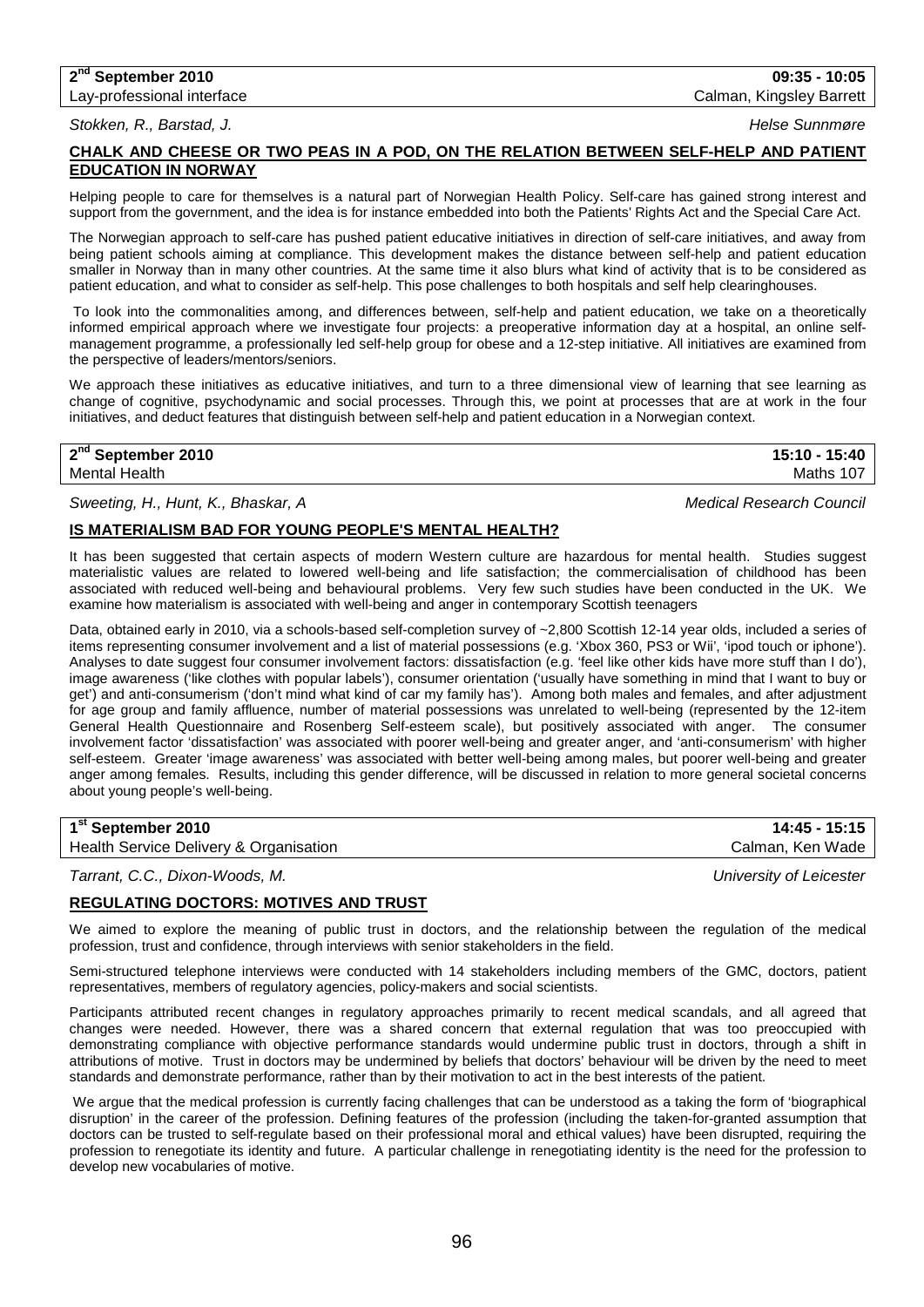# **2nd September 2010 09:35 - 10:05**

# Lay-professional interface Calman, Kingsley Barrett

*Stokken, R., Barstad, J. Helse Sunnmøre*

## **CHALK AND CHEESE OR TWO PEAS IN A POD, ON THE RELATION BETWEEN SELF-HELP AND PATIENT EDUCATION IN NORWAY**

Helping people to care for themselves is a natural part of Norwegian Health Policy. Self-care has gained strong interest and support from the government, and the idea is for instance embedded into both the Patients' Rights Act and the Special Care Act.

The Norwegian approach to self-care has pushed patient educative initiatives in direction of self-care initiatives, and away from being patient schools aiming at compliance. This development makes the distance between self-help and patient education smaller in Norway than in many other countries. At the same time it also blurs what kind of activity that is to be considered as patient education, and what to consider as self-help. This pose challenges to both hospitals and self help clearinghouses.

To look into the commonalities among, and differences between, self-help and patient education, we take on a theoretically informed empirical approach where we investigate four projects: a preoperative information day at a hospital, an online selfmanagement programme, a professionally led self-help group for obese and a 12-step initiative. All initiatives are examined from the perspective of leaders/mentors/seniors.

We approach these initiatives as educative initiatives, and turn to a three dimensional view of learning that see learning as change of cognitive, psychodynamic and social processes. Through this, we point at processes that are at work in the four initiatives, and deduct features that distinguish between self-help and patient education in a Norwegian context.

**2nd September 2010 15:10 - 15:40**

Mental Health Maths 107

## *Sweeting, H., Hunt, K., Bhaskar, A Medical Research Council*

## **IS MATERIALISM BAD FOR YOUNG PEOPLE'S MENTAL HEALTH?**

It has been suggested that certain aspects of modern Western culture are hazardous for mental health. Studies suggest materialistic values are related to lowered well-being and life satisfaction; the commercialisation of childhood has been associated with reduced well-being and behavioural problems. Very few such studies have been conducted in the UK. We examine how materialism is associated with well-being and anger in contemporary Scottish teenagers

Data, obtained early in 2010, via a schools-based self-completion survey of ~2,800 Scottish 12-14 year olds, included a series of items representing consumer involvement and a list of material possessions (e.g. 'Xbox 360, PS3 or Wii', 'ipod touch or iphone'). Analyses to date suggest four consumer involvement factors: dissatisfaction (e.g. 'feel like other kids have more stuff than I do'), image awareness ('like clothes with popular labels'), consumer orientation ('usually have something in mind that I want to buy or get') and anti-consumerism ('don't mind what kind of car my family has'). Among both males and females, and after adjustment for age group and family affluence, number of material possessions was unrelated to well-being (represented by the 12-item General Health Questionnaire and Rosenberg Self-esteem scale), but positively associated with anger. The consumer involvement factor 'dissatisfaction' was associated with poorer well-being and greater anger, and 'anti-consumerism' with higher self-esteem. Greater 'image awareness' was associated with better well-being among males, but poorer well-being and greater anger among females. Results, including this gender difference, will be discussed in relation to more general societal concerns about young people's well-being.

Health Service Delivery & Organisation

*Tarrant, C.C., Dixon-Woods, M. University of Leicester*

## **REGULATING DOCTORS: MOTIVES AND TRUST**

We aimed to explore the meaning of public trust in doctors, and the relationship between the regulation of the medical profession, trust and confidence, through interviews with senior stakeholders in the field.

Semi-structured telephone interviews were conducted with 14 stakeholders including members of the GMC, doctors, patient representatives, members of regulatory agencies, policy-makers and social scientists.

Participants attributed recent changes in regulatory approaches primarily to recent medical scandals, and all agreed that changes were needed. However, there was a shared concern that external regulation that was too preoccupied with demonstrating compliance with objective performance standards would undermine public trust in doctors, through a shift in attributions of motive. Trust in doctors may be undermined by beliefs that doctors' behaviour will be driven by the need to meet standards and demonstrate performance, rather than by their motivation to act in the best interests of the patient.

We argue that the medical profession is currently facing challenges that can be understood as a taking the form of 'biographical disruption' in the career of the profession. Defining features of the profession (including the taken-for-granted assumption that doctors can be trusted to self-regulate based on their professional moral and ethical values) have been disrupted, requiring the profession to renegotiate its identity and future. A particular challenge in renegotiating identity is the need for the profession to develop new vocabularies of motive.

**1st September 2010 14:45 - 15:15**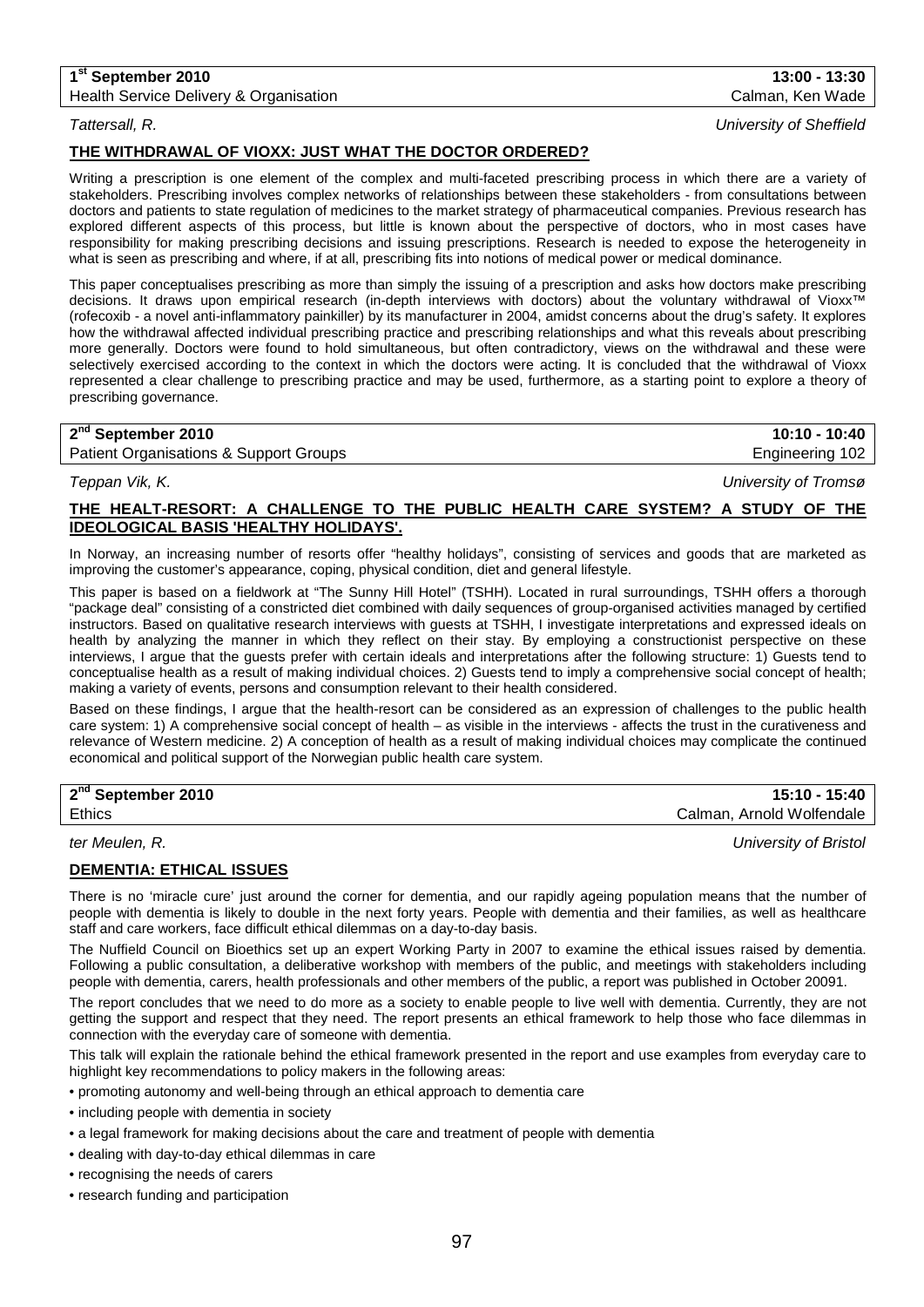## **1st September 2010 13:00 - 13:30**

Health Service Delivery & Organisation Calman, Ken Wade Calman, Ken Wade

*Tattersall, R. University of Sheffield*

## **THE WITHDRAWAL OF VIOXX: JUST WHAT THE DOCTOR ORDERED?**

Writing a prescription is one element of the complex and multi-faceted prescribing process in which there are a variety of stakeholders. Prescribing involves complex networks of relationships between these stakeholders - from consultations between doctors and patients to state regulation of medicines to the market strategy of pharmaceutical companies. Previous research has explored different aspects of this process, but little is known about the perspective of doctors, who in most cases have responsibility for making prescribing decisions and issuing prescriptions. Research is needed to expose the heterogeneity in what is seen as prescribing and where, if at all, prescribing fits into notions of medical power or medical dominance.

This paper conceptualises prescribing as more than simply the issuing of a prescription and asks how doctors make prescribing decisions. It draws upon empirical research (in-depth interviews with doctors) about the voluntary withdrawal of Vioxx™ (rofecoxib - a novel anti-inflammatory painkiller) by its manufacturer in 2004, amidst concerns about the drug's safety. It explores how the withdrawal affected individual prescribing practice and prescribing relationships and what this reveals about prescribing more generally. Doctors were found to hold simultaneous, but often contradictory, views on the withdrawal and these were selectively exercised according to the context in which the doctors were acting. It is concluded that the withdrawal of Vioxx represented a clear challenge to prescribing practice and may be used, furthermore, as a starting point to explore a theory of prescribing governance.

| 2 <sup>nd</sup> September 2010         | 10:10 - 10:40   |
|----------------------------------------|-----------------|
| Patient Organisations & Support Groups | Engineering 102 |

*Teppan Vik, K. University of Tromsø*

## **THE HEALT-RESORT: A CHALLENGE TO THE PUBLIC HEALTH CARE SYSTEM? A STUDY OF THE IDEOLOGICAL BASIS 'HEALTHY HOLIDAYS'.**

In Norway, an increasing number of resorts offer "healthy holidays", consisting of services and goods that are marketed as improving the customer's appearance, coping, physical condition, diet and general lifestyle.

This paper is based on a fieldwork at "The Sunny Hill Hotel" (TSHH). Located in rural surroundings, TSHH offers a thorough "package deal" consisting of a constricted diet combined with daily sequences of group-organised activities managed by certified instructors. Based on qualitative research interviews with guests at TSHH, I investigate interpretations and expressed ideals on health by analyzing the manner in which they reflect on their stay. By employing a constructionist perspective on these interviews, I argue that the guests prefer with certain ideals and interpretations after the following structure: 1) Guests tend to conceptualise health as a result of making individual choices. 2) Guests tend to imply a comprehensive social concept of health; making a variety of events, persons and consumption relevant to their health considered.

Based on these findings, I argue that the health-resort can be considered as an expression of challenges to the public health care system: 1) A comprehensive social concept of health – as visible in the interviews - affects the trust in the curativeness and relevance of Western medicine. 2) A conception of health as a result of making individual choices may complicate the continued economical and political support of the Norwegian public health care system.

| 2 <sup>nd</sup> September 2010 | 15:10 - 15:40             |
|--------------------------------|---------------------------|
| <b>Ethics</b>                  | Calman, Arnold Wolfendale |

*ter Meulen, R. University of Bristol*

**DEMENTIA: ETHICAL ISSUES**

There is no 'miracle cure' just around the corner for dementia, and our rapidly ageing population means that the number of people with dementia is likely to double in the next forty years. People with dementia and their families, as well as healthcare staff and care workers, face difficult ethical dilemmas on a day-to-day basis.

The Nuffield Council on Bioethics set up an expert Working Party in 2007 to examine the ethical issues raised by dementia. Following a public consultation, a deliberative workshop with members of the public, and meetings with stakeholders including people with dementia, carers, health professionals and other members of the public, a report was published in October 20091.

The report concludes that we need to do more as a society to enable people to live well with dementia. Currently, they are not getting the support and respect that they need. The report presents an ethical framework to help those who face dilemmas in connection with the everyday care of someone with dementia.

This talk will explain the rationale behind the ethical framework presented in the report and use examples from everyday care to highlight key recommendations to policy makers in the following areas:

- promoting autonomy and well-being through an ethical approach to dementia care
- including people with dementia in society
- a legal framework for making decisions about the care and treatment of people with dementia
- dealing with day-to-day ethical dilemmas in care
- recognising the needs of carers
- research funding and participation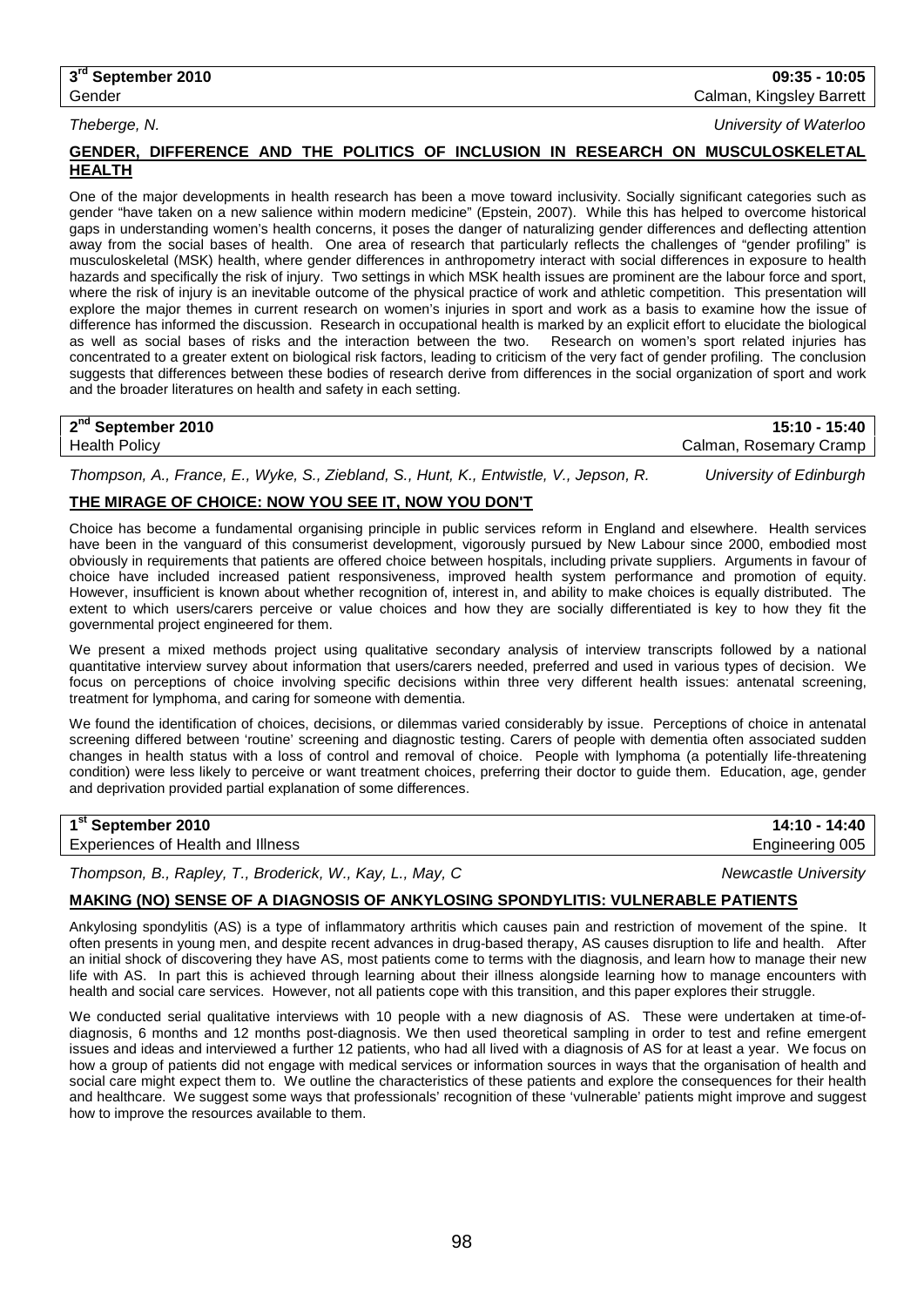Gender Calman, Kingsley Barrett

*Theberge, N. University of Waterloo*

## **GENDER, DIFFERENCE AND THE POLITICS OF INCLUSION IN RESEARCH ON MUSCULOSKELETAL HEALTH**

One of the major developments in health research has been a move toward inclusivity. Socially significant categories such as gender "have taken on a new salience within modern medicine" (Epstein, 2007). While this has helped to overcome historical gaps in understanding women's health concerns, it poses the danger of naturalizing gender differences and deflecting attention away from the social bases of health. One area of research that particularly reflects the challenges of "gender profiling" is musculoskeletal (MSK) health, where gender differences in anthropometry interact with social differences in exposure to health hazards and specifically the risk of injury. Two settings in which MSK health issues are prominent are the labour force and sport, where the risk of injury is an inevitable outcome of the physical practice of work and athletic competition. This presentation will explore the major themes in current research on women's injuries in sport and work as a basis to examine how the issue of difference has informed the discussion. Research in occupational health is marked by an explicit effort to elucidate the biological as well as social bases of risks and the interaction between the two. Research on women's as well as social bases of risks and the interaction between the two. concentrated to a greater extent on biological risk factors, leading to criticism of the very fact of gender profiling. The conclusion suggests that differences between these bodies of research derive from differences in the social organization of sport and work and the broader literatures on health and safety in each setting.

| 2 <sup>nd</sup> September 2010 | 15:10 - 15:40          |
|--------------------------------|------------------------|
| <b>Health Policy</b>           | Calman, Rosemary Cramp |
|                                |                        |

*Thompson, A., France, E., Wyke, S., Ziebland, S., Hunt, K., Entwistle, V., Jepson, R. University of Edinburgh*

## **THE MIRAGE OF CHOICE: NOW YOU SEE IT, NOW YOU DON'T**

Choice has become a fundamental organising principle in public services reform in England and elsewhere. Health services have been in the vanguard of this consumerist development, vigorously pursued by New Labour since 2000, embodied most obviously in requirements that patients are offered choice between hospitals, including private suppliers. Arguments in favour of choice have included increased patient responsiveness, improved health system performance and promotion of equity. However, insufficient is known about whether recognition of, interest in, and ability to make choices is equally distributed. The extent to which users/carers perceive or value choices and how they are socially differentiated is key to how they fit the governmental project engineered for them.

We present a mixed methods project using qualitative secondary analysis of interview transcripts followed by a national quantitative interview survey about information that users/carers needed, preferred and used in various types of decision. We focus on perceptions of choice involving specific decisions within three very different health issues: antenatal screening, treatment for lymphoma, and caring for someone with dementia.

We found the identification of choices, decisions, or dilemmas varied considerably by issue. Perceptions of choice in antenatal screening differed between 'routine' screening and diagnostic testing. Carers of people with dementia often associated sudden changes in health status with a loss of control and removal of choice. People with lymphoma (a potentially life-threatening condition) were less likely to perceive or want treatment choices, preferring their doctor to guide them. Education, age, gender and deprivation provided partial explanation of some differences.

## **1st September 2010 14:10 - 14:40**

Experiences of Health and Illness Engineering 005

*Thompson, B., Rapley, T., Broderick, W., Kay, L., May, C Newcastle University*

## **MAKING (NO) SENSE OF A DIAGNOSIS OF ANKYLOSING SPONDYLITIS: VULNERABLE PATIENTS**

Ankylosing spondylitis (AS) is a type of inflammatory arthritis which causes pain and restriction of movement of the spine. It often presents in young men, and despite recent advances in drug-based therapy, AS causes disruption to life and health. After an initial shock of discovering they have AS, most patients come to terms with the diagnosis, and learn how to manage their new life with AS. In part this is achieved through learning about their illness alongside learning how to manage encounters with health and social care services. However, not all patients cope with this transition, and this paper explores their struggle.

We conducted serial qualitative interviews with 10 people with a new diagnosis of AS. These were undertaken at time-ofdiagnosis, 6 months and 12 months post-diagnosis. We then used theoretical sampling in order to test and refine emergent issues and ideas and interviewed a further 12 patients, who had all lived with a diagnosis of AS for at least a year. We focus on how a group of patients did not engage with medical services or information sources in ways that the organisation of health and social care might expect them to. We outline the characteristics of these patients and explore the consequences for their health and healthcare. We suggest some ways that professionals' recognition of these 'vulnerable' patients might improve and suggest how to improve the resources available to them.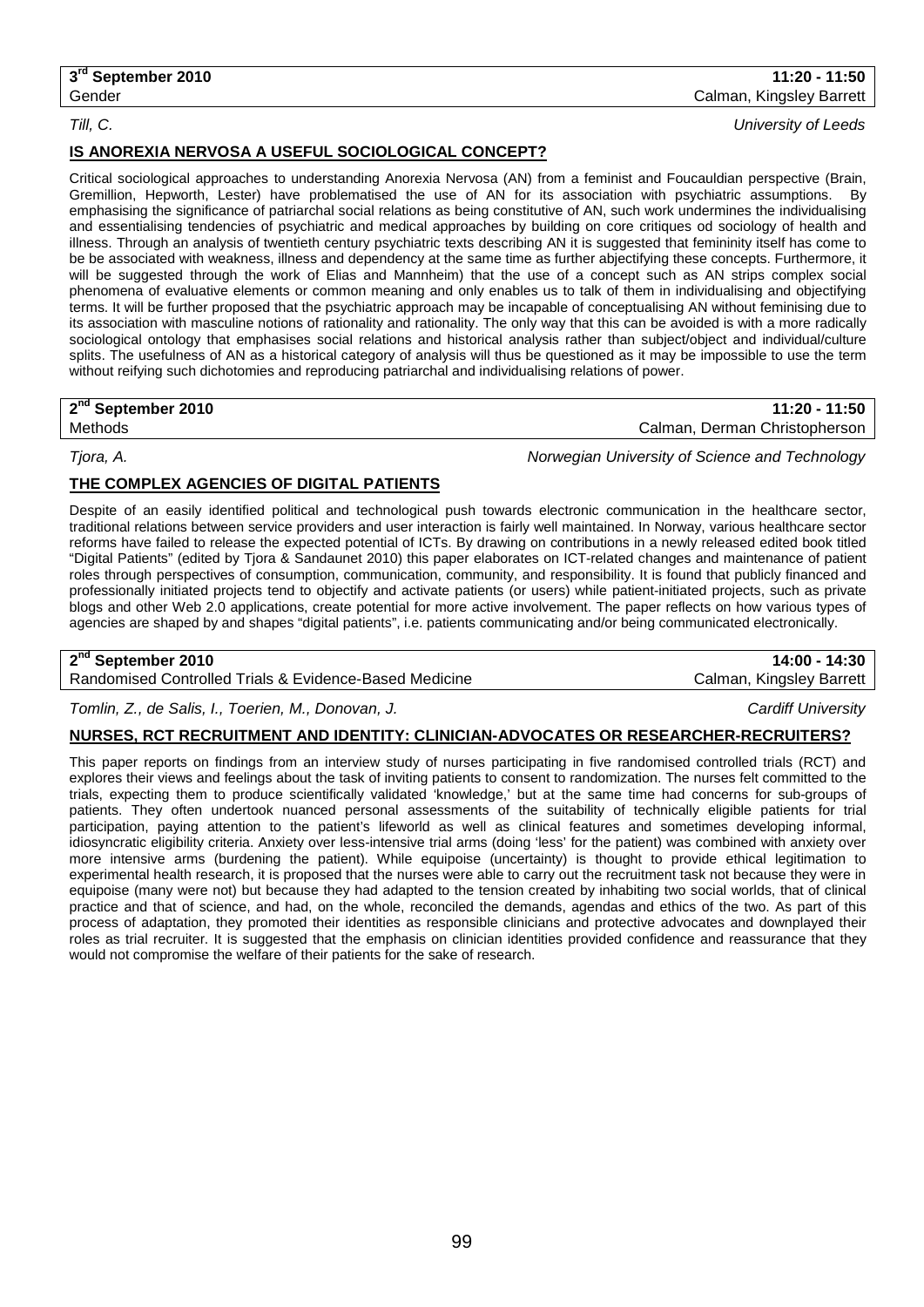*Till, C. University of Leeds*

## **IS ANOREXIA NERVOSA A USEFUL SOCIOLOGICAL CONCEPT?**

Critical sociological approaches to understanding Anorexia Nervosa (AN) from a feminist and Foucauldian perspective (Brain, Gremillion, Hepworth, Lester) have problematised the use of AN for its association with psychiatric assumptions. By emphasising the significance of patriarchal social relations as being constitutive of AN, such work undermines the individualising and essentialising tendencies of psychiatric and medical approaches by building on core critiques od sociology of health and illness. Through an analysis of twentieth century psychiatric texts describing AN it is suggested that femininity itself has come to be be associated with weakness, illness and dependency at the same time as further abjectifying these concepts. Furthermore, it will be suggested through the work of Elias and Mannheim) that the use of a concept such as AN strips complex social phenomena of evaluative elements or common meaning and only enables us to talk of them in individualising and objectifying terms. It will be further proposed that the psychiatric approach may be incapable of conceptualising AN without feminising due to its association with masculine notions of rationality and rationality. The only way that this can be avoided is with a more radically sociological ontology that emphasises social relations and historical analysis rather than subject/object and individual/culture splits. The usefulness of AN as a historical category of analysis will thus be questioned as it may be impossible to use the term without reifying such dichotomies and reproducing patriarchal and individualising relations of power.

**2nd September 2010 11:20 - 11:50** Methods Calman, Derman Christopherson

*Tjora, A. Norwegian University of Science and Technology*

## **THE COMPLEX AGENCIES OF DIGITAL PATIENTS**

Despite of an easily identified political and technological push towards electronic communication in the healthcare sector, traditional relations between service providers and user interaction is fairly well maintained. In Norway, various healthcare sector reforms have failed to release the expected potential of ICTs. By drawing on contributions in a newly released edited book titled "Digital Patients" (edited by Tjora & Sandaunet 2010) this paper elaborates on ICT-related changes and maintenance of patient roles through perspectives of consumption, communication, community, and responsibility. It is found that publicly financed and professionally initiated projects tend to objectify and activate patients (or users) while patient-initiated projects, such as private blogs and other Web 2.0 applications, create potential for more active involvement. The paper reflects on how various types of agencies are shaped by and shapes "digital patients", i.e. patients communicating and/or being communicated electronically.

## **2nd September 2010 14:00 - 14:30**

Randomised Controlled Trials & Evidence-Based Medicine Calman, Kingsley Barrett

*Tomlin, Z., de Salis, I., Toerien, M., Donovan, J. Cardiff University*

## **NURSES, RCT RECRUITMENT AND IDENTITY: CLINICIAN-ADVOCATES OR RESEARCHER-RECRUITERS?**

This paper reports on findings from an interview study of nurses participating in five randomised controlled trials (RCT) and explores their views and feelings about the task of inviting patients to consent to randomization. The nurses felt committed to the trials, expecting them to produce scientifically validated 'knowledge,' but at the same time had concerns for sub-groups of patients. They often undertook nuanced personal assessments of the suitability of technically eligible patients for trial participation, paying attention to the patient's lifeworld as well as clinical features and sometimes developing informal, idiosyncratic eligibility criteria. Anxiety over less-intensive trial arms (doing 'less' for the patient) was combined with anxiety over more intensive arms (burdening the patient). While equipoise (uncertainty) is thought to provide ethical legitimation to experimental health research, it is proposed that the nurses were able to carry out the recruitment task not because they were in equipoise (many were not) but because they had adapted to the tension created by inhabiting two social worlds, that of clinical practice and that of science, and had, on the whole, reconciled the demands, agendas and ethics of the two. As part of this process of adaptation, they promoted their identities as responsible clinicians and protective advocates and downplayed their roles as trial recruiter. It is suggested that the emphasis on clinician identities provided confidence and reassurance that they would not compromise the welfare of their patients for the sake of research.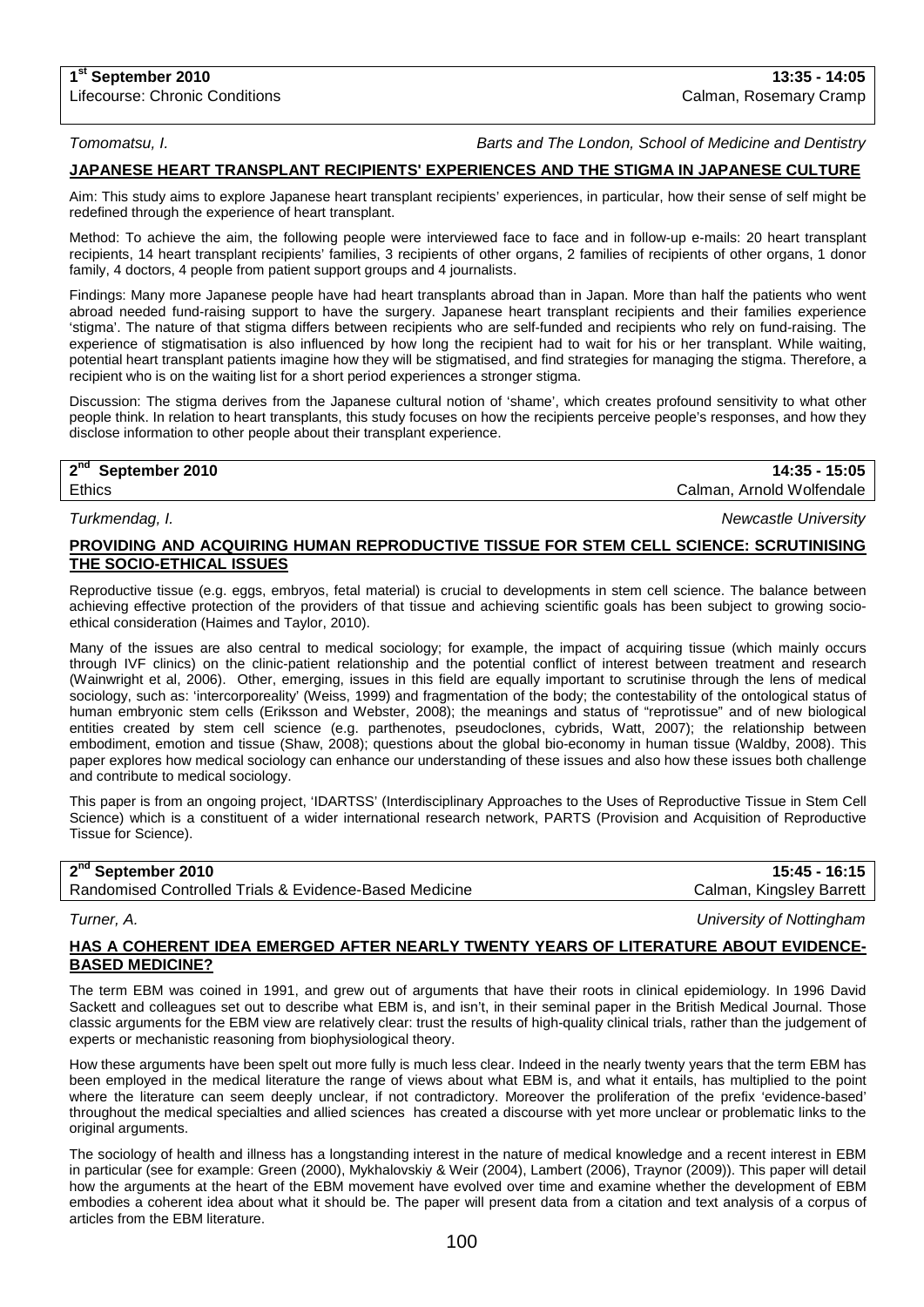**1st September 2010 13:35 - 14:05**

*Tomomatsu, I. Barts and The London, School of Medicine and Dentistry*

## **JAPANESE HEART TRANSPLANT RECIPIENTS' EXPERIENCES AND THE STIGMA IN JAPANESE CULTURE**

Aim: This study aims to explore Japanese heart transplant recipients' experiences, in particular, how their sense of self might be redefined through the experience of heart transplant.

Method: To achieve the aim, the following people were interviewed face to face and in follow-up e-mails: 20 heart transplant recipients, 14 heart transplant recipients' families, 3 recipients of other organs, 2 families of recipients of other organs, 1 donor family, 4 doctors, 4 people from patient support groups and 4 journalists.

Findings: Many more Japanese people have had heart transplants abroad than in Japan. More than half the patients who went abroad needed fund-raising support to have the surgery. Japanese heart transplant recipients and their families experience 'stigma'. The nature of that stigma differs between recipients who are self-funded and recipients who rely on fund-raising. The experience of stigmatisation is also influenced by how long the recipient had to wait for his or her transplant. While waiting, potential heart transplant patients imagine how they will be stigmatised, and find strategies for managing the stigma. Therefore, a recipient who is on the waiting list for a short period experiences a stronger stigma.

Discussion: The stigma derives from the Japanese cultural notion of 'shame', which creates profound sensitivity to what other people think. In relation to heart transplants, this study focuses on how the recipients perceive people's responses, and how they disclose information to other people about their transplant experience.

**2nd September 2010 14:35 - 15:05** Ethics **Exercise 2008** Calman, Arnold Wolfendale

*Turkmendag, I. Newcastle University*

### **PROVIDING AND ACQUIRING HUMAN REPRODUCTIVE TISSUE FOR STEM CELL SCIENCE: SCRUTINISING THE SOCIO-ETHICAL ISSUES**

Reproductive tissue (e.g. eggs, embryos, fetal material) is crucial to developments in stem cell science. The balance between achieving effective protection of the providers of that tissue and achieving scientific goals has been subject to growing socioethical consideration (Haimes and Taylor, 2010).

Many of the issues are also central to medical sociology; for example, the impact of acquiring tissue (which mainly occurs through IVF clinics) on the clinic-patient relationship and the potential conflict of interest between treatment and research (Wainwright et al, 2006). Other, emerging, issues in this field are equally important to scrutinise through the lens of medical sociology, such as: 'intercorporeality' (Weiss, 1999) and fragmentation of the body; the contestability of the ontological status of human embryonic stem cells (Eriksson and Webster, 2008); the meanings and status of "reprotissue" and of new biological entities created by stem cell science (e.g. parthenotes, pseudoclones, cybrids, Watt, 2007); the relationship between embodiment, emotion and tissue (Shaw, 2008); questions about the global bio-economy in human tissue (Waldby, 2008). This paper explores how medical sociology can enhance our understanding of these issues and also how these issues both challenge and contribute to medical sociology.

This paper is from an ongoing project, 'IDARTSS' (Interdisciplinary Approaches to the Uses of Reproductive Tissue in Stem Cell Science) which is a constituent of a wider international research network, PARTS (Provision and Acquisition of Reproductive Tissue for Science).

| 2 <sup>nd</sup> September 2010                         | 15:45 - 16:15            |
|--------------------------------------------------------|--------------------------|
| Randomised Controlled Trials & Evidence-Based Medicine | Calman, Kingsley Barrett |
|                                                        |                          |

*Turner, A. University of Nottingham*

### **HAS A COHERENT IDEA EMERGED AFTER NEARLY TWENTY YEARS OF LITERATURE ABOUT EVIDENCE-BASED MEDICINE?**

The term EBM was coined in 1991, and grew out of arguments that have their roots in clinical epidemiology. In 1996 David Sackett and colleagues set out to describe what EBM is, and isn't, in their seminal paper in the British Medical Journal. Those classic arguments for the EBM view are relatively clear: trust the results of high-quality clinical trials, rather than the judgement of experts or mechanistic reasoning from biophysiological theory.

How these arguments have been spelt out more fully is much less clear. Indeed in the nearly twenty years that the term EBM has been employed in the medical literature the range of views about what EBM is, and what it entails, has multiplied to the point where the literature can seem deeply unclear, if not contradictory. Moreover the proliferation of the prefix 'evidence-based' throughout the medical specialties and allied sciences has created a discourse with yet more unclear or problematic links to the original arguments.

The sociology of health and illness has a longstanding interest in the nature of medical knowledge and a recent interest in EBM in particular (see for example: Green (2000), Mykhalovskiy & Weir (2004), Lambert (2006), Traynor (2009)). This paper will detail how the arguments at the heart of the EBM movement have evolved over time and examine whether the development of EBM embodies a coherent idea about what it should be. The paper will present data from a citation and text analysis of a corpus of articles from the EBM literature.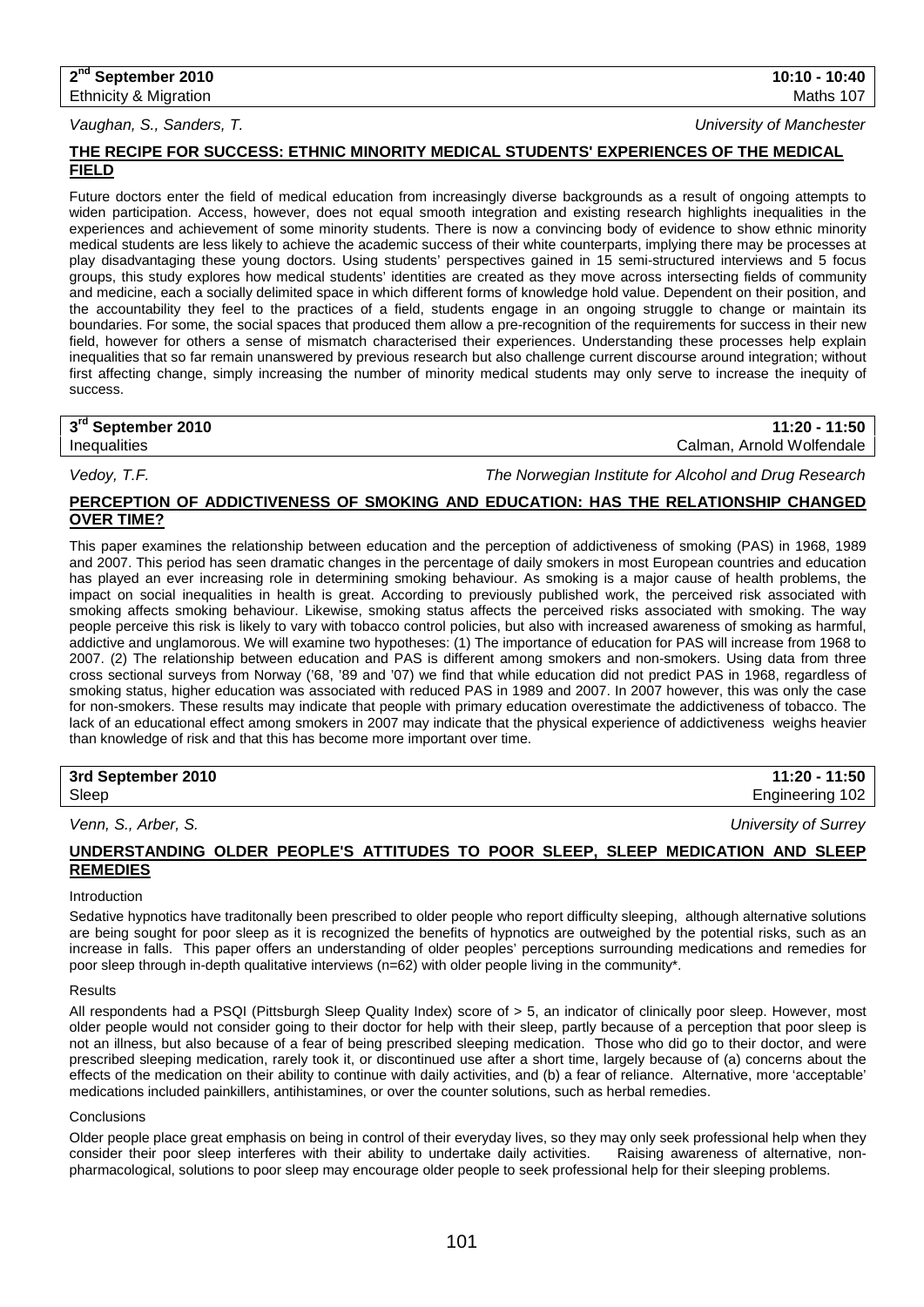## *Vaughan, S., Sanders, T. University of Manchester*

## **THE RECIPE FOR SUCCESS: ETHNIC MINORITY MEDICAL STUDENTS' EXPERIENCES OF THE MEDICAL FIELD**

Future doctors enter the field of medical education from increasingly diverse backgrounds as a result of ongoing attempts to widen participation. Access, however, does not equal smooth integration and existing research highlights inequalities in the experiences and achievement of some minority students. There is now a convincing body of evidence to show ethnic minority medical students are less likely to achieve the academic success of their white counterparts, implying there may be processes at play disadvantaging these young doctors. Using students' perspectives gained in 15 semi-structured interviews and 5 focus groups, this study explores how medical students' identities are created as they move across intersecting fields of community and medicine, each a socially delimited space in which different forms of knowledge hold value. Dependent on their position, and the accountability they feel to the practices of a field, students engage in an ongoing struggle to change or maintain its boundaries. For some, the social spaces that produced them allow a pre-recognition of the requirements for success in their new field, however for others a sense of mismatch characterised their experiences. Understanding these processes help explain inequalities that so far remain unanswered by previous research but also challenge current discourse around integration; without first affecting change, simply increasing the number of minority medical students may only serve to increase the inequity of success.

| 3rd September 2010 | 11:20 - 11:50             |
|--------------------|---------------------------|
| Inequalities       | Calman, Arnold Wolfendale |

*Vedoy, T.F. The Norwegian Institute for Alcohol and Drug Research*

## **PERCEPTION OF ADDICTIVENESS OF SMOKING AND EDUCATION: HAS THE RELATIONSHIP CHANGED OVER TIME?**

This paper examines the relationship between education and the perception of addictiveness of smoking (PAS) in 1968, 1989 and 2007. This period has seen dramatic changes in the percentage of daily smokers in most European countries and education has played an ever increasing role in determining smoking behaviour. As smoking is a major cause of health problems, the impact on social inequalities in health is great. According to previously published work, the perceived risk associated with smoking affects smoking behaviour. Likewise, smoking status affects the perceived risks associated with smoking. The way people perceive this risk is likely to vary with tobacco control policies, but also with increased awareness of smoking as harmful, addictive and unglamorous. We will examine two hypotheses: (1) The importance of education for PAS will increase from 1968 to 2007. (2) The relationship between education and PAS is different among smokers and non-smokers. Using data from three cross sectional surveys from Norway ('68, '89 and '07) we find that while education did not predict PAS in 1968, regardless of smoking status, higher education was associated with reduced PAS in 1989 and 2007. In 2007 however, this was only the case for non-smokers. These results may indicate that people with primary education overestimate the addictiveness of tobacco. The lack of an educational effect among smokers in 2007 may indicate that the physical experience of addictiveness weighs heavier than knowledge of risk and that this has become more important over time.

| 3rd September 2010 | 11:20 - 11:50   |
|--------------------|-----------------|
| Sleep              | Engineering 102 |

*Venn, S., Arber, S. University of Surrey*

### **UNDERSTANDING OLDER PEOPLE'S ATTITUDES TO POOR SLEEP, SLEEP MEDICATION AND SLEEP REMEDIES**

#### Introduction

Sedative hypnotics have traditonally been prescribed to older people who report difficulty sleeping, although alternative solutions are being sought for poor sleep as it is recognized the benefits of hypnotics are outweighed by the potential risks, such as an increase in falls. This paper offers an understanding of older peoples' perceptions surrounding medications and remedies for poor sleep through in-depth qualitative interviews (n=62) with older people living in the community\*.

#### Results

All respondents had a PSQI (Pittsburgh Sleep Quality Index) score of > 5, an indicator of clinically poor sleep. However, most older people would not consider going to their doctor for help with their sleep, partly because of a perception that poor sleep is not an illness, but also because of a fear of being prescribed sleeping medication. Those who did go to their doctor, and were prescribed sleeping medication, rarely took it, or discontinued use after a short time, largely because of (a) concerns about the effects of the medication on their ability to continue with daily activities, and (b) a fear of reliance. Alternative, more 'acceptable' medications included painkillers, antihistamines, or over the counter solutions, such as herbal remedies.

#### **Conclusions**

Older people place great emphasis on being in control of their everyday lives, so they may only seek professional help when they consider their poor sleep interferes with their ability to undertake daily activities. Raising awareness of alternative, nonpharmacological, solutions to poor sleep may encourage older people to seek professional help for their sleeping problems.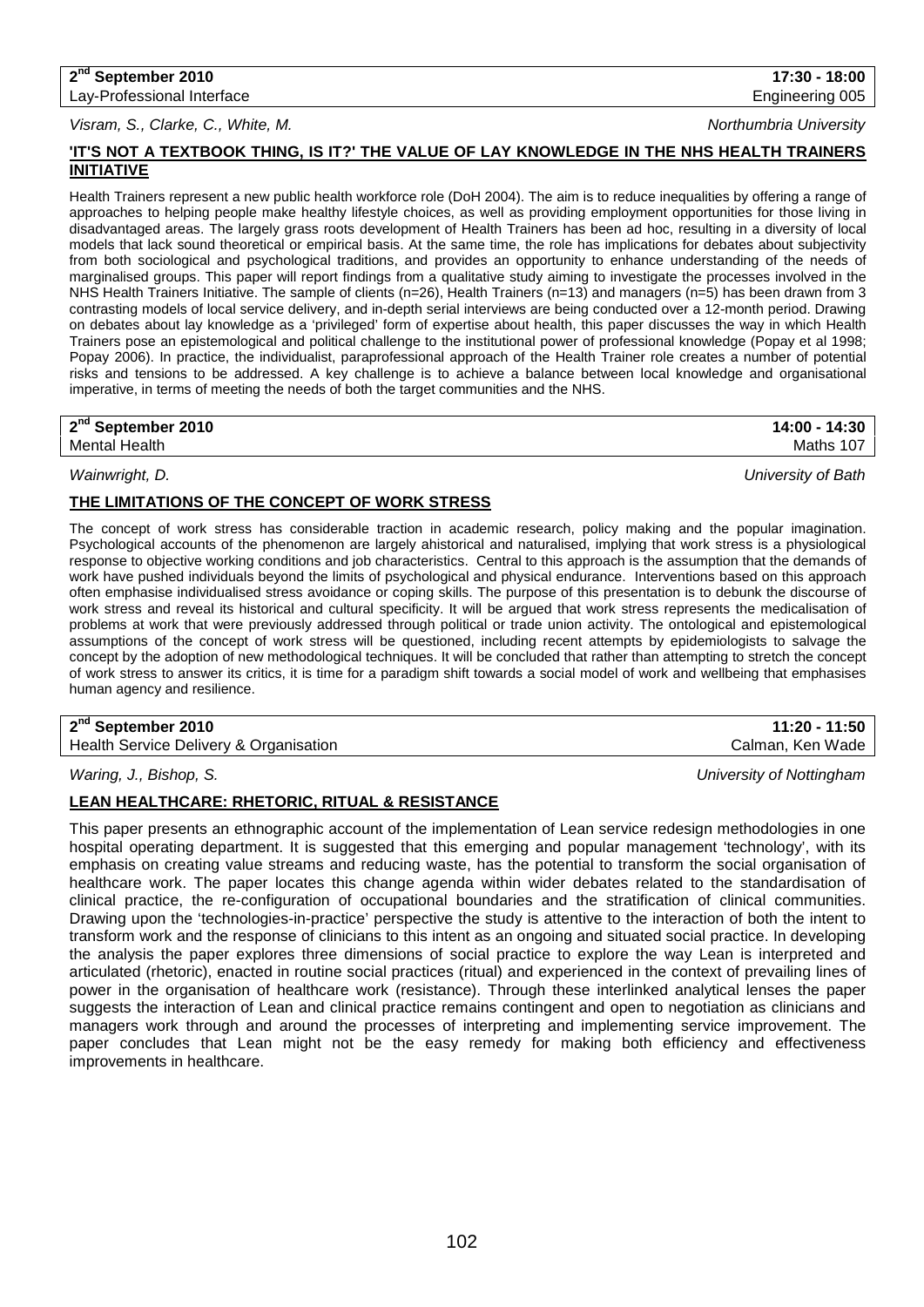**2nd September 2010 17:30 - 18:00** Lay-Professional Interface **Engineering 005** Lay-Professional Interface

*Visram, S., Clarke, C., White, M. Northumbria University*

**'IT'S NOT A TEXTBOOK THING, IS IT?' THE VALUE OF LAY KNOWLEDGE IN THE NHS HEALTH TRAINERS INITIATIVE**

Health Trainers represent a new public health workforce role (DoH 2004). The aim is to reduce inequalities by offering a range of approaches to helping people make healthy lifestyle choices, as well as providing employment opportunities for those living in disadvantaged areas. The largely grass roots development of Health Trainers has been ad hoc, resulting in a diversity of local models that lack sound theoretical or empirical basis. At the same time, the role has implications for debates about subjectivity from both sociological and psychological traditions, and provides an opportunity to enhance understanding of the needs of marginalised groups. This paper will report findings from a qualitative study aiming to investigate the processes involved in the NHS Health Trainers Initiative. The sample of clients (n=26), Health Trainers (n=13) and managers (n=5) has been drawn from 3 contrasting models of local service delivery, and in-depth serial interviews are being conducted over a 12-month period. Drawing on debates about lay knowledge as a 'privileged' form of expertise about health, this paper discusses the way in which Health Trainers pose an epistemological and political challenge to the institutional power of professional knowledge (Popay et al 1998; Popay 2006). In practice, the individualist, paraprofessional approach of the Health Trainer role creates a number of potential risks and tensions to be addressed. A key challenge is to achieve a balance between local knowledge and organisational imperative, in terms of meeting the needs of both the target communities and the NHS.

| 2 <sup>nd</sup>      | 14:00        |
|----------------------|--------------|
| September 2010 '     | 14:30        |
| <b>Mental Health</b> | 107<br>Maths |

*Wainwright, D. University of Bath*

## **THE LIMITATIONS OF THE CONCEPT OF WORK STRESS**

The concept of work stress has considerable traction in academic research, policy making and the popular imagination. Psychological accounts of the phenomenon are largely ahistorical and naturalised, implying that work stress is a physiological response to objective working conditions and job characteristics. Central to this approach is the assumption that the demands of work have pushed individuals beyond the limits of psychological and physical endurance. Interventions based on this approach often emphasise individualised stress avoidance or coping skills. The purpose of this presentation is to debunk the discourse of work stress and reveal its historical and cultural specificity. It will be argued that work stress represents the medicalisation of problems at work that were previously addressed through political or trade union activity. The ontological and epistemological assumptions of the concept of work stress will be questioned, including recent attempts by epidemiologists to salvage the concept by the adoption of new methodological techniques. It will be concluded that rather than attempting to stretch the concept of work stress to answer its critics, it is time for a paradigm shift towards a social model of work and wellbeing that emphasises human agency and resilience.

**2nd September 2010 11:20 - 11:50**

Health Service Delivery & Organisation Calman, Ken Wade Calman, Ken Wade

*Waring, J., Bishop, S. University of Nottingham*

## **LEAN HEALTHCARE: RHETORIC, RITUAL & RESISTANCE**

This paper presents an ethnographic account of the implementation of Lean service redesign methodologies in one hospital operating department. It is suggested that this emerging and popular management 'technology', with its emphasis on creating value streams and reducing waste, has the potential to transform the social organisation of healthcare work. The paper locates this change agenda within wider debates related to the standardisation of clinical practice, the re-configuration of occupational boundaries and the stratification of clinical communities. Drawing upon the 'technologies-in-practice' perspective the study is attentive to the interaction of both the intent to transform work and the response of clinicians to this intent as an ongoing and situated social practice. In developing the analysis the paper explores three dimensions of social practice to explore the way Lean is interpreted and articulated (rhetoric), enacted in routine social practices (ritual) and experienced in the context of prevailing lines of power in the organisation of healthcare work (resistance). Through these interlinked analytical lenses the paper suggests the interaction of Lean and clinical practice remains contingent and open to negotiation as clinicians and managers work through and around the processes of interpreting and implementing service improvement. The paper concludes that Lean might not be the easy remedy for making both efficiency and effectiveness improvements in healthcare.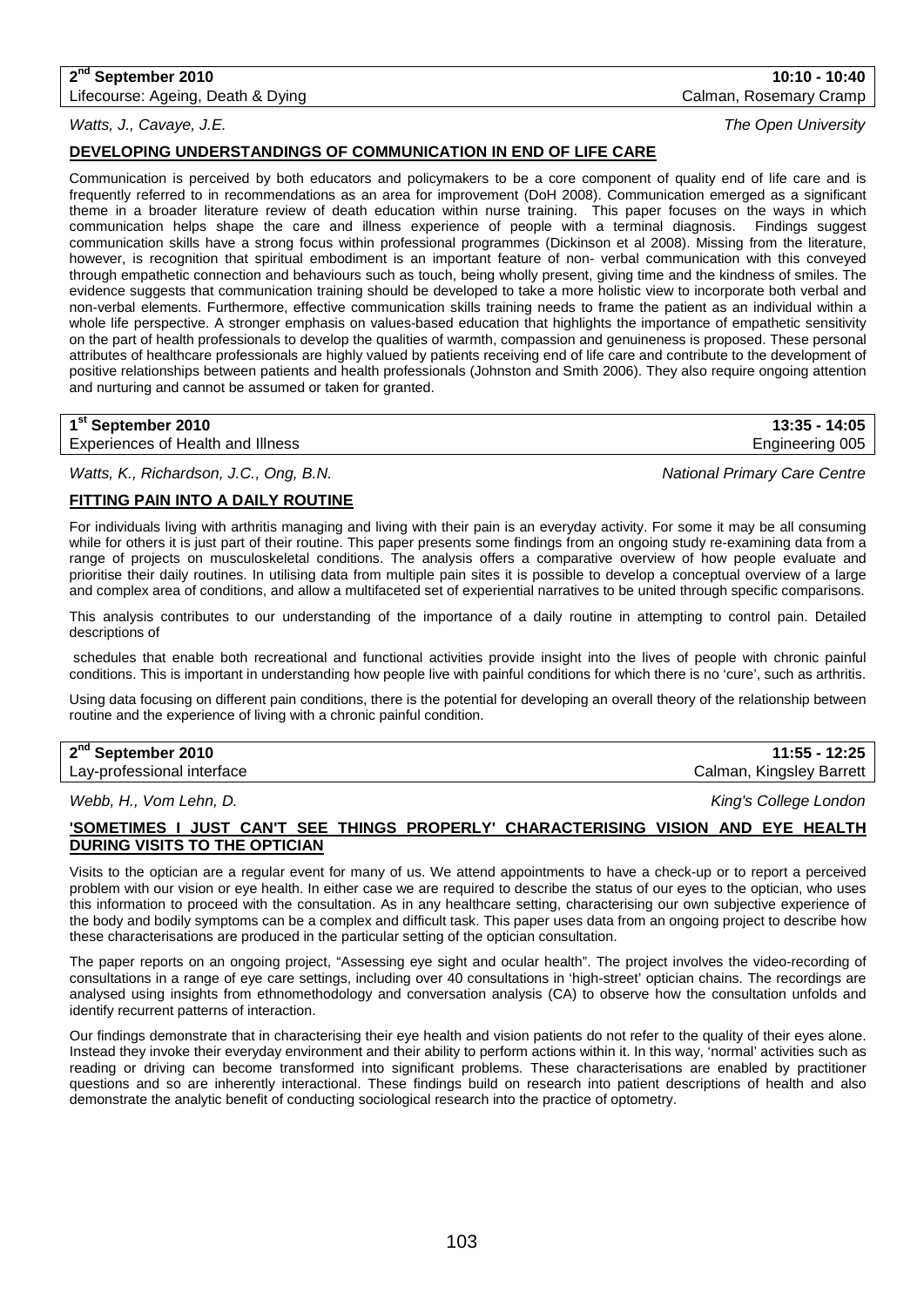## **2nd September 2010 10:10 - 10:40**

Lifecourse: Ageing, Death & Dying Calman, Rosemary Cramp Calman, Rosemary Cramp

*Watts, J., Cavaye, J.E. The Open University*

## **DEVELOPING UNDERSTANDINGS OF COMMUNICATION IN END OF LIFE CARE**

Communication is perceived by both educators and policymakers to be a core component of quality end of life care and is frequently referred to in recommendations as an area for improvement (DoH 2008). Communication emerged as a significant theme in a broader literature review of death education within nurse training. This paper focuses on the ways in which communication helps shape the care and illness experience of people with a terminal diagnosis. Findings suggest communication skills have a strong focus within professional programmes (Dickinson et al 2008). Missing from the literature, however, is recognition that spiritual embodiment is an important feature of non- verbal communication with this conveyed through empathetic connection and behaviours such as touch, being wholly present, giving time and the kindness of smiles. The evidence suggests that communication training should be developed to take a more holistic view to incorporate both verbal and non-verbal elements. Furthermore, effective communication skills training needs to frame the patient as an individual within a whole life perspective. A stronger emphasis on values-based education that highlights the importance of empathetic sensitivity on the part of health professionals to develop the qualities of warmth, compassion and genuineness is proposed. These personal attributes of healthcare professionals are highly valued by patients receiving end of life care and contribute to the development of positive relationships between patients and health professionals (Johnston and Smith 2006). They also require ongoing attention and nurturing and cannot be assumed or taken for granted.

| 1 <sup>st</sup> September 2010    | $13:35 - 14:05$ |
|-----------------------------------|-----------------|
| Experiences of Health and Illness | Engineering 005 |

*Watts, K., Richardson, J.C., Ong, B.N. National Primary Care Centre*

## **FITTING PAIN INTO A DAILY ROUTINE**

For individuals living with arthritis managing and living with their pain is an everyday activity. For some it may be all consuming while for others it is just part of their routine. This paper presents some findings from an ongoing study re-examining data from a range of projects on musculoskeletal conditions. The analysis offers a comparative overview of how people evaluate and prioritise their daily routines. In utilising data from multiple pain sites it is possible to develop a conceptual overview of a large and complex area of conditions, and allow a multifaceted set of experiential narratives to be united through specific comparisons.

This analysis contributes to our understanding of the importance of a daily routine in attempting to control pain. Detailed descriptions of

schedules that enable both recreational and functional activities provide insight into the lives of people with chronic painful conditions. This is important in understanding how people live with painful conditions for which there is no 'cure', such as arthritis.

Using data focusing on different pain conditions, there is the potential for developing an overall theory of the relationship between routine and the experience of living with a chronic painful condition.

| 2 <sup>nd</sup> September 2010 | 11:55 - 12:25            |
|--------------------------------|--------------------------|
| Lay-professional interface     | Calman, Kingsley Barrett |

*Webb, H., Vom Lehn, D. King's College London*

### **'SOMETIMES I JUST CAN'T SEE THINGS PROPERLY' CHARACTERISING VISION AND EYE HEALTH DURING VISITS TO THE OPTICIAN**

Visits to the optician are a regular event for many of us. We attend appointments to have a check-up or to report a perceived problem with our vision or eye health. In either case we are required to describe the status of our eyes to the optician, who uses this information to proceed with the consultation. As in any healthcare setting, characterising our own subjective experience of the body and bodily symptoms can be a complex and difficult task. This paper uses data from an ongoing project to describe how these characterisations are produced in the particular setting of the optician consultation.

The paper reports on an ongoing project, "Assessing eye sight and ocular health". The project involves the video-recording of consultations in a range of eye care settings, including over 40 consultations in 'high-street' optician chains. The recordings are analysed using insights from ethnomethodology and conversation analysis (CA) to observe how the consultation unfolds and identify recurrent patterns of interaction.

Our findings demonstrate that in characterising their eye health and vision patients do not refer to the quality of their eyes alone. Instead they invoke their everyday environment and their ability to perform actions within it. In this way, 'normal' activities such as reading or driving can become transformed into significant problems. These characterisations are enabled by practitioner questions and so are inherently interactional. These findings build on research into patient descriptions of health and also demonstrate the analytic benefit of conducting sociological research into the practice of optometry.